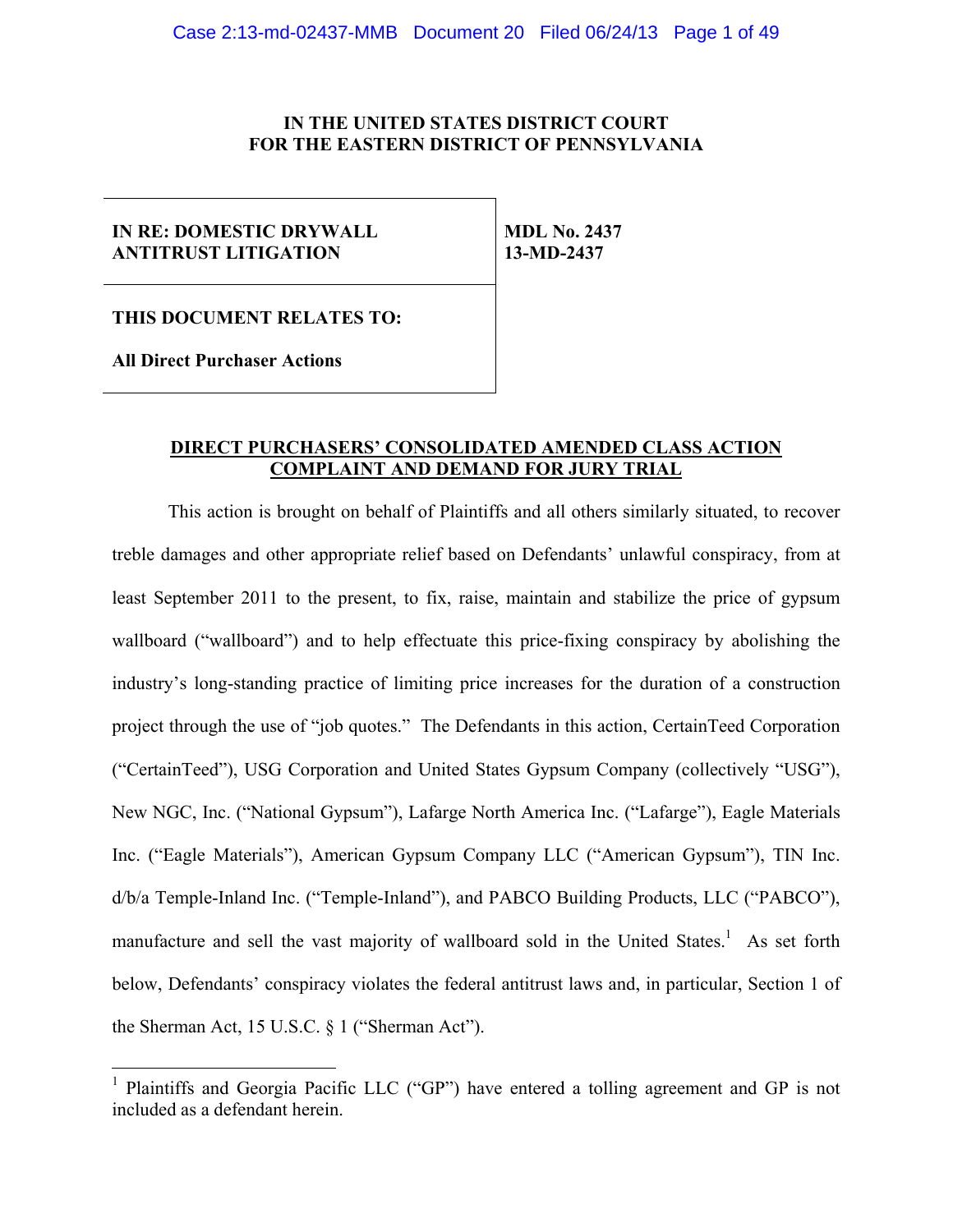## **IN THE UNITED STATES DISTRICT COURT FOR THE EASTERN DISTRICT OF PENNSYLVANIA**

### **IN RE: DOMESTIC DRYWALL ANTITRUST LITIGATION**

**MDL No. 2437 13-MD-2437** 

**THIS DOCUMENT RELATES TO:** 

**All Direct Purchaser Actions** 

## **DIRECT PURCHASERS' CONSOLIDATED AMENDED CLASS ACTION COMPLAINT AND DEMAND FOR JURY TRIAL**

This action is brought on behalf of Plaintiffs and all others similarly situated, to recover treble damages and other appropriate relief based on Defendants' unlawful conspiracy, from at least September 2011 to the present, to fix, raise, maintain and stabilize the price of gypsum wallboard ("wallboard") and to help effectuate this price-fixing conspiracy by abolishing the industry's long-standing practice of limiting price increases for the duration of a construction project through the use of "job quotes." The Defendants in this action, CertainTeed Corporation ("CertainTeed"), USG Corporation and United States Gypsum Company (collectively "USG"), New NGC, Inc. ("National Gypsum"), Lafarge North America Inc. ("Lafarge"), Eagle Materials Inc. ("Eagle Materials"), American Gypsum Company LLC ("American Gypsum"), TIN Inc. d/b/a Temple-Inland Inc. ("Temple-Inland"), and PABCO Building Products, LLC ("PABCO"), manufacture and sell the vast majority of wallboard sold in the United States.<sup>1</sup> As set forth below, Defendants' conspiracy violates the federal antitrust laws and, in particular, Section 1 of the Sherman Act, 15 U.S.C. § 1 ("Sherman Act").

<sup>&</sup>lt;sup>1</sup> Plaintiffs and Georgia Pacific LLC ("GP") have entered a tolling agreement and GP is not included as a defendant herein.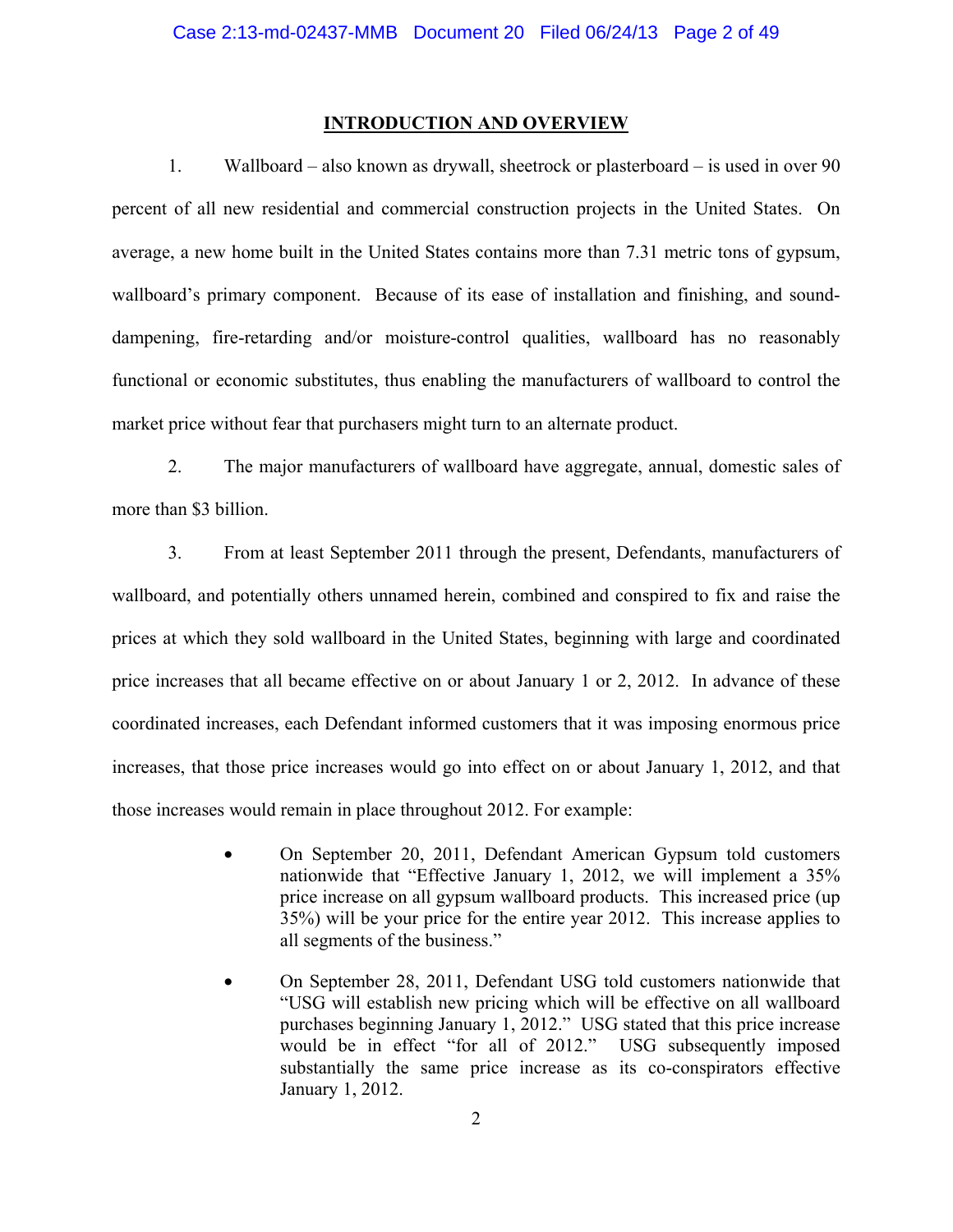#### **INTRODUCTION AND OVERVIEW**

1. Wallboard – also known as drywall, sheetrock or plasterboard – is used in over 90 percent of all new residential and commercial construction projects in the United States. On average, a new home built in the United States contains more than 7.31 metric tons of gypsum, wallboard's primary component. Because of its ease of installation and finishing, and sounddampening, fire-retarding and/or moisture-control qualities, wallboard has no reasonably functional or economic substitutes, thus enabling the manufacturers of wallboard to control the market price without fear that purchasers might turn to an alternate product.

2. The major manufacturers of wallboard have aggregate, annual, domestic sales of more than \$3 billion.

3. From at least September 2011 through the present, Defendants, manufacturers of wallboard, and potentially others unnamed herein, combined and conspired to fix and raise the prices at which they sold wallboard in the United States, beginning with large and coordinated price increases that all became effective on or about January 1 or 2, 2012. In advance of these coordinated increases, each Defendant informed customers that it was imposing enormous price increases, that those price increases would go into effect on or about January 1, 2012, and that those increases would remain in place throughout 2012. For example:

- On September 20, 2011, Defendant American Gypsum told customers nationwide that "Effective January 1, 2012, we will implement a 35% price increase on all gypsum wallboard products. This increased price (up 35%) will be your price for the entire year 2012. This increase applies to all segments of the business."
- On September 28, 2011, Defendant USG told customers nationwide that "USG will establish new pricing which will be effective on all wallboard purchases beginning January 1, 2012." USG stated that this price increase would be in effect "for all of 2012." USG subsequently imposed substantially the same price increase as its co-conspirators effective January 1, 2012.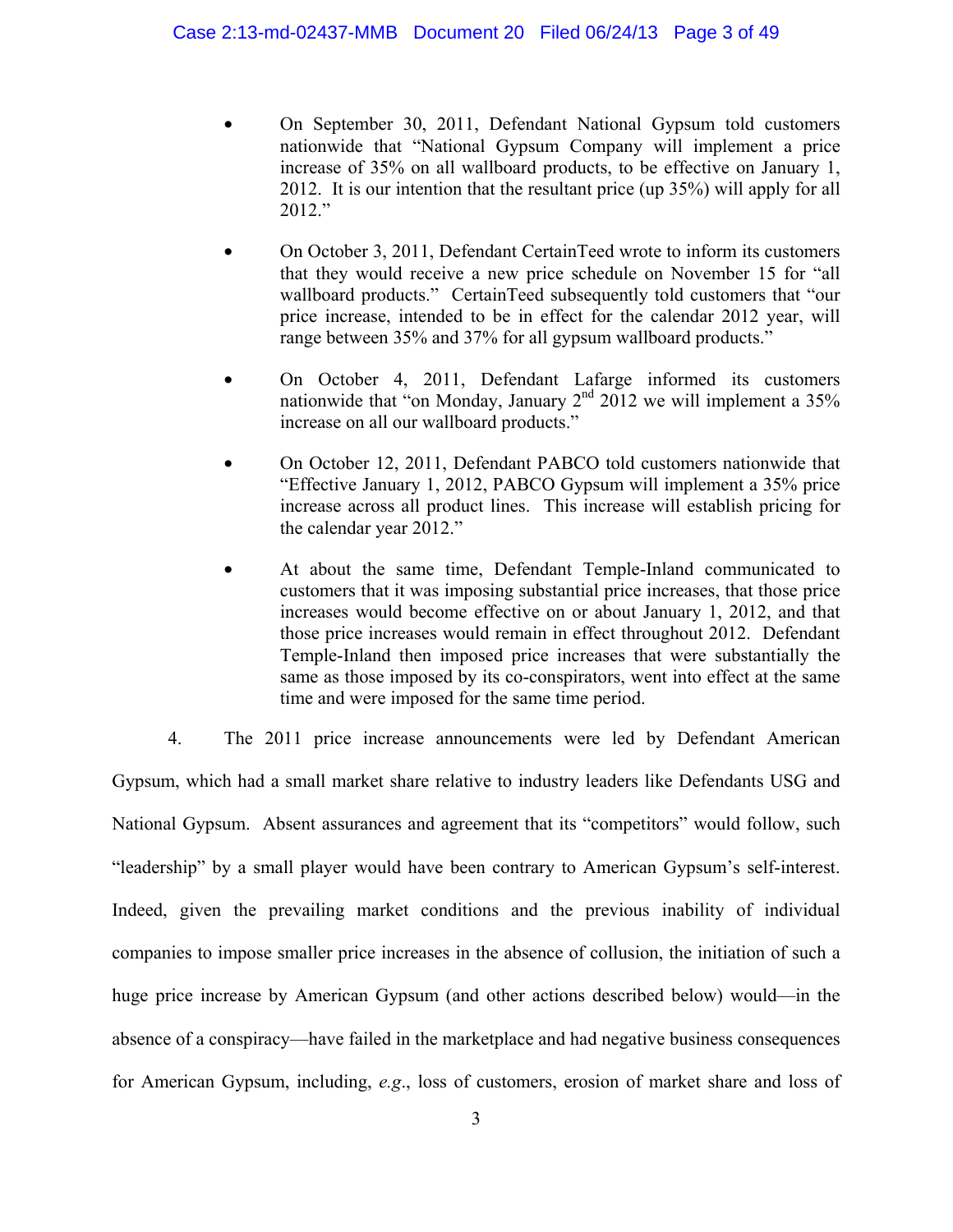- On September 30, 2011, Defendant National Gypsum told customers nationwide that "National Gypsum Company will implement a price increase of 35% on all wallboard products, to be effective on January 1, 2012. It is our intention that the resultant price (up 35%) will apply for all 2012."
- On October 3, 2011, Defendant CertainTeed wrote to inform its customers that they would receive a new price schedule on November 15 for "all wallboard products." CertainTeed subsequently told customers that "our price increase, intended to be in effect for the calendar 2012 year, will range between 35% and 37% for all gypsum wallboard products."
- On October 4, 2011, Defendant Lafarge informed its customers nationwide that "on Monday, January  $2<sup>nd</sup>$  2012 we will implement a  $35%$ increase on all our wallboard products."
- On October 12, 2011, Defendant PABCO told customers nationwide that "Effective January 1, 2012, PABCO Gypsum will implement a 35% price increase across all product lines. This increase will establish pricing for the calendar year 2012."
- At about the same time, Defendant Temple-Inland communicated to customers that it was imposing substantial price increases, that those price increases would become effective on or about January 1, 2012, and that those price increases would remain in effect throughout 2012. Defendant Temple-Inland then imposed price increases that were substantially the same as those imposed by its co-conspirators, went into effect at the same time and were imposed for the same time period.
- 4. The 2011 price increase announcements were led by Defendant American

Gypsum, which had a small market share relative to industry leaders like Defendants USG and National Gypsum. Absent assurances and agreement that its "competitors" would follow, such "leadership" by a small player would have been contrary to American Gypsum's self-interest. Indeed, given the prevailing market conditions and the previous inability of individual companies to impose smaller price increases in the absence of collusion, the initiation of such a huge price increase by American Gypsum (and other actions described below) would—in the absence of a conspiracy—have failed in the marketplace and had negative business consequences for American Gypsum, including, *e.g*., loss of customers, erosion of market share and loss of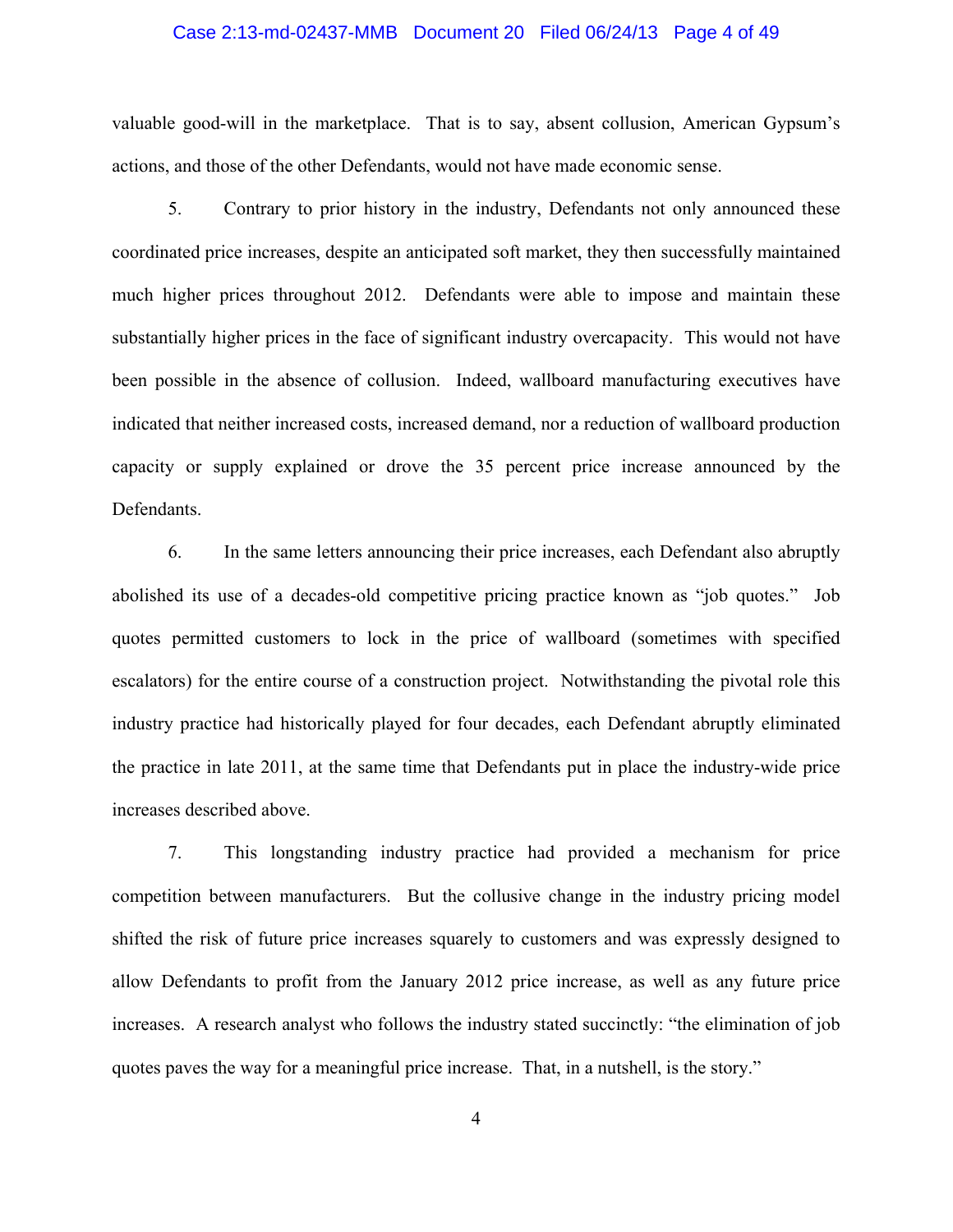#### Case 2:13-md-02437-MMB Document 20 Filed 06/24/13 Page 4 of 49

valuable good-will in the marketplace. That is to say, absent collusion, American Gypsum's actions, and those of the other Defendants, would not have made economic sense.

5. Contrary to prior history in the industry, Defendants not only announced these coordinated price increases, despite an anticipated soft market, they then successfully maintained much higher prices throughout 2012. Defendants were able to impose and maintain these substantially higher prices in the face of significant industry overcapacity. This would not have been possible in the absence of collusion. Indeed, wallboard manufacturing executives have indicated that neither increased costs, increased demand, nor a reduction of wallboard production capacity or supply explained or drove the 35 percent price increase announced by the Defendants.

6. In the same letters announcing their price increases, each Defendant also abruptly abolished its use of a decades-old competitive pricing practice known as "job quotes." Job quotes permitted customers to lock in the price of wallboard (sometimes with specified escalators) for the entire course of a construction project. Notwithstanding the pivotal role this industry practice had historically played for four decades, each Defendant abruptly eliminated the practice in late 2011, at the same time that Defendants put in place the industry-wide price increases described above.

7. This longstanding industry practice had provided a mechanism for price competition between manufacturers. But the collusive change in the industry pricing model shifted the risk of future price increases squarely to customers and was expressly designed to allow Defendants to profit from the January 2012 price increase, as well as any future price increases. A research analyst who follows the industry stated succinctly: "the elimination of job quotes paves the way for a meaningful price increase. That, in a nutshell, is the story."

4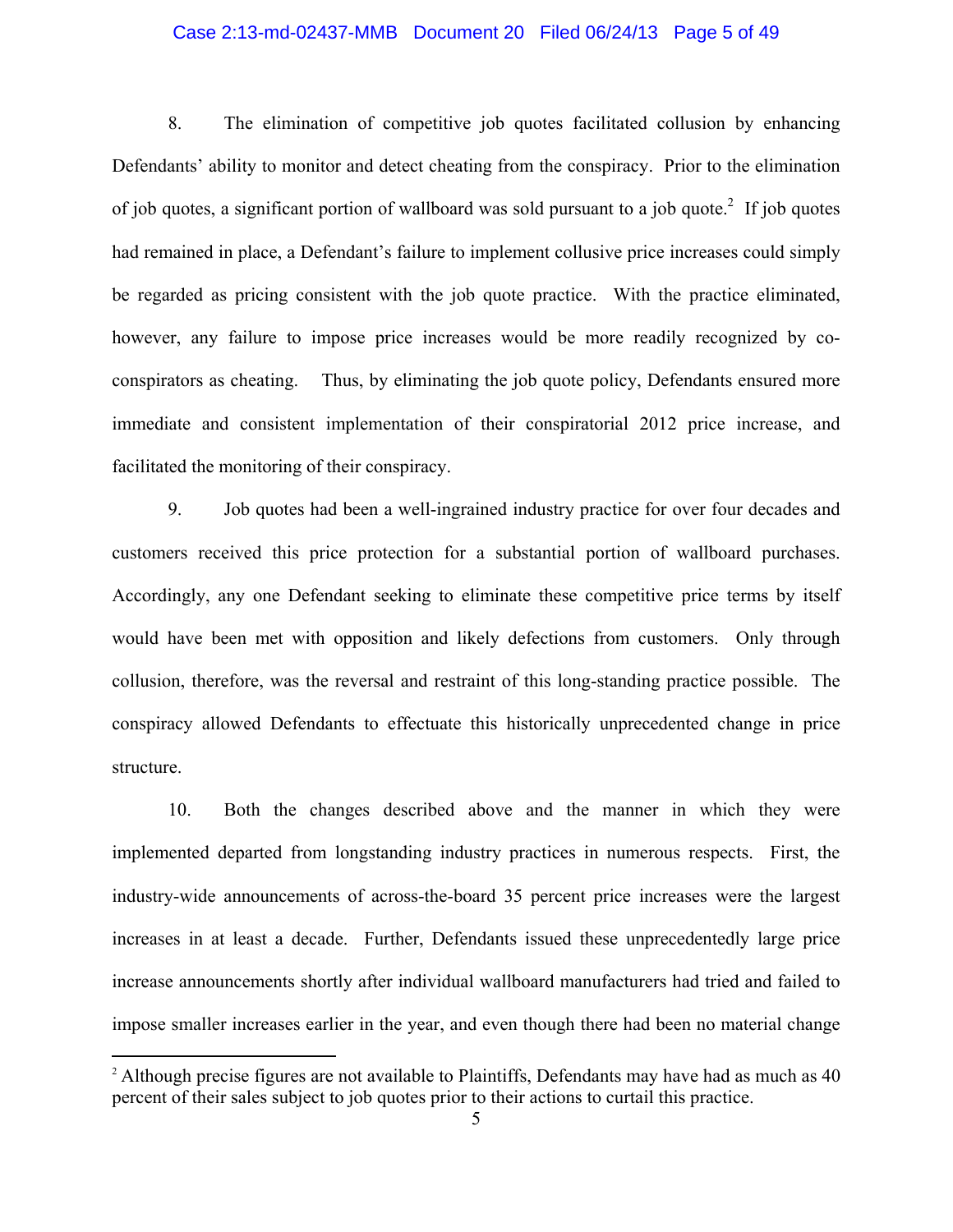# Case 2:13-md-02437-MMB Document 20 Filed 06/24/13 Page 5 of 49

8. The elimination of competitive job quotes facilitated collusion by enhancing Defendants' ability to monitor and detect cheating from the conspiracy. Prior to the elimination of job quotes, a significant portion of wallboard was sold pursuant to a job quote.<sup>2</sup> If job quotes had remained in place, a Defendant's failure to implement collusive price increases could simply be regarded as pricing consistent with the job quote practice. With the practice eliminated, however, any failure to impose price increases would be more readily recognized by coconspirators as cheating. Thus, by eliminating the job quote policy, Defendants ensured more immediate and consistent implementation of their conspiratorial 2012 price increase, and facilitated the monitoring of their conspiracy.

9. Job quotes had been a well-ingrained industry practice for over four decades and customers received this price protection for a substantial portion of wallboard purchases. Accordingly, any one Defendant seeking to eliminate these competitive price terms by itself would have been met with opposition and likely defections from customers. Only through collusion, therefore, was the reversal and restraint of this long-standing practice possible. The conspiracy allowed Defendants to effectuate this historically unprecedented change in price structure.

10. Both the changes described above and the manner in which they were implemented departed from longstanding industry practices in numerous respects. First, the industry-wide announcements of across-the-board 35 percent price increases were the largest increases in at least a decade. Further, Defendants issued these unprecedentedly large price increase announcements shortly after individual wallboard manufacturers had tried and failed to impose smaller increases earlier in the year, and even though there had been no material change

 $\overline{a}$ 

<sup>&</sup>lt;sup>2</sup> Although precise figures are not available to Plaintiffs, Defendants may have had as much as 40 percent of their sales subject to job quotes prior to their actions to curtail this practice.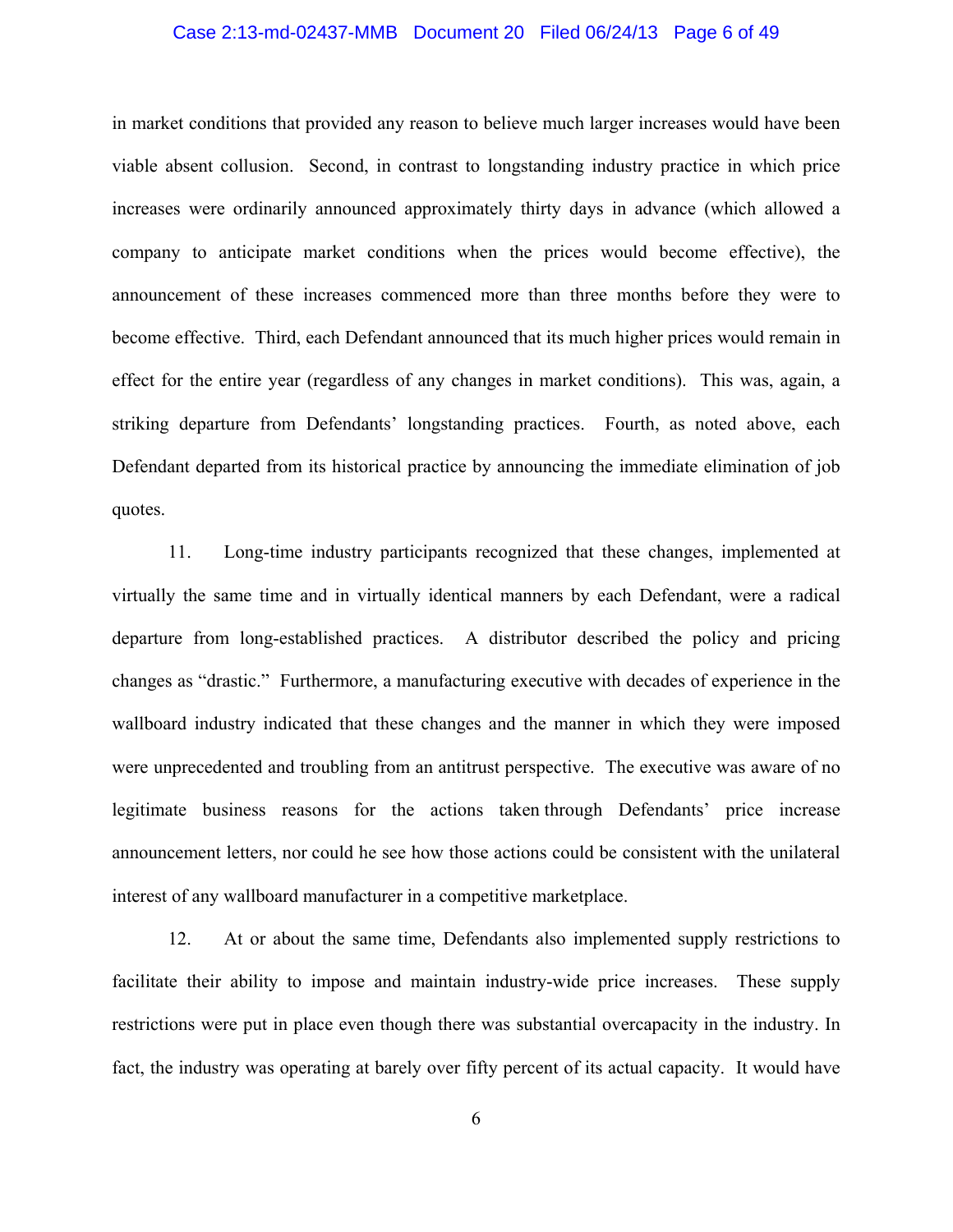#### Case 2:13-md-02437-MMB Document 20 Filed 06/24/13 Page 6 of 49

in market conditions that provided any reason to believe much larger increases would have been viable absent collusion. Second, in contrast to longstanding industry practice in which price increases were ordinarily announced approximately thirty days in advance (which allowed a company to anticipate market conditions when the prices would become effective), the announcement of these increases commenced more than three months before they were to become effective. Third, each Defendant announced that its much higher prices would remain in effect for the entire year (regardless of any changes in market conditions). This was, again, a striking departure from Defendants' longstanding practices. Fourth, as noted above, each Defendant departed from its historical practice by announcing the immediate elimination of job quotes.

11. Long-time industry participants recognized that these changes, implemented at virtually the same time and in virtually identical manners by each Defendant, were a radical departure from long-established practices. A distributor described the policy and pricing changes as "drastic." Furthermore, a manufacturing executive with decades of experience in the wallboard industry indicated that these changes and the manner in which they were imposed were unprecedented and troubling from an antitrust perspective. The executive was aware of no legitimate business reasons for the actions taken through Defendants' price increase announcement letters, nor could he see how those actions could be consistent with the unilateral interest of any wallboard manufacturer in a competitive marketplace.

12. At or about the same time, Defendants also implemented supply restrictions to facilitate their ability to impose and maintain industry-wide price increases. These supply restrictions were put in place even though there was substantial overcapacity in the industry. In fact, the industry was operating at barely over fifty percent of its actual capacity. It would have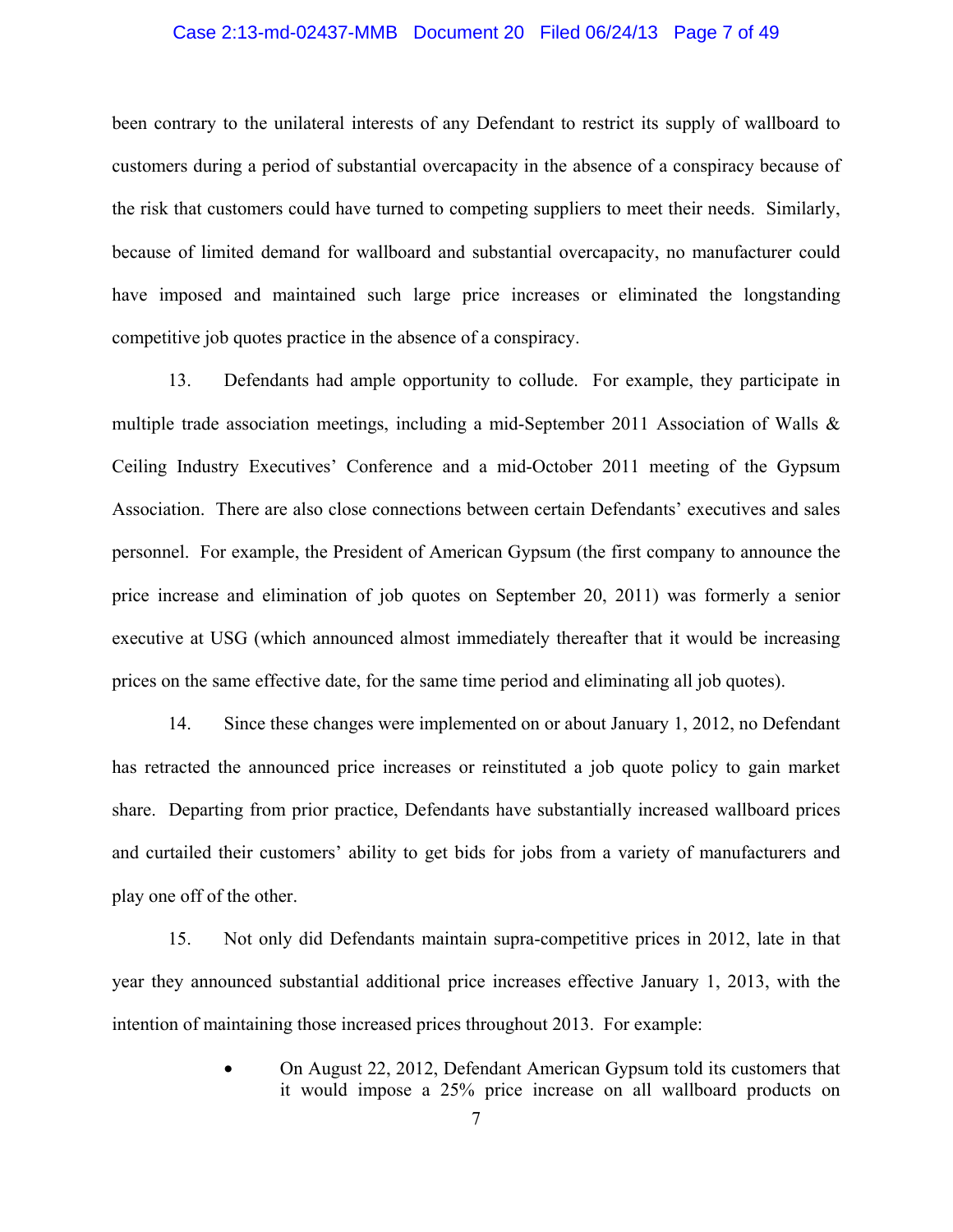#### Case 2:13-md-02437-MMB Document 20 Filed 06/24/13 Page 7 of 49

been contrary to the unilateral interests of any Defendant to restrict its supply of wallboard to customers during a period of substantial overcapacity in the absence of a conspiracy because of the risk that customers could have turned to competing suppliers to meet their needs. Similarly, because of limited demand for wallboard and substantial overcapacity, no manufacturer could have imposed and maintained such large price increases or eliminated the longstanding competitive job quotes practice in the absence of a conspiracy.

13. Defendants had ample opportunity to collude. For example, they participate in multiple trade association meetings, including a mid-September 2011 Association of Walls & Ceiling Industry Executives' Conference and a mid-October 2011 meeting of the Gypsum Association. There are also close connections between certain Defendants' executives and sales personnel. For example, the President of American Gypsum (the first company to announce the price increase and elimination of job quotes on September 20, 2011) was formerly a senior executive at USG (which announced almost immediately thereafter that it would be increasing prices on the same effective date, for the same time period and eliminating all job quotes).

14. Since these changes were implemented on or about January 1, 2012, no Defendant has retracted the announced price increases or reinstituted a job quote policy to gain market share. Departing from prior practice, Defendants have substantially increased wallboard prices and curtailed their customers' ability to get bids for jobs from a variety of manufacturers and play one off of the other.

15. Not only did Defendants maintain supra-competitive prices in 2012, late in that year they announced substantial additional price increases effective January 1, 2013, with the intention of maintaining those increased prices throughout 2013. For example:

> • On August 22, 2012, Defendant American Gypsum told its customers that it would impose a 25% price increase on all wallboard products on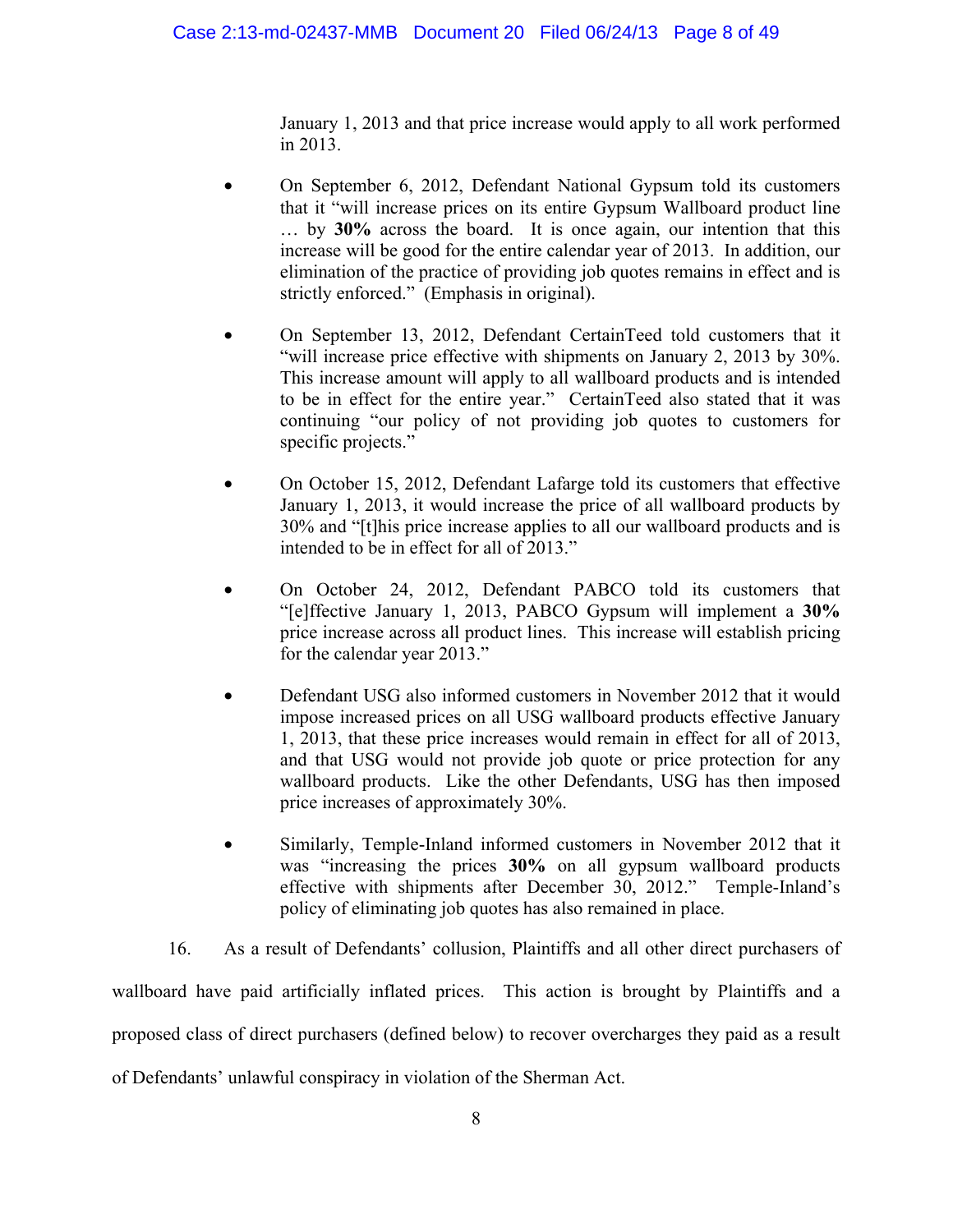January 1, 2013 and that price increase would apply to all work performed in 2013.

- On September 6, 2012, Defendant National Gypsum told its customers that it "will increase prices on its entire Gypsum Wallboard product line … by **30%** across the board. It is once again, our intention that this increase will be good for the entire calendar year of 2013. In addition, our elimination of the practice of providing job quotes remains in effect and is strictly enforced." (Emphasis in original).
- On September 13, 2012, Defendant CertainTeed told customers that it "will increase price effective with shipments on January 2, 2013 by 30%. This increase amount will apply to all wallboard products and is intended to be in effect for the entire year." CertainTeed also stated that it was continuing "our policy of not providing job quotes to customers for specific projects."
- On October 15, 2012, Defendant Lafarge told its customers that effective January 1, 2013, it would increase the price of all wallboard products by 30% and "[t]his price increase applies to all our wallboard products and is intended to be in effect for all of 2013."
- On October 24, 2012, Defendant PABCO told its customers that "[e]ffective January 1, 2013, PABCO Gypsum will implement a **30%** price increase across all product lines. This increase will establish pricing for the calendar year 2013."
- Defendant USG also informed customers in November 2012 that it would impose increased prices on all USG wallboard products effective January 1, 2013, that these price increases would remain in effect for all of 2013, and that USG would not provide job quote or price protection for any wallboard products. Like the other Defendants, USG has then imposed price increases of approximately 30%.
- Similarly, Temple-Inland informed customers in November 2012 that it was "increasing the prices **30%** on all gypsum wallboard products effective with shipments after December 30, 2012." Temple-Inland's policy of eliminating job quotes has also remained in place.

16. As a result of Defendants' collusion, Plaintiffs and all other direct purchasers of wallboard have paid artificially inflated prices. This action is brought by Plaintiffs and a proposed class of direct purchasers (defined below) to recover overcharges they paid as a result of Defendants' unlawful conspiracy in violation of the Sherman Act.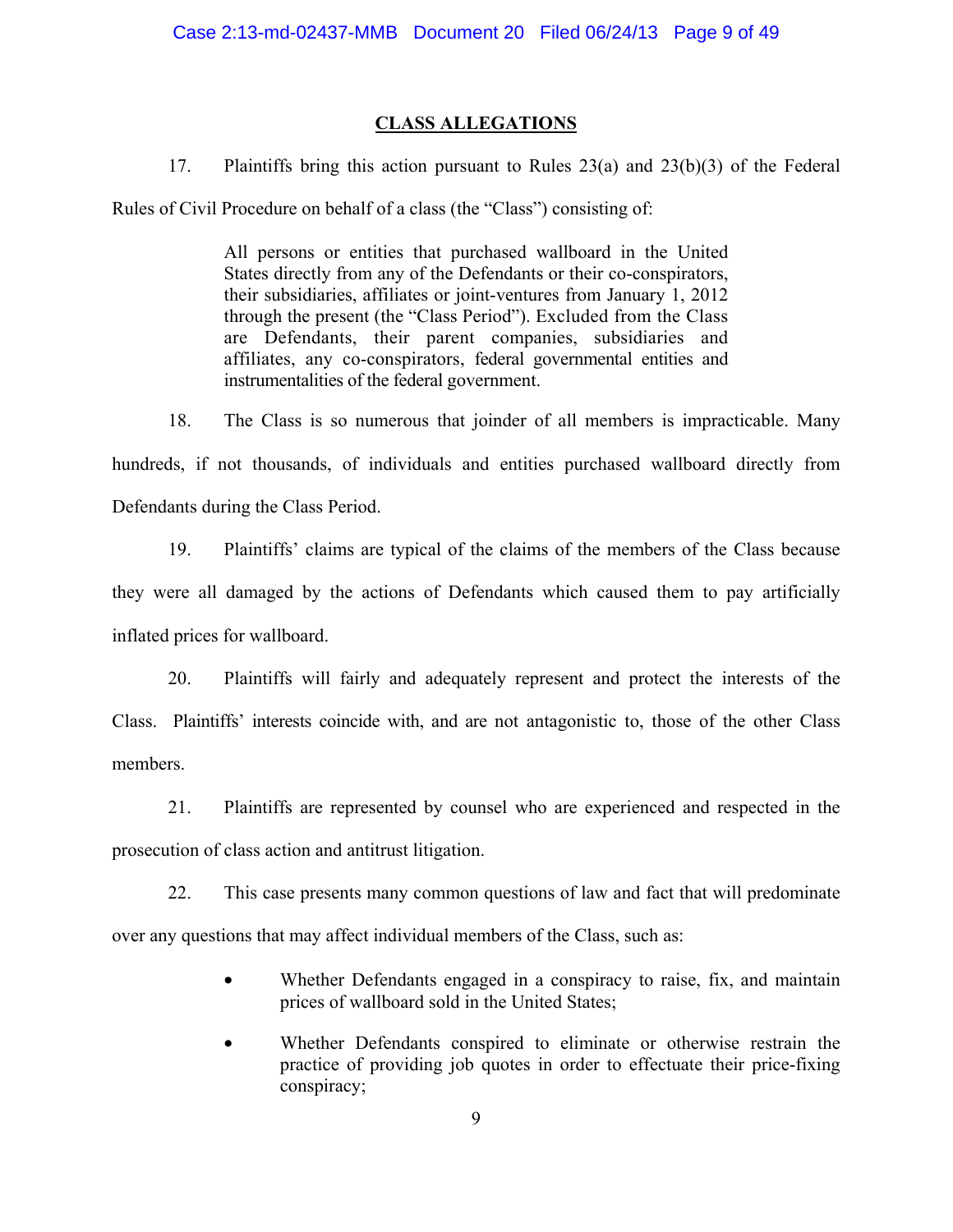### **CLASS ALLEGATIONS**

17. Plaintiffs bring this action pursuant to Rules 23(a) and 23(b)(3) of the Federal

Rules of Civil Procedure on behalf of a class (the "Class") consisting of:

All persons or entities that purchased wallboard in the United States directly from any of the Defendants or their co-conspirators, their subsidiaries, affiliates or joint-ventures from January 1, 2012 through the present (the "Class Period"). Excluded from the Class are Defendants, their parent companies, subsidiaries and affiliates, any co-conspirators, federal governmental entities and instrumentalities of the federal government.

18. The Class is so numerous that joinder of all members is impracticable. Many hundreds, if not thousands, of individuals and entities purchased wallboard directly from Defendants during the Class Period.

19. Plaintiffs' claims are typical of the claims of the members of the Class because they were all damaged by the actions of Defendants which caused them to pay artificially inflated prices for wallboard.

20. Plaintiffs will fairly and adequately represent and protect the interests of the Class. Plaintiffs' interests coincide with, and are not antagonistic to, those of the other Class members.

21. Plaintiffs are represented by counsel who are experienced and respected in the prosecution of class action and antitrust litigation.

22. This case presents many common questions of law and fact that will predominate over any questions that may affect individual members of the Class, such as:

- Whether Defendants engaged in a conspiracy to raise, fix, and maintain prices of wallboard sold in the United States;
- Whether Defendants conspired to eliminate or otherwise restrain the practice of providing job quotes in order to effectuate their price-fixing conspiracy;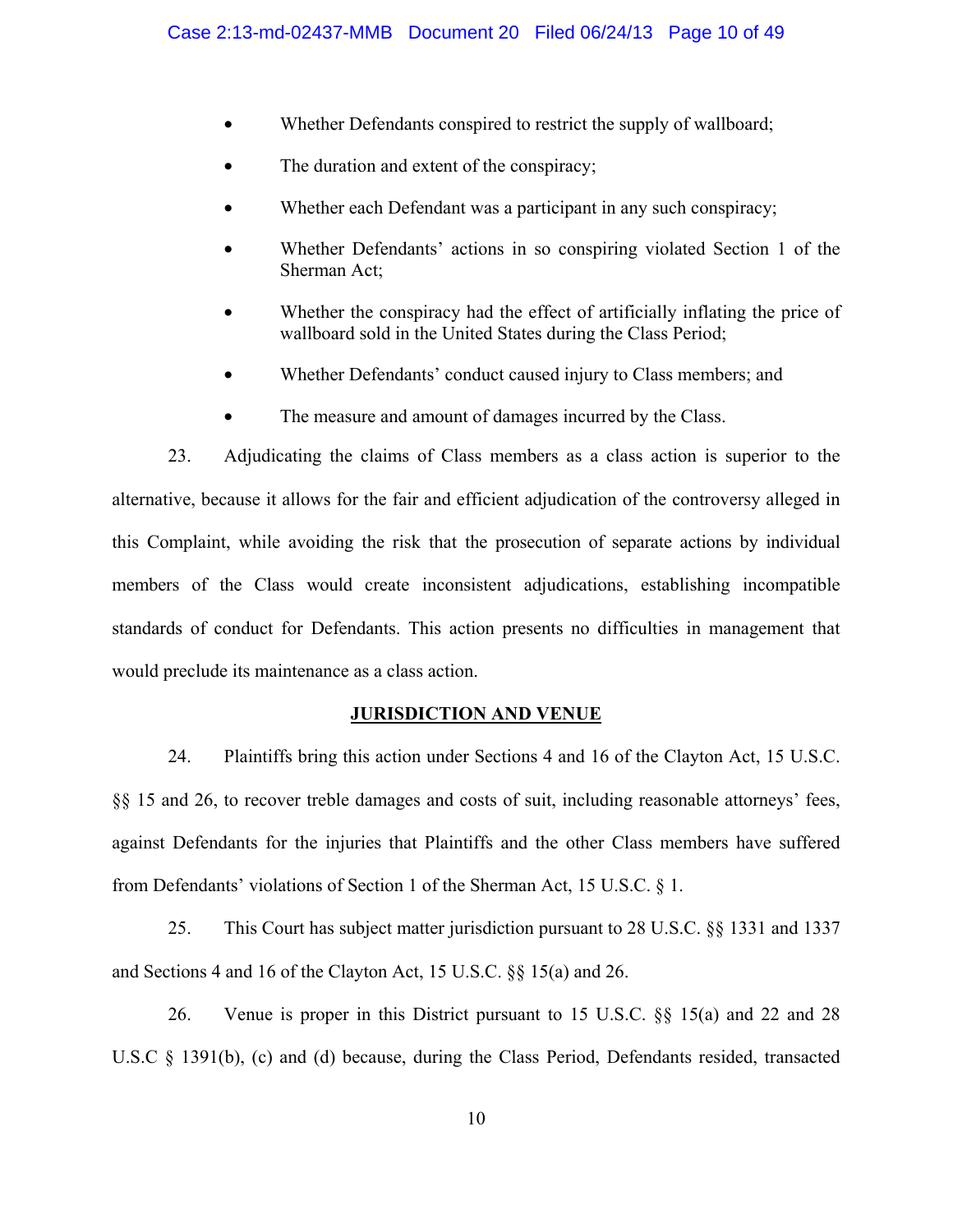- Whether Defendants conspired to restrict the supply of wallboard;
- The duration and extent of the conspiracy;
- Whether each Defendant was a participant in any such conspiracy;
- Whether Defendants' actions in so conspiring violated Section 1 of the Sherman Act;
- Whether the conspiracy had the effect of artificially inflating the price of wallboard sold in the United States during the Class Period;
- Whether Defendants' conduct caused injury to Class members; and
- The measure and amount of damages incurred by the Class.

23. Adjudicating the claims of Class members as a class action is superior to the alternative, because it allows for the fair and efficient adjudication of the controversy alleged in this Complaint, while avoiding the risk that the prosecution of separate actions by individual members of the Class would create inconsistent adjudications, establishing incompatible standards of conduct for Defendants. This action presents no difficulties in management that would preclude its maintenance as a class action.

#### **JURISDICTION AND VENUE**

24. Plaintiffs bring this action under Sections 4 and 16 of the Clayton Act, 15 U.S.C. §§ 15 and 26, to recover treble damages and costs of suit, including reasonable attorneys' fees, against Defendants for the injuries that Plaintiffs and the other Class members have suffered from Defendants' violations of Section 1 of the Sherman Act, 15 U.S.C. § 1.

25. This Court has subject matter jurisdiction pursuant to 28 U.S.C. §§ 1331 and 1337 and Sections 4 and 16 of the Clayton Act, 15 U.S.C. §§ 15(a) and 26.

26. Venue is proper in this District pursuant to 15 U.S.C. §§ 15(a) and 22 and 28 U.S.C § 1391(b), (c) and (d) because, during the Class Period, Defendants resided, transacted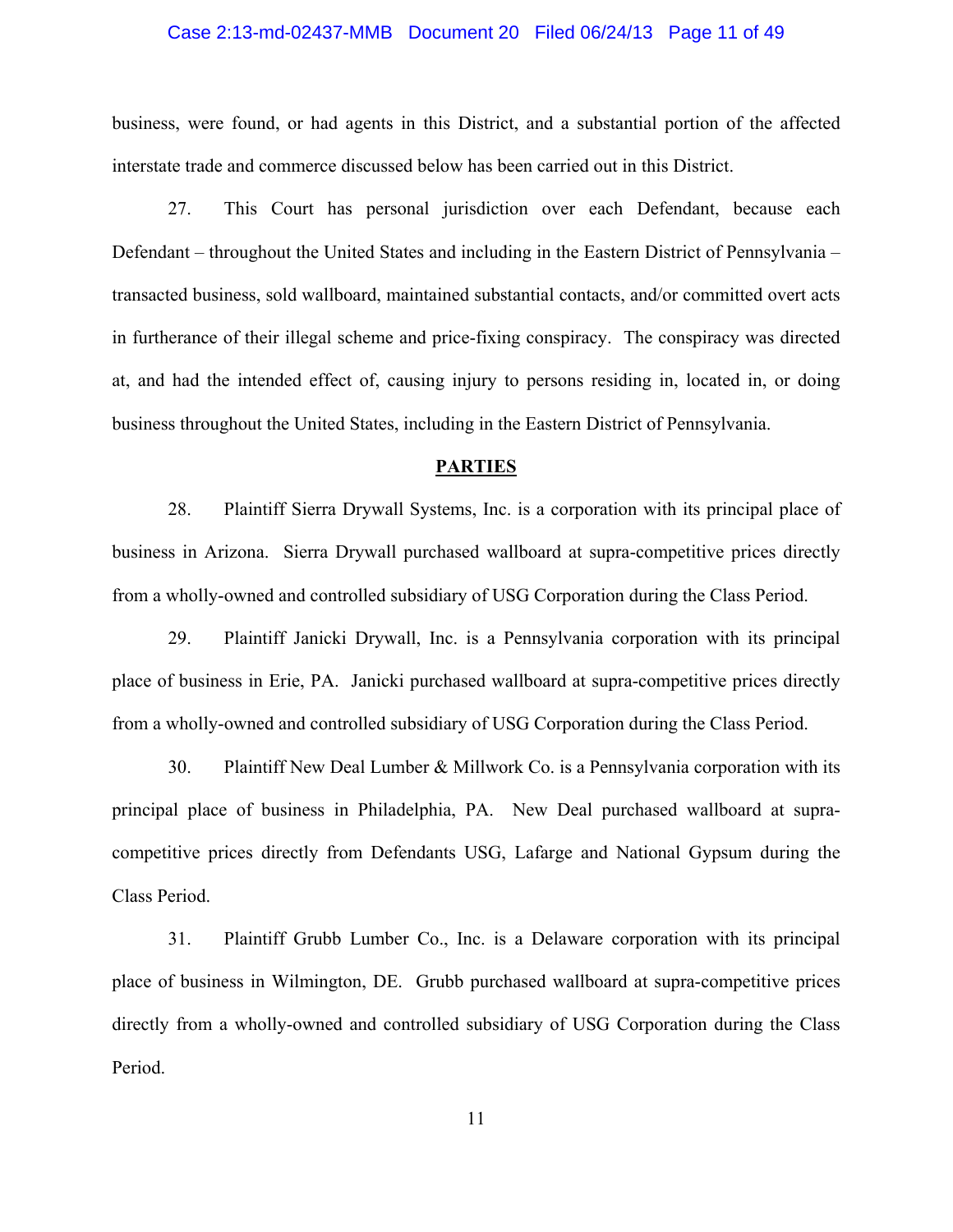#### Case 2:13-md-02437-MMB Document 20 Filed 06/24/13 Page 11 of 49

business, were found, or had agents in this District, and a substantial portion of the affected interstate trade and commerce discussed below has been carried out in this District.

27. This Court has personal jurisdiction over each Defendant, because each Defendant – throughout the United States and including in the Eastern District of Pennsylvania – transacted business, sold wallboard, maintained substantial contacts, and/or committed overt acts in furtherance of their illegal scheme and price-fixing conspiracy. The conspiracy was directed at, and had the intended effect of, causing injury to persons residing in, located in, or doing business throughout the United States, including in the Eastern District of Pennsylvania.

#### **PARTIES**

28. Plaintiff Sierra Drywall Systems, Inc. is a corporation with its principal place of business in Arizona. Sierra Drywall purchased wallboard at supra-competitive prices directly from a wholly-owned and controlled subsidiary of USG Corporation during the Class Period.

29. Plaintiff Janicki Drywall, Inc. is a Pennsylvania corporation with its principal place of business in Erie, PA. Janicki purchased wallboard at supra-competitive prices directly from a wholly-owned and controlled subsidiary of USG Corporation during the Class Period.

30. Plaintiff New Deal Lumber & Millwork Co. is a Pennsylvania corporation with its principal place of business in Philadelphia, PA. New Deal purchased wallboard at supracompetitive prices directly from Defendants USG, Lafarge and National Gypsum during the Class Period.

31. Plaintiff Grubb Lumber Co., Inc. is a Delaware corporation with its principal place of business in Wilmington, DE. Grubb purchased wallboard at supra-competitive prices directly from a wholly-owned and controlled subsidiary of USG Corporation during the Class Period.

11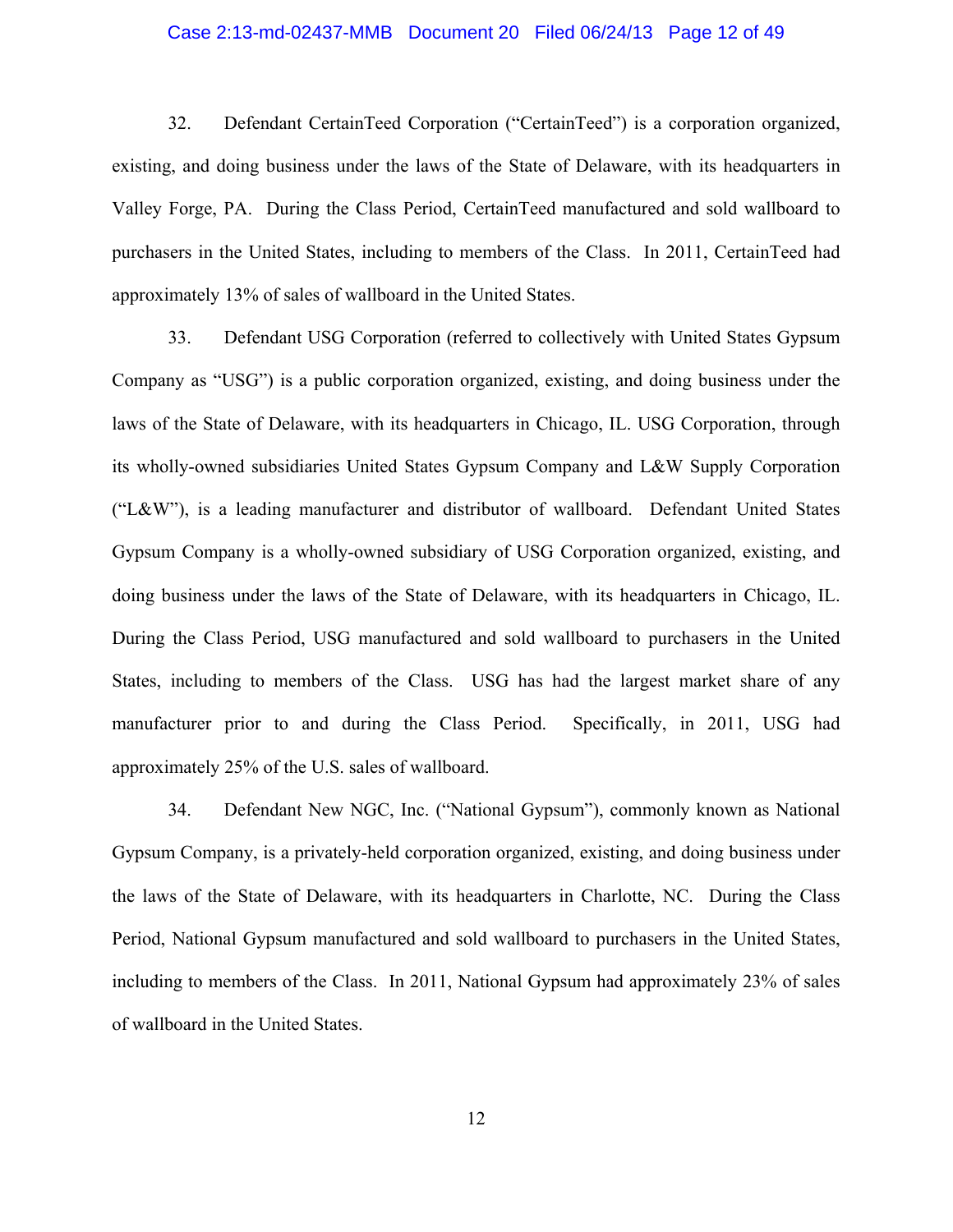#### Case 2:13-md-02437-MMB Document 20 Filed 06/24/13 Page 12 of 49

32. Defendant CertainTeed Corporation ("CertainTeed") is a corporation organized, existing, and doing business under the laws of the State of Delaware, with its headquarters in Valley Forge, PA. During the Class Period, CertainTeed manufactured and sold wallboard to purchasers in the United States, including to members of the Class. In 2011, CertainTeed had approximately 13% of sales of wallboard in the United States.

33. Defendant USG Corporation (referred to collectively with United States Gypsum Company as "USG") is a public corporation organized, existing, and doing business under the laws of the State of Delaware, with its headquarters in Chicago, IL. USG Corporation, through its wholly-owned subsidiaries United States Gypsum Company and L&W Supply Corporation ("L&W"), is a leading manufacturer and distributor of wallboard. Defendant United States Gypsum Company is a wholly-owned subsidiary of USG Corporation organized, existing, and doing business under the laws of the State of Delaware, with its headquarters in Chicago, IL. During the Class Period, USG manufactured and sold wallboard to purchasers in the United States, including to members of the Class. USG has had the largest market share of any manufacturer prior to and during the Class Period. Specifically, in 2011, USG had approximately 25% of the U.S. sales of wallboard.

34. Defendant New NGC, Inc. ("National Gypsum"), commonly known as National Gypsum Company, is a privately-held corporation organized, existing, and doing business under the laws of the State of Delaware, with its headquarters in Charlotte, NC. During the Class Period, National Gypsum manufactured and sold wallboard to purchasers in the United States, including to members of the Class. In 2011, National Gypsum had approximately 23% of sales of wallboard in the United States.

12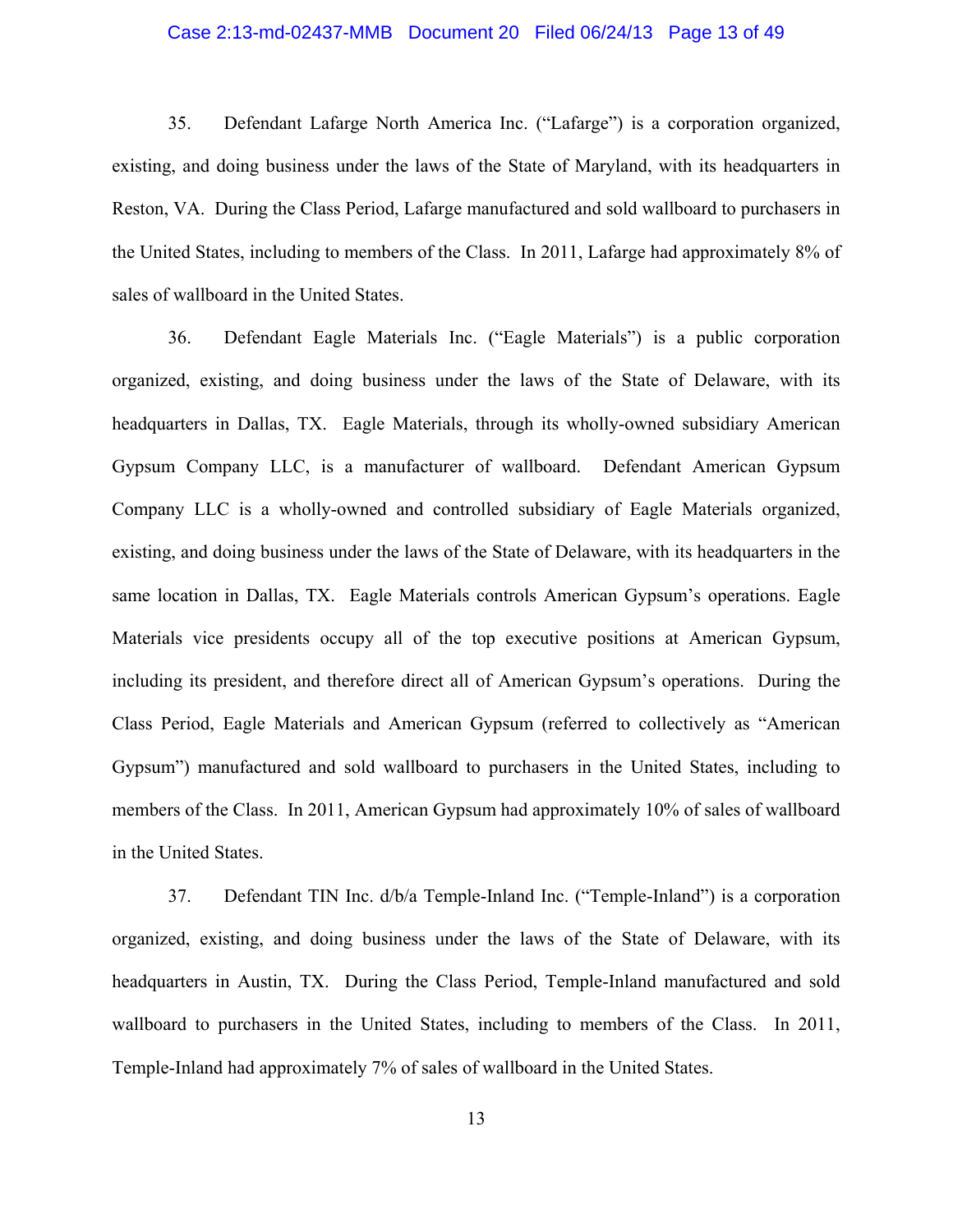#### Case 2:13-md-02437-MMB Document 20 Filed 06/24/13 Page 13 of 49

35. Defendant Lafarge North America Inc. ("Lafarge") is a corporation organized, existing, and doing business under the laws of the State of Maryland, with its headquarters in Reston, VA. During the Class Period, Lafarge manufactured and sold wallboard to purchasers in the United States, including to members of the Class. In 2011, Lafarge had approximately 8% of sales of wallboard in the United States.

36. Defendant Eagle Materials Inc. ("Eagle Materials") is a public corporation organized, existing, and doing business under the laws of the State of Delaware, with its headquarters in Dallas, TX. Eagle Materials, through its wholly-owned subsidiary American Gypsum Company LLC, is a manufacturer of wallboard. Defendant American Gypsum Company LLC is a wholly-owned and controlled subsidiary of Eagle Materials organized, existing, and doing business under the laws of the State of Delaware, with its headquarters in the same location in Dallas, TX. Eagle Materials controls American Gypsum's operations. Eagle Materials vice presidents occupy all of the top executive positions at American Gypsum, including its president, and therefore direct all of American Gypsum's operations. During the Class Period, Eagle Materials and American Gypsum (referred to collectively as "American Gypsum") manufactured and sold wallboard to purchasers in the United States, including to members of the Class. In 2011, American Gypsum had approximately 10% of sales of wallboard in the United States.

37. Defendant TIN Inc. d/b/a Temple-Inland Inc. ("Temple-Inland") is a corporation organized, existing, and doing business under the laws of the State of Delaware, with its headquarters in Austin, TX. During the Class Period, Temple-Inland manufactured and sold wallboard to purchasers in the United States, including to members of the Class. In 2011, Temple-Inland had approximately 7% of sales of wallboard in the United States.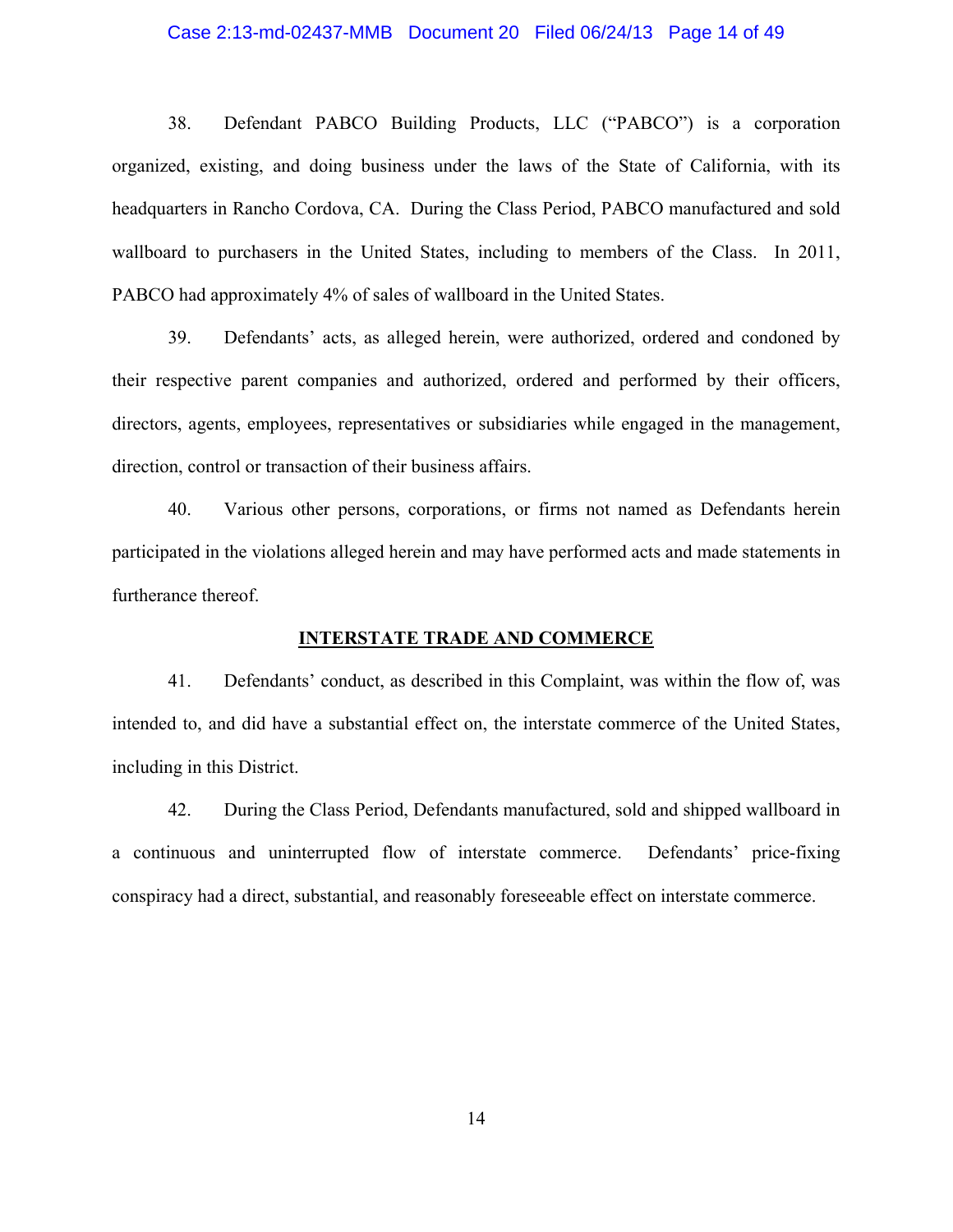#### Case 2:13-md-02437-MMB Document 20 Filed 06/24/13 Page 14 of 49

38. Defendant PABCO Building Products, LLC ("PABCO") is a corporation organized, existing, and doing business under the laws of the State of California, with its headquarters in Rancho Cordova, CA. During the Class Period, PABCO manufactured and sold wallboard to purchasers in the United States, including to members of the Class. In 2011, PABCO had approximately 4% of sales of wallboard in the United States.

39. Defendants' acts, as alleged herein, were authorized, ordered and condoned by their respective parent companies and authorized, ordered and performed by their officers, directors, agents, employees, representatives or subsidiaries while engaged in the management, direction, control or transaction of their business affairs.

40. Various other persons, corporations, or firms not named as Defendants herein participated in the violations alleged herein and may have performed acts and made statements in furtherance thereof.

#### **INTERSTATE TRADE AND COMMERCE**

41. Defendants' conduct, as described in this Complaint, was within the flow of, was intended to, and did have a substantial effect on, the interstate commerce of the United States, including in this District.

42. During the Class Period, Defendants manufactured, sold and shipped wallboard in a continuous and uninterrupted flow of interstate commerce. Defendants' price-fixing conspiracy had a direct, substantial, and reasonably foreseeable effect on interstate commerce.

14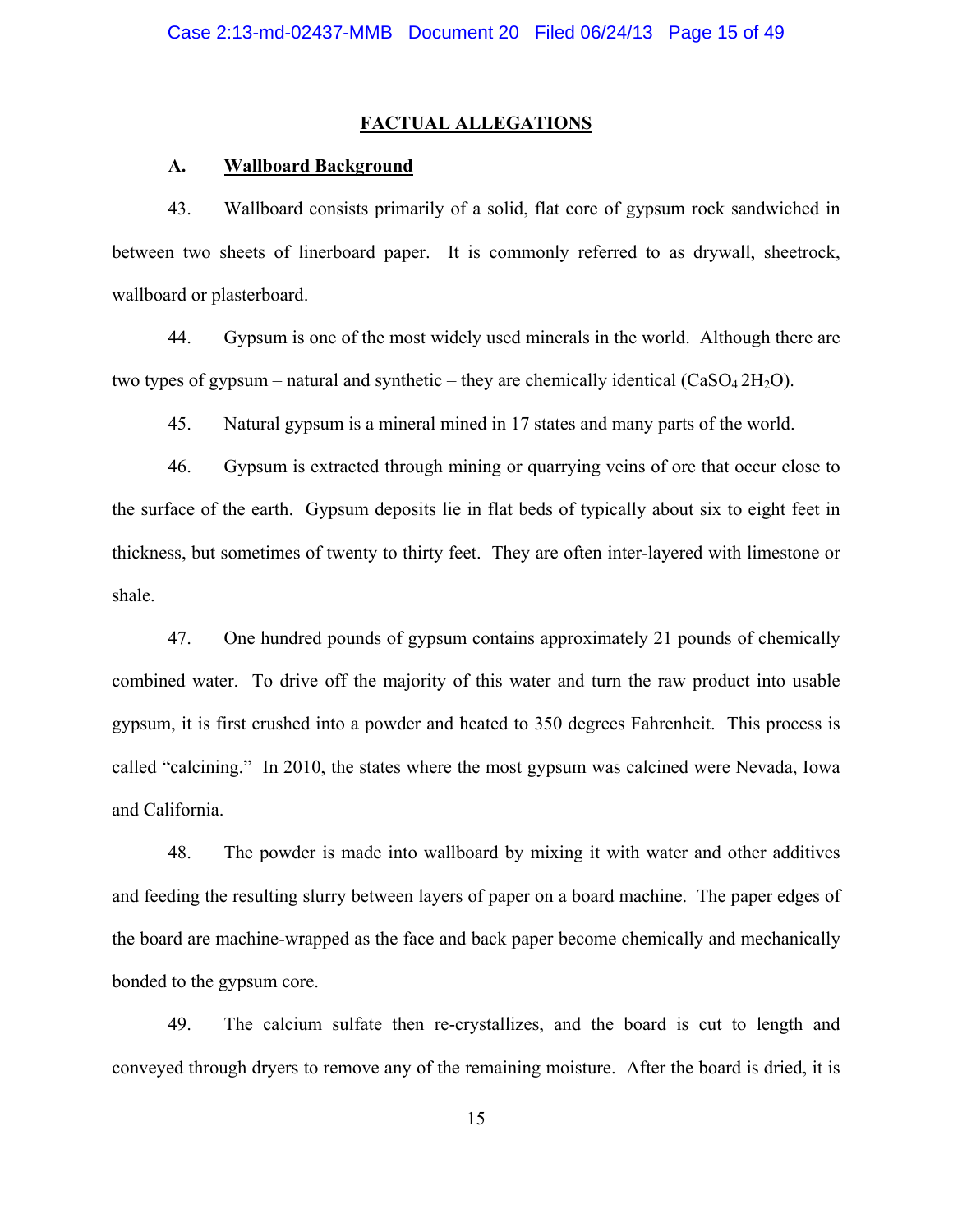#### **FACTUAL ALLEGATIONS**

#### **A. Wallboard Background**

43. Wallboard consists primarily of a solid, flat core of gypsum rock sandwiched in between two sheets of linerboard paper. It is commonly referred to as drywall, sheetrock, wallboard or plasterboard.

44. Gypsum is one of the most widely used minerals in the world. Although there are two types of gypsum – natural and synthetic – they are chemically identical  $(CaSO<sub>4</sub> 2H<sub>2</sub>O)$ .

45. Natural gypsum is a mineral mined in 17 states and many parts of the world.

46. Gypsum is extracted through mining or quarrying veins of ore that occur close to the surface of the earth. Gypsum deposits lie in flat beds of typically about six to eight feet in thickness, but sometimes of twenty to thirty feet. They are often inter-layered with limestone or shale.

47. One hundred pounds of gypsum contains approximately 21 pounds of chemically combined water. To drive off the majority of this water and turn the raw product into usable gypsum, it is first crushed into a powder and heated to 350 degrees Fahrenheit. This process is called "calcining." In 2010, the states where the most gypsum was calcined were Nevada, Iowa and California.

48. The powder is made into wallboard by mixing it with water and other additives and feeding the resulting slurry between layers of paper on a board machine. The paper edges of the board are machine-wrapped as the face and back paper become chemically and mechanically bonded to the gypsum core.

49. The calcium sulfate then re-crystallizes, and the board is cut to length and conveyed through dryers to remove any of the remaining moisture. After the board is dried, it is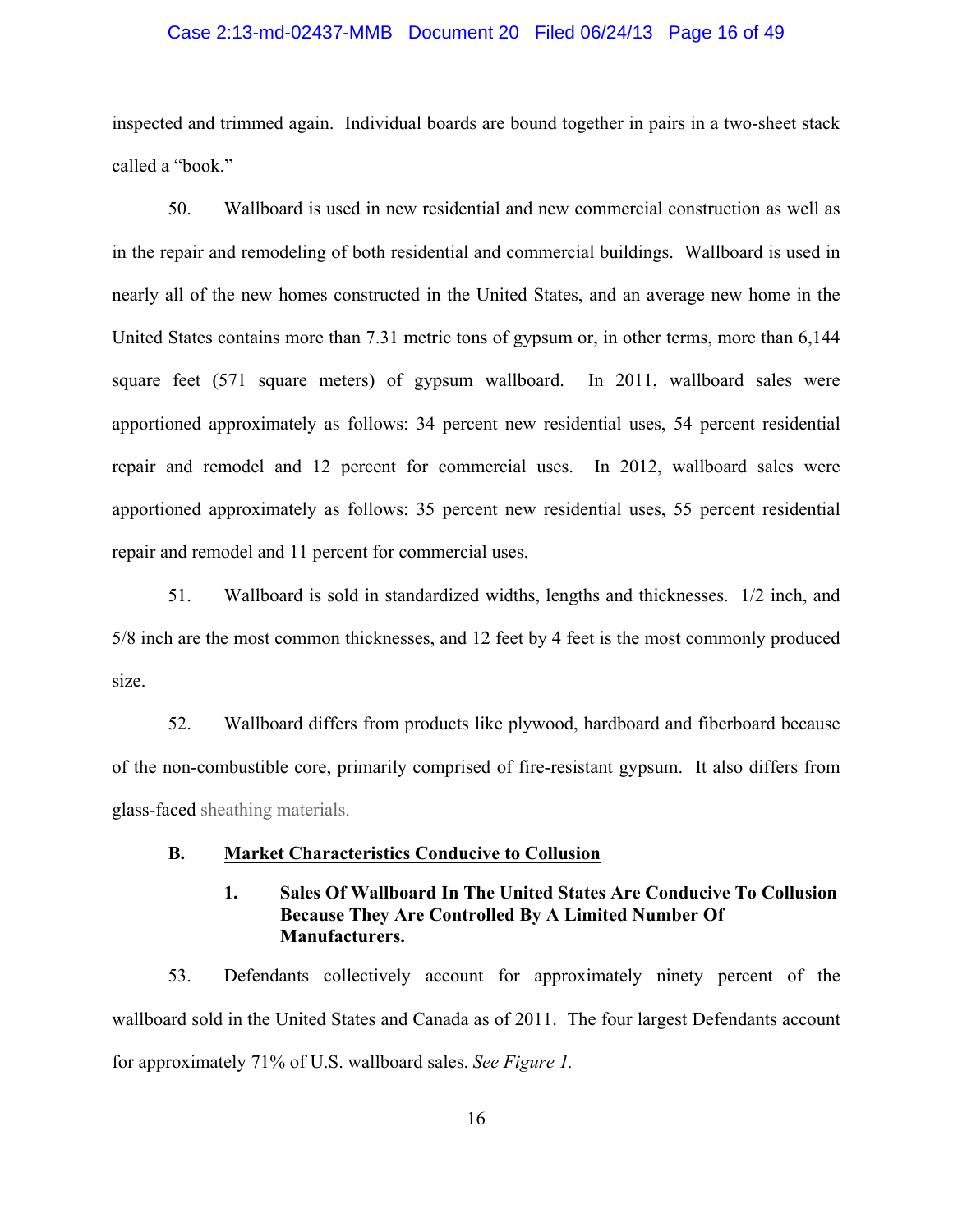#### Case 2:13-md-02437-MMB Document 20 Filed 06/24/13 Page 16 of 49

inspected and trimmed again. Individual boards are bound together in pairs in a two-sheet stack called a "book."

50. Wallboard is used in new residential and new commercial construction as well as in the repair and remodeling of both residential and commercial buildings. Wallboard is used in nearly all of the new homes constructed in the United States, and an average new home in the United States contains more than 7.31 metric tons of gypsum or, in other terms, more than 6,144 square feet (571 square meters) of gypsum wallboard. In 2011, wallboard sales were apportioned approximately as follows: 34 percent new residential uses, 54 percent residential repair and remodel and 12 percent for commercial uses. In 2012, wallboard sales were apportioned approximately as follows: 35 percent new residential uses, 55 percent residential repair and remodel and 11 percent for commercial uses.

51. Wallboard is sold in standardized widths, lengths and thicknesses. 1/2 inch, and 5/8 inch are the most common thicknesses, and 12 feet by 4 feet is the most commonly produced size.

52. Wallboard differs from products like plywood, hardboard and fiberboard because of the non-combustible core, primarily comprised of fire-resistant gypsum. It also differs from glass-faced sheathing materials.

#### **B. Market Characteristics Conducive to Collusion**

## **1. Sales Of Wallboard In The United States Are Conducive To Collusion Because They Are Controlled By A Limited Number Of Manufacturers.**

53. Defendants collectively account for approximately ninety percent of the wallboard sold in the United States and Canada as of 2011. The four largest Defendants account for approximately 71% of U.S. wallboard sales. *See Figure 1.*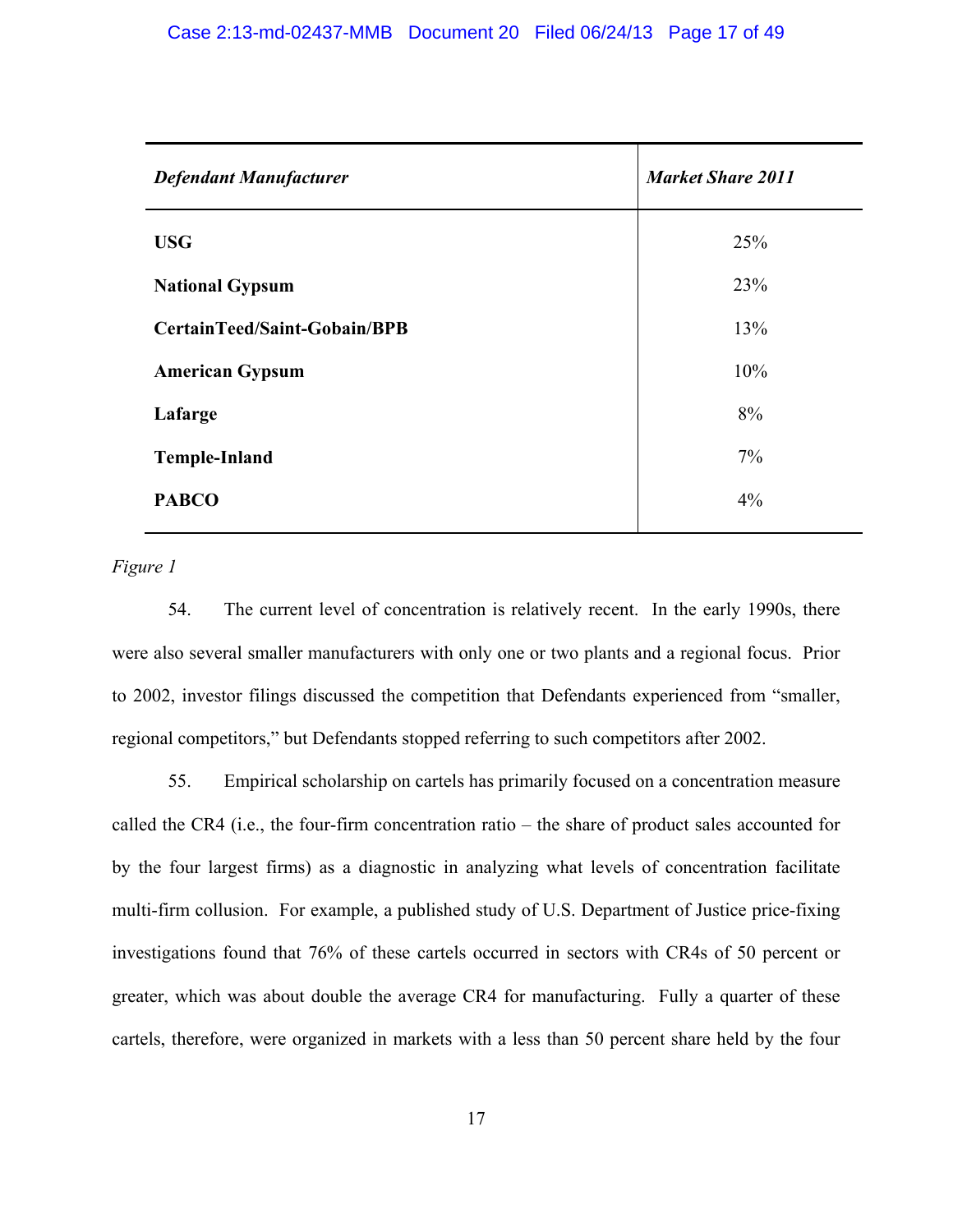| <b>Defendant Manufacturer</b> | <b>Market Share 2011</b> |
|-------------------------------|--------------------------|
| <b>USG</b>                    | 25%                      |
| <b>National Gypsum</b>        | 23%                      |
| CertainTeed/Saint-Gobain/BPB  | 13%                      |
| <b>American Gypsum</b>        | 10%                      |
| Lafarge                       | 8%                       |
| <b>Temple-Inland</b>          | $7\%$                    |
| <b>PABCO</b>                  | 4%                       |
|                               |                          |

## *Figure 1*

54. The current level of concentration is relatively recent. In the early 1990s, there were also several smaller manufacturers with only one or two plants and a regional focus. Prior to 2002, investor filings discussed the competition that Defendants experienced from "smaller, regional competitors," but Defendants stopped referring to such competitors after 2002.

55. Empirical scholarship on cartels has primarily focused on a concentration measure called the CR4 (i.e., the four-firm concentration ratio – the share of product sales accounted for by the four largest firms) as a diagnostic in analyzing what levels of concentration facilitate multi-firm collusion. For example, a published study of U.S. Department of Justice price-fixing investigations found that 76% of these cartels occurred in sectors with CR4s of 50 percent or greater, which was about double the average CR4 for manufacturing. Fully a quarter of these cartels, therefore, were organized in markets with a less than 50 percent share held by the four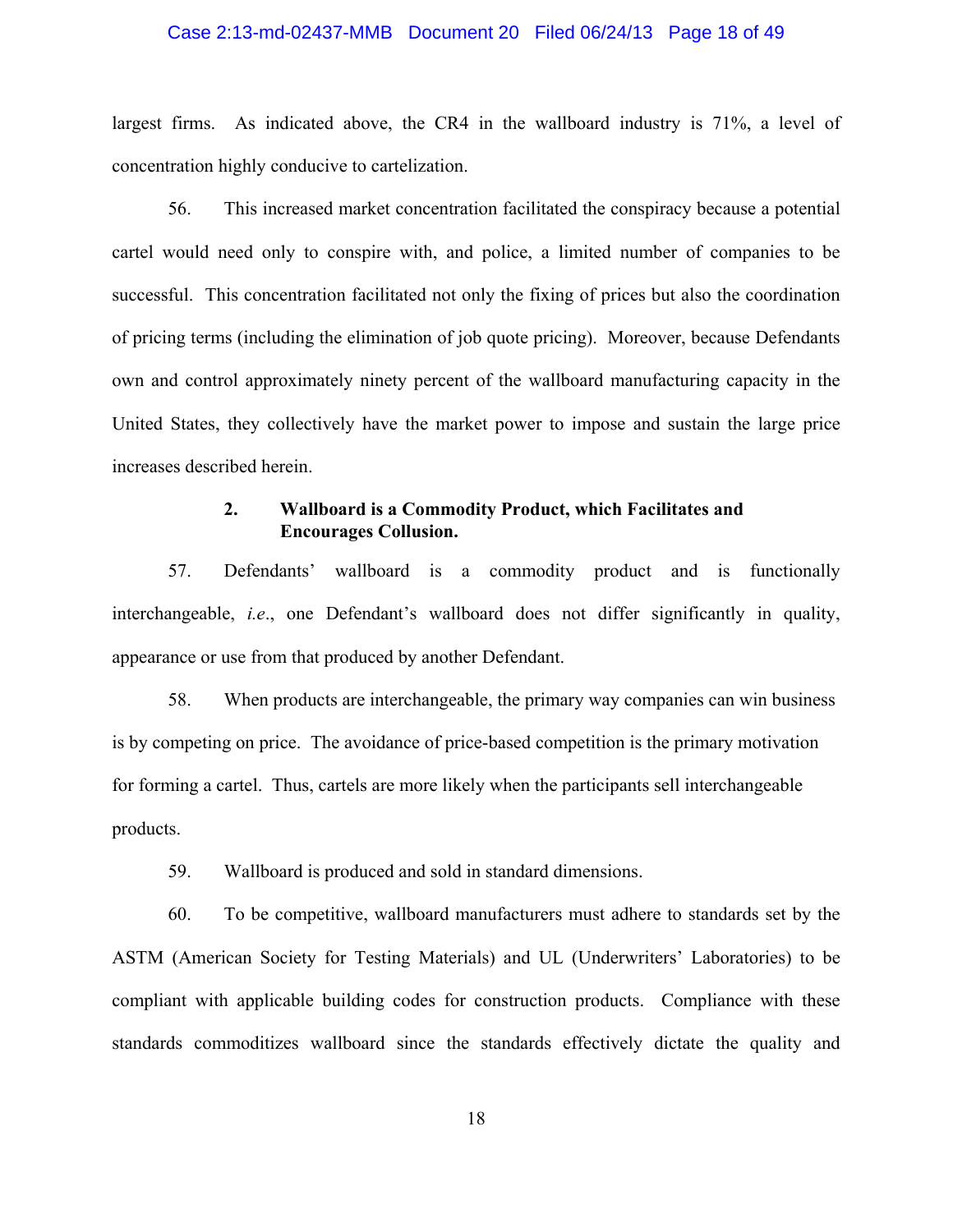#### Case 2:13-md-02437-MMB Document 20 Filed 06/24/13 Page 18 of 49

largest firms. As indicated above, the CR4 in the wallboard industry is 71%, a level of concentration highly conducive to cartelization.

56. This increased market concentration facilitated the conspiracy because a potential cartel would need only to conspire with, and police, a limited number of companies to be successful. This concentration facilitated not only the fixing of prices but also the coordination of pricing terms (including the elimination of job quote pricing). Moreover, because Defendants own and control approximately ninety percent of the wallboard manufacturing capacity in the United States, they collectively have the market power to impose and sustain the large price increases described herein.

## **2. Wallboard is a Commodity Product, which Facilitates and Encourages Collusion.**

57. Defendants' wallboard is a commodity product and is functionally interchangeable, *i.e*., one Defendant's wallboard does not differ significantly in quality, appearance or use from that produced by another Defendant.

58. When products are interchangeable, the primary way companies can win business is by competing on price. The avoidance of price-based competition is the primary motivation for forming a cartel. Thus, cartels are more likely when the participants sell interchangeable products.

59. Wallboard is produced and sold in standard dimensions.

60. To be competitive, wallboard manufacturers must adhere to standards set by the ASTM (American Society for Testing Materials) and UL (Underwriters' Laboratories) to be compliant with applicable building codes for construction products. Compliance with these standards commoditizes wallboard since the standards effectively dictate the quality and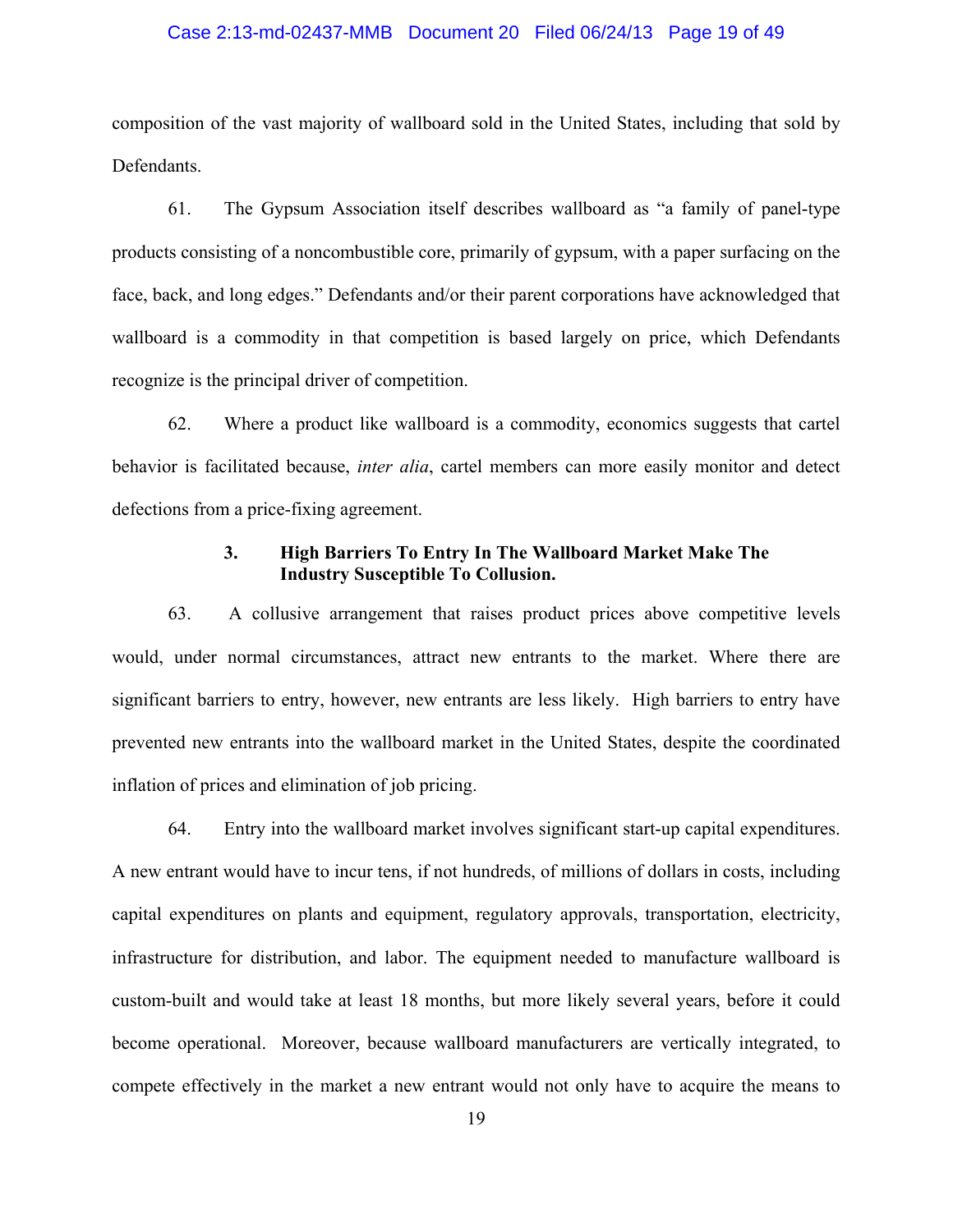#### Case 2:13-md-02437-MMB Document 20 Filed 06/24/13 Page 19 of 49

composition of the vast majority of wallboard sold in the United States, including that sold by Defendants.

61. The Gypsum Association itself describes wallboard as "a family of panel-type products consisting of a noncombustible core, primarily of gypsum, with a paper surfacing on the face, back, and long edges." Defendants and/or their parent corporations have acknowledged that wallboard is a commodity in that competition is based largely on price, which Defendants recognize is the principal driver of competition.

62. Where a product like wallboard is a commodity, economics suggests that cartel behavior is facilitated because, *inter alia*, cartel members can more easily monitor and detect defections from a price-fixing agreement.

## **3. High Barriers To Entry In The Wallboard Market Make The Industry Susceptible To Collusion.**

63. A collusive arrangement that raises product prices above competitive levels would, under normal circumstances, attract new entrants to the market. Where there are significant barriers to entry, however, new entrants are less likely. High barriers to entry have prevented new entrants into the wallboard market in the United States, despite the coordinated inflation of prices and elimination of job pricing.

64. Entry into the wallboard market involves significant start-up capital expenditures. A new entrant would have to incur tens, if not hundreds, of millions of dollars in costs, including capital expenditures on plants and equipment, regulatory approvals, transportation, electricity, infrastructure for distribution, and labor. The equipment needed to manufacture wallboard is custom-built and would take at least 18 months, but more likely several years, before it could become operational. Moreover, because wallboard manufacturers are vertically integrated, to compete effectively in the market a new entrant would not only have to acquire the means to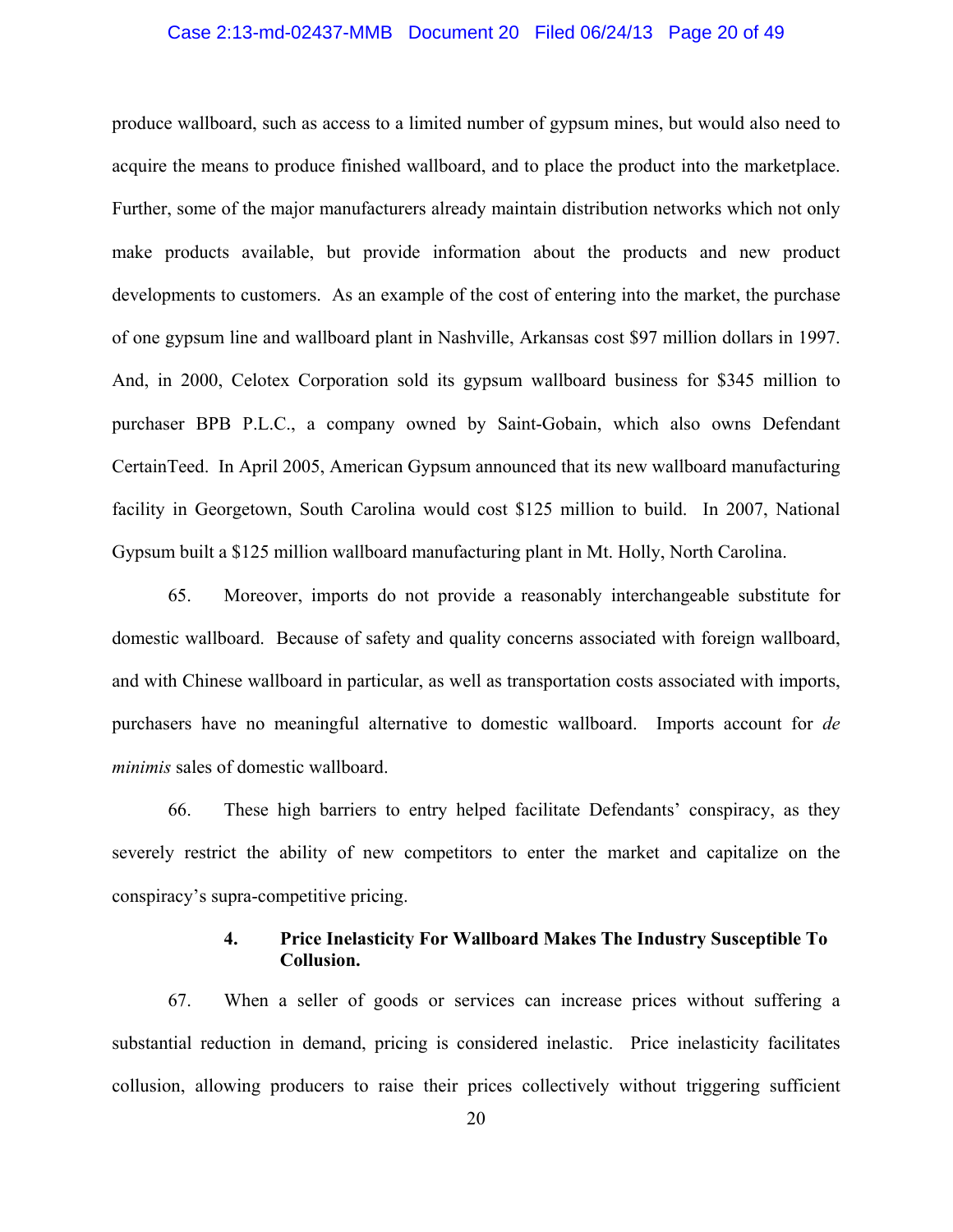#### Case 2:13-md-02437-MMB Document 20 Filed 06/24/13 Page 20 of 49

produce wallboard, such as access to a limited number of gypsum mines, but would also need to acquire the means to produce finished wallboard, and to place the product into the marketplace. Further, some of the major manufacturers already maintain distribution networks which not only make products available, but provide information about the products and new product developments to customers. As an example of the cost of entering into the market, the purchase of one gypsum line and wallboard plant in Nashville, Arkansas cost \$97 million dollars in 1997. And, in 2000, Celotex Corporation sold its gypsum wallboard business for \$345 million to purchaser BPB P.L.C., a company owned by Saint-Gobain, which also owns Defendant CertainTeed. In April 2005, American Gypsum announced that its new wallboard manufacturing facility in Georgetown, South Carolina would cost \$125 million to build. In 2007, National Gypsum built a \$125 million wallboard manufacturing plant in Mt. Holly, North Carolina.

65. Moreover, imports do not provide a reasonably interchangeable substitute for domestic wallboard. Because of safety and quality concerns associated with foreign wallboard, and with Chinese wallboard in particular, as well as transportation costs associated with imports, purchasers have no meaningful alternative to domestic wallboard. Imports account for *de minimis* sales of domestic wallboard.

66. These high barriers to entry helped facilitate Defendants' conspiracy, as they severely restrict the ability of new competitors to enter the market and capitalize on the conspiracy's supra-competitive pricing.

## **4. Price Inelasticity For Wallboard Makes The Industry Susceptible To Collusion.**

67. When a seller of goods or services can increase prices without suffering a substantial reduction in demand, pricing is considered inelastic. Price inelasticity facilitates collusion, allowing producers to raise their prices collectively without triggering sufficient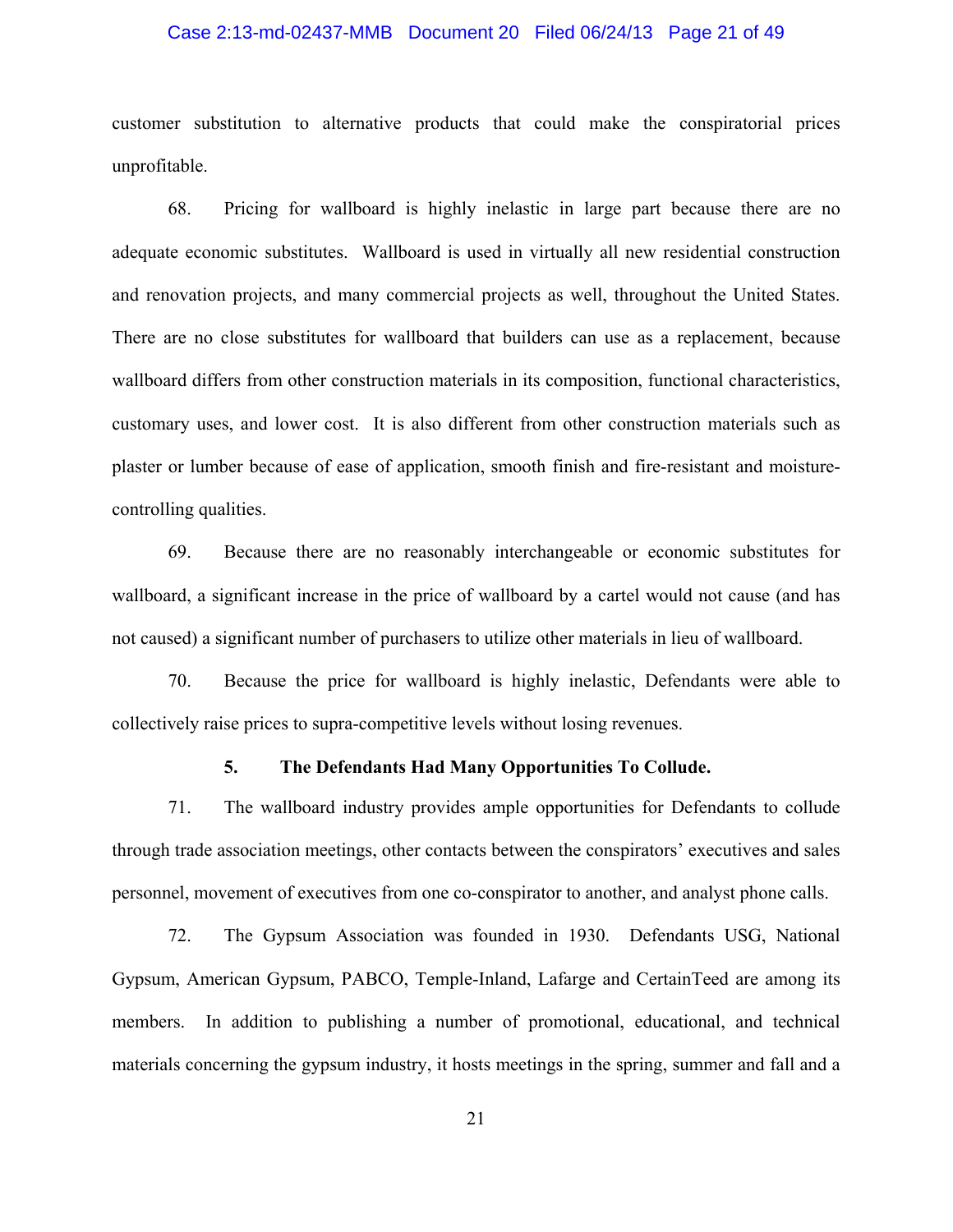#### Case 2:13-md-02437-MMB Document 20 Filed 06/24/13 Page 21 of 49

customer substitution to alternative products that could make the conspiratorial prices unprofitable.

68. Pricing for wallboard is highly inelastic in large part because there are no adequate economic substitutes. Wallboard is used in virtually all new residential construction and renovation projects, and many commercial projects as well, throughout the United States. There are no close substitutes for wallboard that builders can use as a replacement, because wallboard differs from other construction materials in its composition, functional characteristics, customary uses, and lower cost. It is also different from other construction materials such as plaster or lumber because of ease of application, smooth finish and fire-resistant and moisturecontrolling qualities.

69. Because there are no reasonably interchangeable or economic substitutes for wallboard, a significant increase in the price of wallboard by a cartel would not cause (and has not caused) a significant number of purchasers to utilize other materials in lieu of wallboard.

70. Because the price for wallboard is highly inelastic, Defendants were able to collectively raise prices to supra-competitive levels without losing revenues.

### **5. The Defendants Had Many Opportunities To Collude.**

71. The wallboard industry provides ample opportunities for Defendants to collude through trade association meetings, other contacts between the conspirators' executives and sales personnel, movement of executives from one co-conspirator to another, and analyst phone calls.

72. The Gypsum Association was founded in 1930. Defendants USG, National Gypsum, American Gypsum, PABCO, Temple-Inland, Lafarge and CertainTeed are among its members. In addition to publishing a number of promotional, educational, and technical materials concerning the gypsum industry, it hosts meetings in the spring, summer and fall and a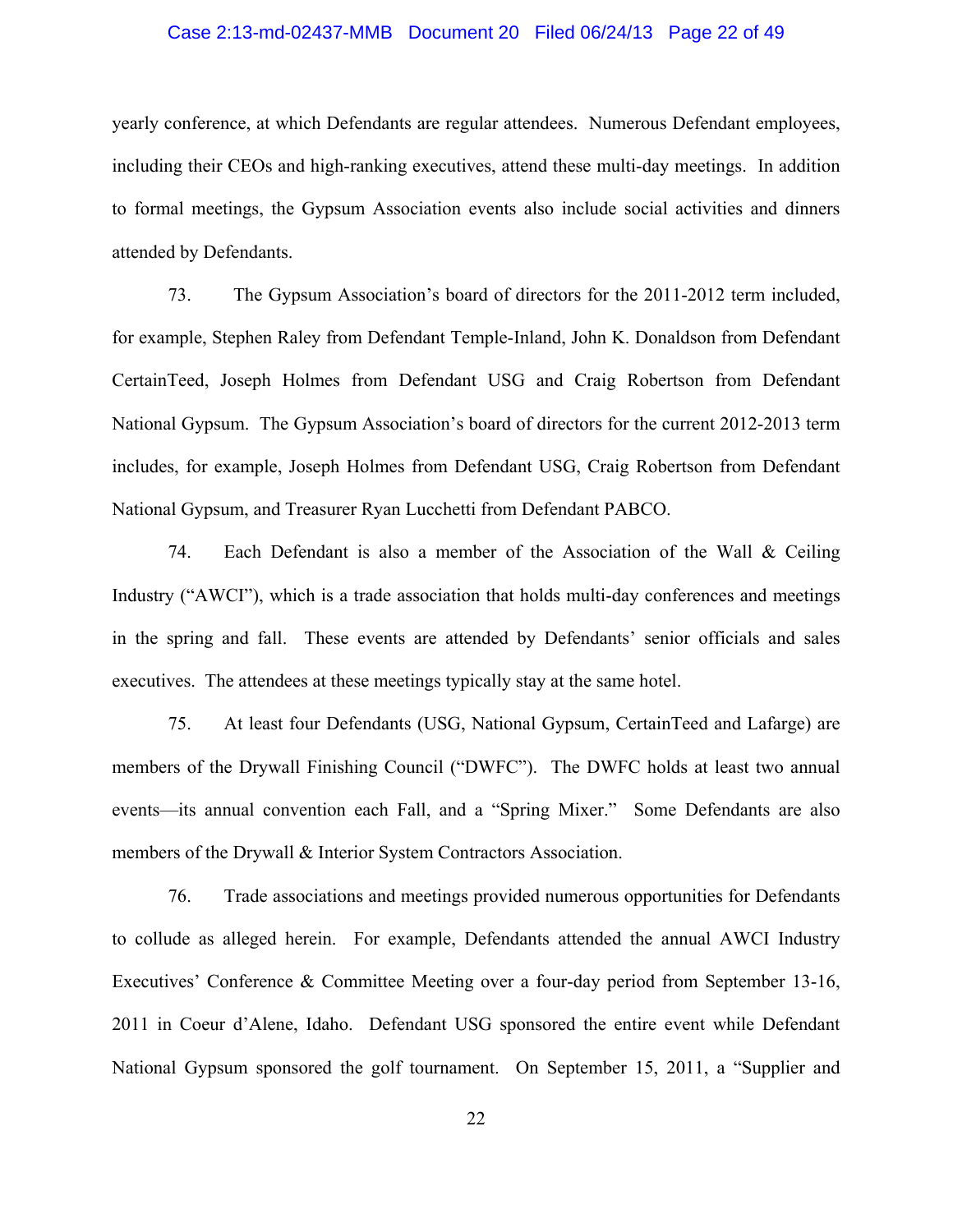#### Case 2:13-md-02437-MMB Document 20 Filed 06/24/13 Page 22 of 49

yearly conference, at which Defendants are regular attendees. Numerous Defendant employees, including their CEOs and high-ranking executives, attend these multi-day meetings. In addition to formal meetings, the Gypsum Association events also include social activities and dinners attended by Defendants.

73. The Gypsum Association's board of directors for the 2011-2012 term included, for example, Stephen Raley from Defendant Temple-Inland, John K. Donaldson from Defendant CertainTeed, Joseph Holmes from Defendant USG and Craig Robertson from Defendant National Gypsum. The Gypsum Association's board of directors for the current 2012-2013 term includes, for example, Joseph Holmes from Defendant USG, Craig Robertson from Defendant National Gypsum, and Treasurer Ryan Lucchetti from Defendant PABCO.

74. Each Defendant is also a member of the Association of the Wall & Ceiling Industry ("AWCI"), which is a trade association that holds multi-day conferences and meetings in the spring and fall. These events are attended by Defendants' senior officials and sales executives. The attendees at these meetings typically stay at the same hotel.

75. At least four Defendants (USG, National Gypsum, CertainTeed and Lafarge) are members of the Drywall Finishing Council ("DWFC"). The DWFC holds at least two annual events—its annual convention each Fall, and a "Spring Mixer." Some Defendants are also members of the Drywall & Interior System Contractors Association.

76. Trade associations and meetings provided numerous opportunities for Defendants to collude as alleged herein. For example, Defendants attended the annual AWCI Industry Executives' Conference & Committee Meeting over a four-day period from September 13-16, 2011 in Coeur d'Alene, Idaho. Defendant USG sponsored the entire event while Defendant National Gypsum sponsored the golf tournament. On September 15, 2011, a "Supplier and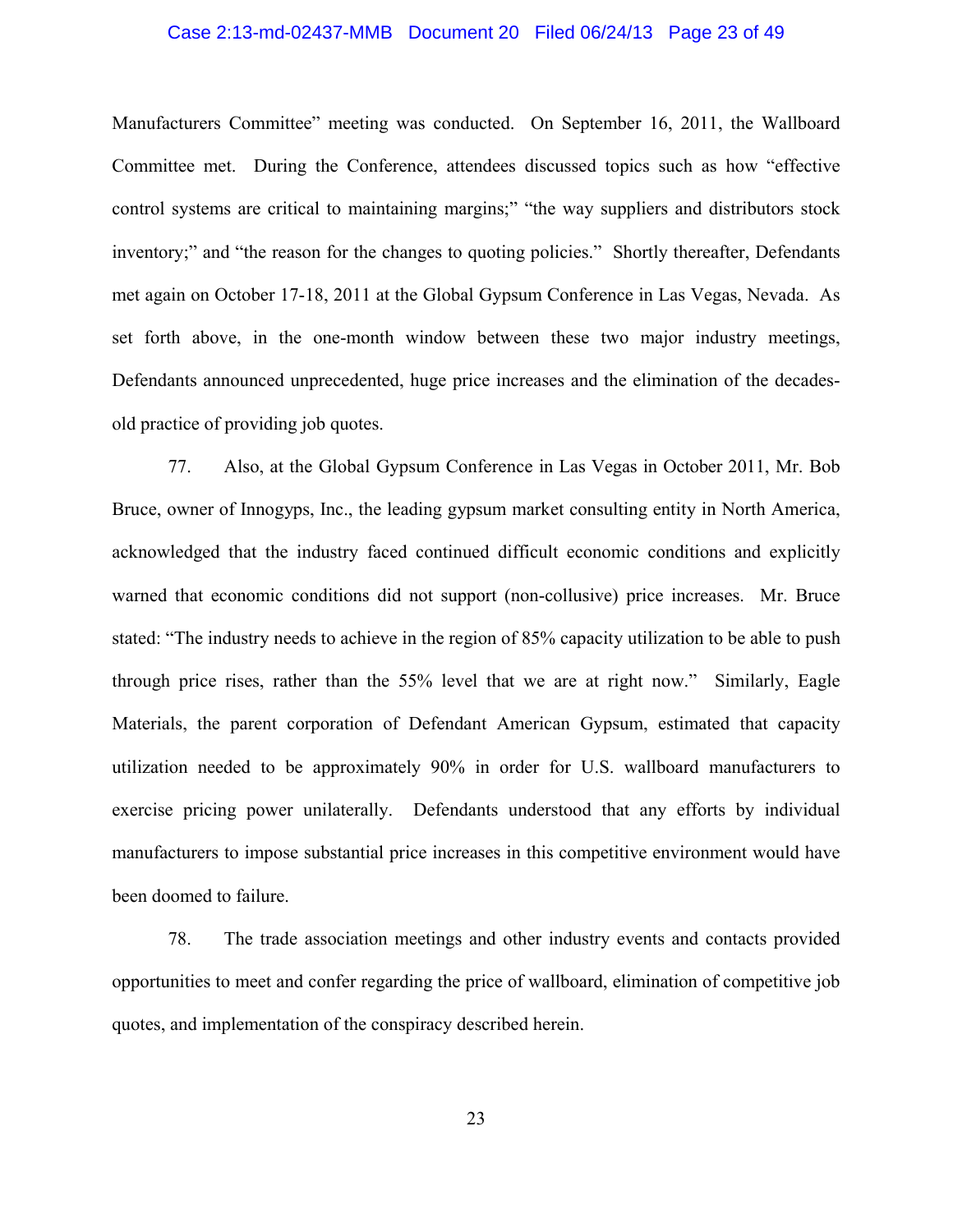#### Case 2:13-md-02437-MMB Document 20 Filed 06/24/13 Page 23 of 49

Manufacturers Committee" meeting was conducted. On September 16, 2011, the Wallboard Committee met. During the Conference, attendees discussed topics such as how "effective control systems are critical to maintaining margins;" "the way suppliers and distributors stock inventory;" and "the reason for the changes to quoting policies." Shortly thereafter, Defendants met again on October 17-18, 2011 at the Global Gypsum Conference in Las Vegas, Nevada. As set forth above, in the one-month window between these two major industry meetings, Defendants announced unprecedented, huge price increases and the elimination of the decadesold practice of providing job quotes.

77. Also, at the Global Gypsum Conference in Las Vegas in October 2011, Mr. Bob Bruce, owner of Innogyps, Inc., the leading gypsum market consulting entity in North America, acknowledged that the industry faced continued difficult economic conditions and explicitly warned that economic conditions did not support (non-collusive) price increases. Mr. Bruce stated: "The industry needs to achieve in the region of 85% capacity utilization to be able to push through price rises, rather than the 55% level that we are at right now." Similarly, Eagle Materials, the parent corporation of Defendant American Gypsum, estimated that capacity utilization needed to be approximately 90% in order for U.S. wallboard manufacturers to exercise pricing power unilaterally. Defendants understood that any efforts by individual manufacturers to impose substantial price increases in this competitive environment would have been doomed to failure.

78. The trade association meetings and other industry events and contacts provided opportunities to meet and confer regarding the price of wallboard, elimination of competitive job quotes, and implementation of the conspiracy described herein.

23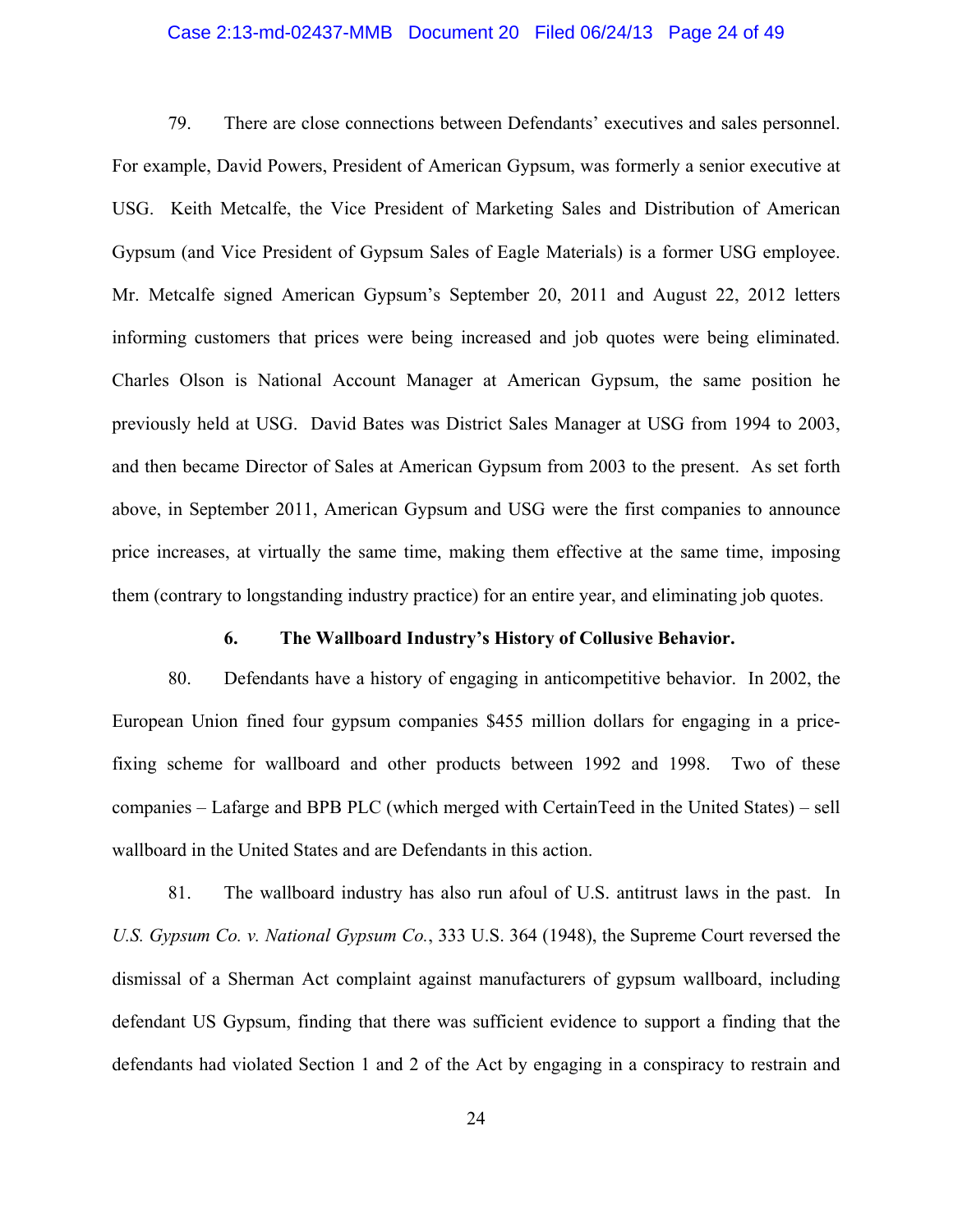#### Case 2:13-md-02437-MMB Document 20 Filed 06/24/13 Page 24 of 49

79. There are close connections between Defendants' executives and sales personnel. For example, David Powers, President of American Gypsum, was formerly a senior executive at USG. Keith Metcalfe, the Vice President of Marketing Sales and Distribution of American Gypsum (and Vice President of Gypsum Sales of Eagle Materials) is a former USG employee. Mr. Metcalfe signed American Gypsum's September 20, 2011 and August 22, 2012 letters informing customers that prices were being increased and job quotes were being eliminated. Charles Olson is National Account Manager at American Gypsum, the same position he previously held at USG. David Bates was District Sales Manager at USG from 1994 to 2003, and then became Director of Sales at American Gypsum from 2003 to the present. As set forth above, in September 2011, American Gypsum and USG were the first companies to announce price increases, at virtually the same time, making them effective at the same time, imposing them (contrary to longstanding industry practice) for an entire year, and eliminating job quotes.

### **6. The Wallboard Industry's History of Collusive Behavior.**

80. Defendants have a history of engaging in anticompetitive behavior. In 2002, the European Union fined four gypsum companies \$455 million dollars for engaging in a pricefixing scheme for wallboard and other products between 1992 and 1998. Two of these companies – Lafarge and BPB PLC (which merged with CertainTeed in the United States) – sell wallboard in the United States and are Defendants in this action.

81. The wallboard industry has also run afoul of U.S. antitrust laws in the past. In *U.S. Gypsum Co. v. National Gypsum Co.*, 333 U.S. 364 (1948), the Supreme Court reversed the dismissal of a Sherman Act complaint against manufacturers of gypsum wallboard, including defendant US Gypsum, finding that there was sufficient evidence to support a finding that the defendants had violated Section 1 and 2 of the Act by engaging in a conspiracy to restrain and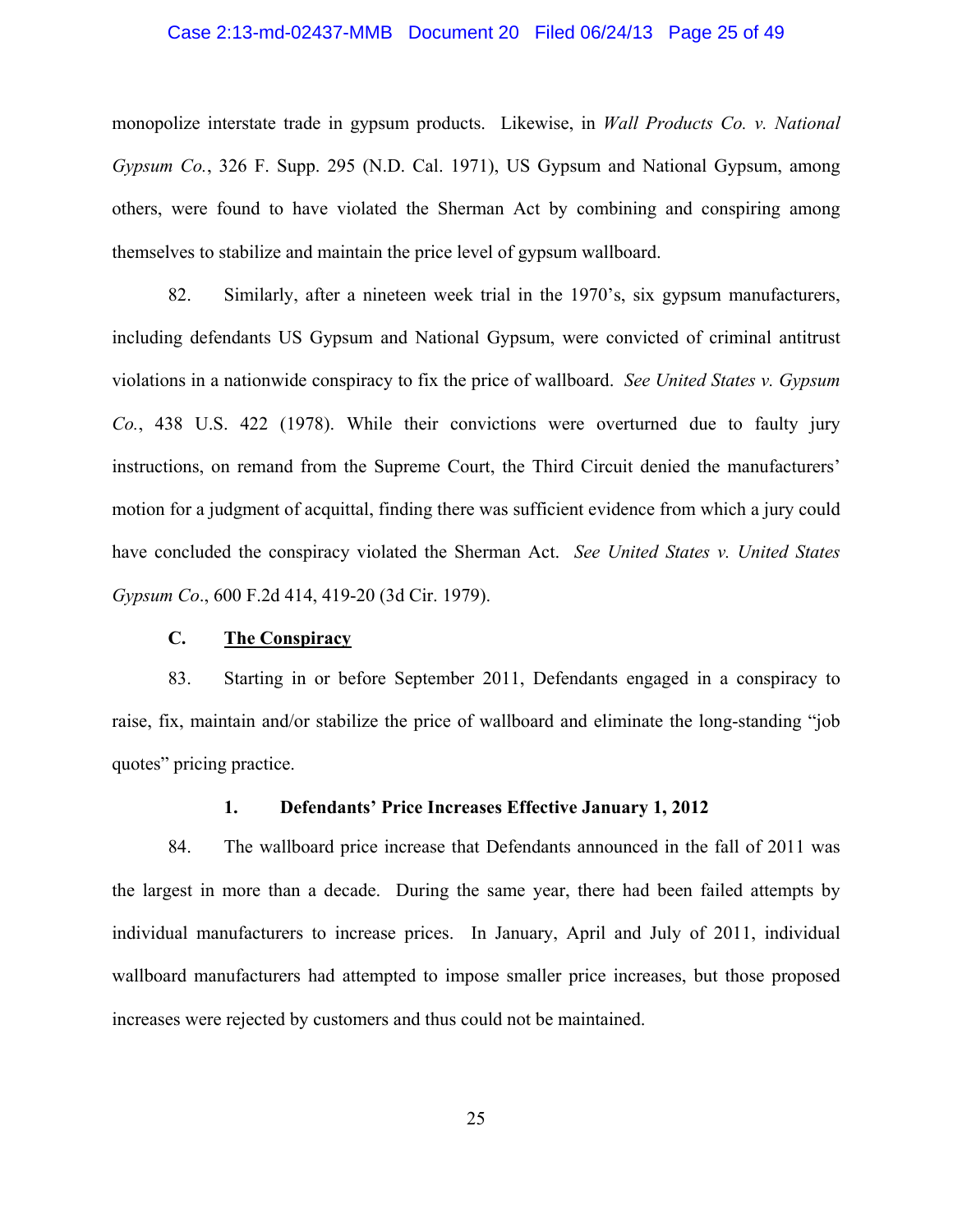#### Case 2:13-md-02437-MMB Document 20 Filed 06/24/13 Page 25 of 49

monopolize interstate trade in gypsum products. Likewise, in *Wall Products Co. v. National Gypsum Co.*, 326 F. Supp. 295 (N.D. Cal. 1971), US Gypsum and National Gypsum, among others, were found to have violated the Sherman Act by combining and conspiring among themselves to stabilize and maintain the price level of gypsum wallboard.

82. Similarly, after a nineteen week trial in the 1970's, six gypsum manufacturers, including defendants US Gypsum and National Gypsum, were convicted of criminal antitrust violations in a nationwide conspiracy to fix the price of wallboard. *See United States v. Gypsum Co.*, 438 U.S. 422 (1978). While their convictions were overturned due to faulty jury instructions, on remand from the Supreme Court, the Third Circuit denied the manufacturers' motion for a judgment of acquittal, finding there was sufficient evidence from which a jury could have concluded the conspiracy violated the Sherman Act. *See United States v. United States Gypsum Co*., 600 F.2d 414, 419-20 (3d Cir. 1979).

#### **C. The Conspiracy**

83. Starting in or before September 2011, Defendants engaged in a conspiracy to raise, fix, maintain and/or stabilize the price of wallboard and eliminate the long-standing "job quotes" pricing practice.

### **1. Defendants' Price Increases Effective January 1, 2012**

84. The wallboard price increase that Defendants announced in the fall of 2011 was the largest in more than a decade. During the same year, there had been failed attempts by individual manufacturers to increase prices. In January, April and July of 2011, individual wallboard manufacturers had attempted to impose smaller price increases, but those proposed increases were rejected by customers and thus could not be maintained.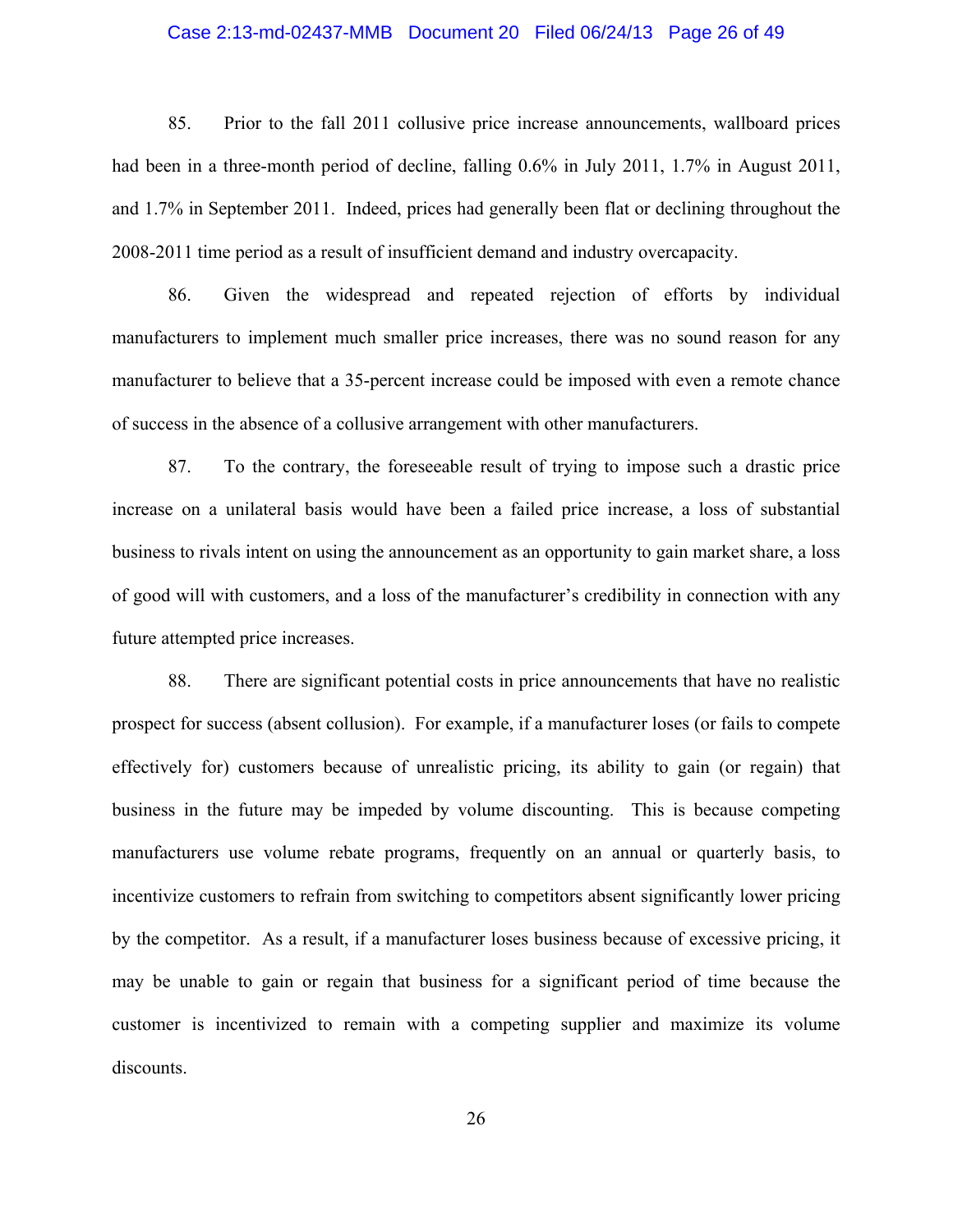#### Case 2:13-md-02437-MMB Document 20 Filed 06/24/13 Page 26 of 49

85. Prior to the fall 2011 collusive price increase announcements, wallboard prices had been in a three-month period of decline, falling  $0.6\%$  in July 2011, 1.7% in August 2011, and 1.7% in September 2011. Indeed, prices had generally been flat or declining throughout the 2008-2011 time period as a result of insufficient demand and industry overcapacity.

86. Given the widespread and repeated rejection of efforts by individual manufacturers to implement much smaller price increases, there was no sound reason for any manufacturer to believe that a 35-percent increase could be imposed with even a remote chance of success in the absence of a collusive arrangement with other manufacturers.

87. To the contrary, the foreseeable result of trying to impose such a drastic price increase on a unilateral basis would have been a failed price increase, a loss of substantial business to rivals intent on using the announcement as an opportunity to gain market share, a loss of good will with customers, and a loss of the manufacturer's credibility in connection with any future attempted price increases.

88. There are significant potential costs in price announcements that have no realistic prospect for success (absent collusion). For example, if a manufacturer loses (or fails to compete effectively for) customers because of unrealistic pricing, its ability to gain (or regain) that business in the future may be impeded by volume discounting. This is because competing manufacturers use volume rebate programs, frequently on an annual or quarterly basis, to incentivize customers to refrain from switching to competitors absent significantly lower pricing by the competitor. As a result, if a manufacturer loses business because of excessive pricing, it may be unable to gain or regain that business for a significant period of time because the customer is incentivized to remain with a competing supplier and maximize its volume discounts.

26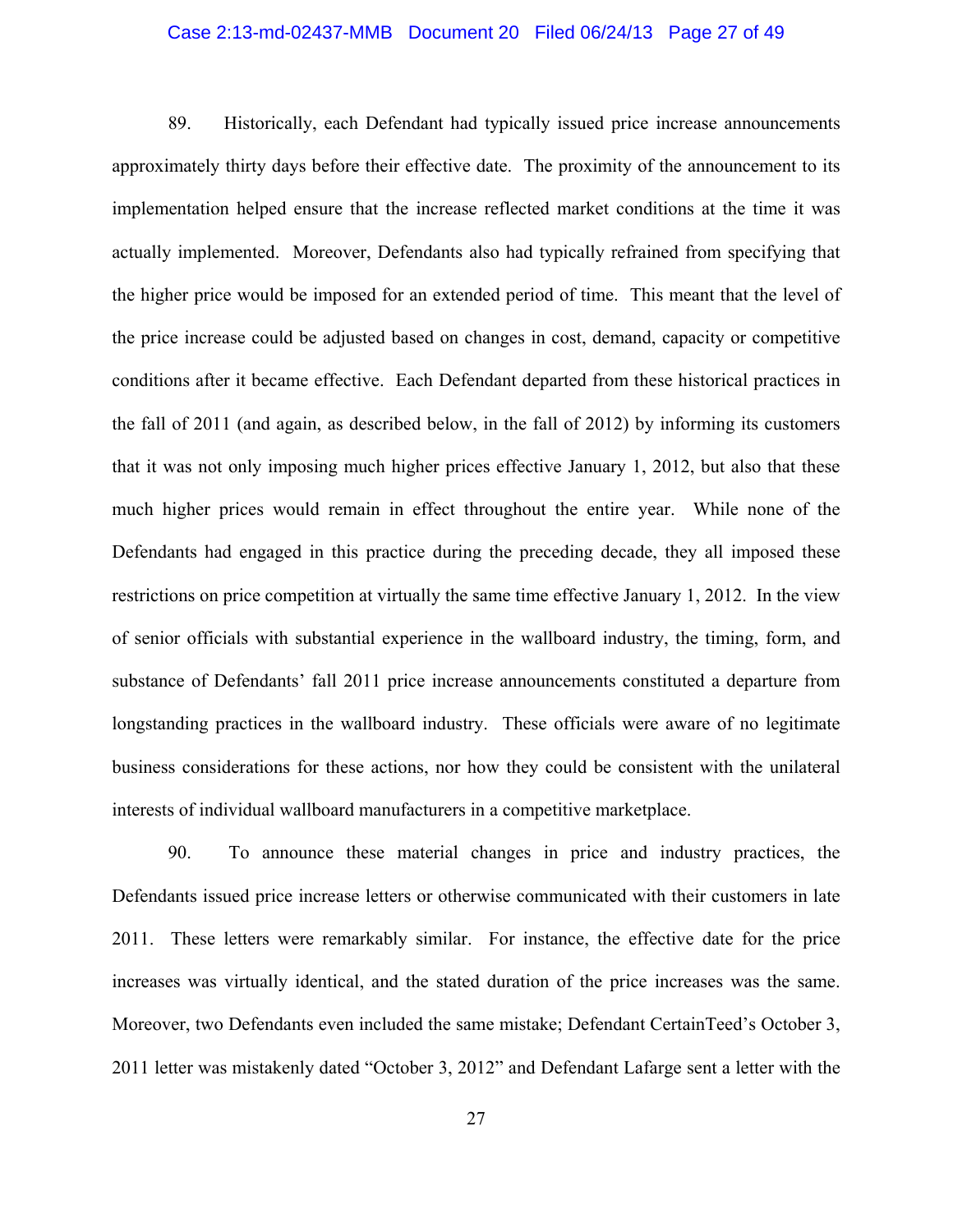#### Case 2:13-md-02437-MMB Document 20 Filed 06/24/13 Page 27 of 49

89. Historically, each Defendant had typically issued price increase announcements approximately thirty days before their effective date. The proximity of the announcement to its implementation helped ensure that the increase reflected market conditions at the time it was actually implemented. Moreover, Defendants also had typically refrained from specifying that the higher price would be imposed for an extended period of time. This meant that the level of the price increase could be adjusted based on changes in cost, demand, capacity or competitive conditions after it became effective. Each Defendant departed from these historical practices in the fall of 2011 (and again, as described below, in the fall of 2012) by informing its customers that it was not only imposing much higher prices effective January 1, 2012, but also that these much higher prices would remain in effect throughout the entire year. While none of the Defendants had engaged in this practice during the preceding decade, they all imposed these restrictions on price competition at virtually the same time effective January 1, 2012. In the view of senior officials with substantial experience in the wallboard industry, the timing, form, and substance of Defendants' fall 2011 price increase announcements constituted a departure from longstanding practices in the wallboard industry. These officials were aware of no legitimate business considerations for these actions, nor how they could be consistent with the unilateral interests of individual wallboard manufacturers in a competitive marketplace.

90. To announce these material changes in price and industry practices, the Defendants issued price increase letters or otherwise communicated with their customers in late 2011. These letters were remarkably similar. For instance, the effective date for the price increases was virtually identical, and the stated duration of the price increases was the same. Moreover, two Defendants even included the same mistake; Defendant CertainTeed's October 3, 2011 letter was mistakenly dated "October 3, 2012" and Defendant Lafarge sent a letter with the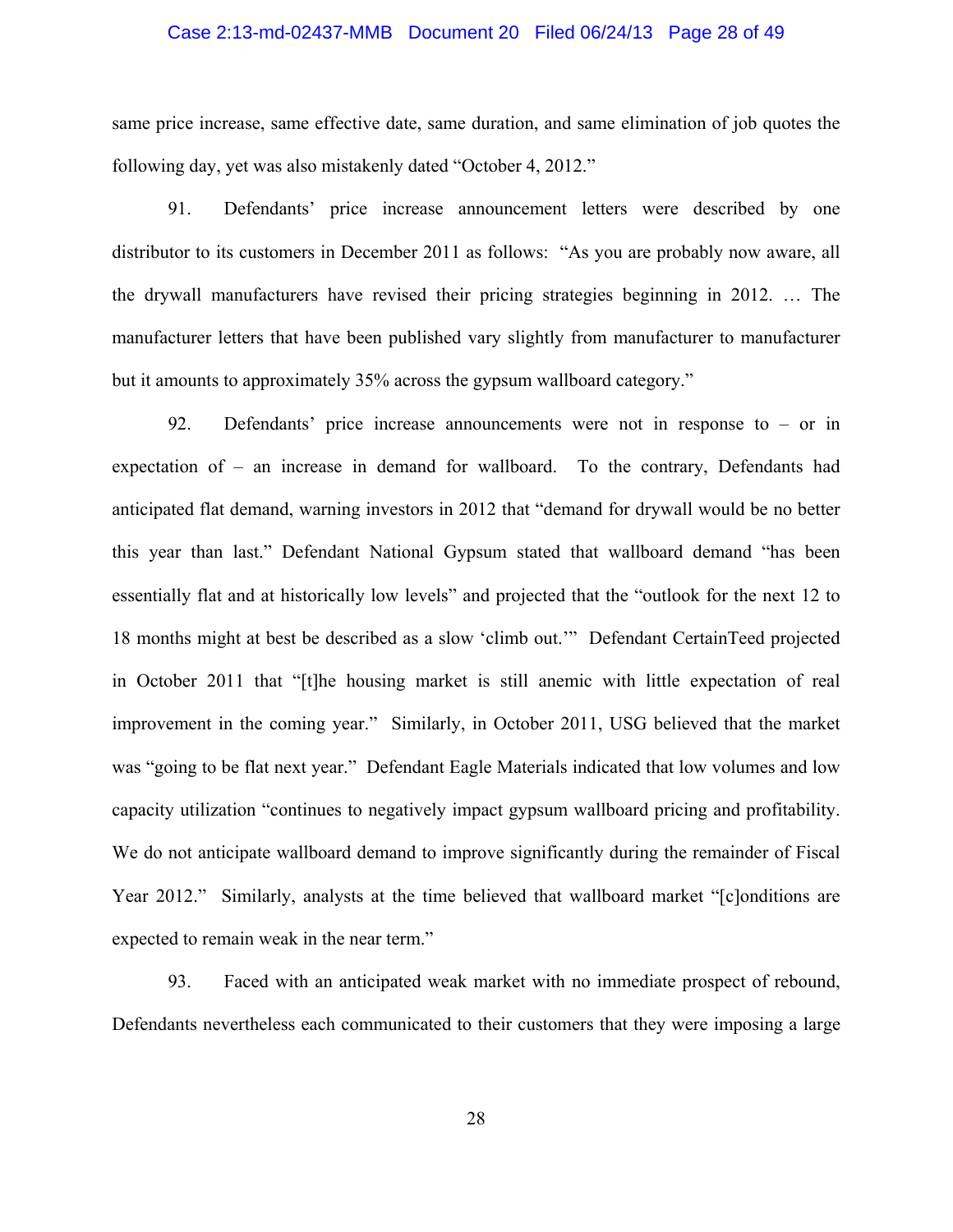#### Case 2:13-md-02437-MMB Document 20 Filed 06/24/13 Page 28 of 49

same price increase, same effective date, same duration, and same elimination of job quotes the following day, yet was also mistakenly dated "October 4, 2012."

91. Defendants' price increase announcement letters were described by one distributor to its customers in December 2011 as follows: "As you are probably now aware, all the drywall manufacturers have revised their pricing strategies beginning in 2012. … The manufacturer letters that have been published vary slightly from manufacturer to manufacturer but it amounts to approximately 35% across the gypsum wallboard category."

92. Defendants' price increase announcements were not in response to – or in expectation of – an increase in demand for wallboard. To the contrary, Defendants had anticipated flat demand, warning investors in 2012 that "demand for drywall would be no better this year than last." Defendant National Gypsum stated that wallboard demand "has been essentially flat and at historically low levels" and projected that the "outlook for the next 12 to 18 months might at best be described as a slow 'climb out.'" Defendant CertainTeed projected in October 2011 that "[t]he housing market is still anemic with little expectation of real improvement in the coming year." Similarly, in October 2011, USG believed that the market was "going to be flat next year." Defendant Eagle Materials indicated that low volumes and low capacity utilization "continues to negatively impact gypsum wallboard pricing and profitability. We do not anticipate wallboard demand to improve significantly during the remainder of Fiscal Year 2012." Similarly, analysts at the time believed that wallboard market "[c]onditions are expected to remain weak in the near term."

93. Faced with an anticipated weak market with no immediate prospect of rebound, Defendants nevertheless each communicated to their customers that they were imposing a large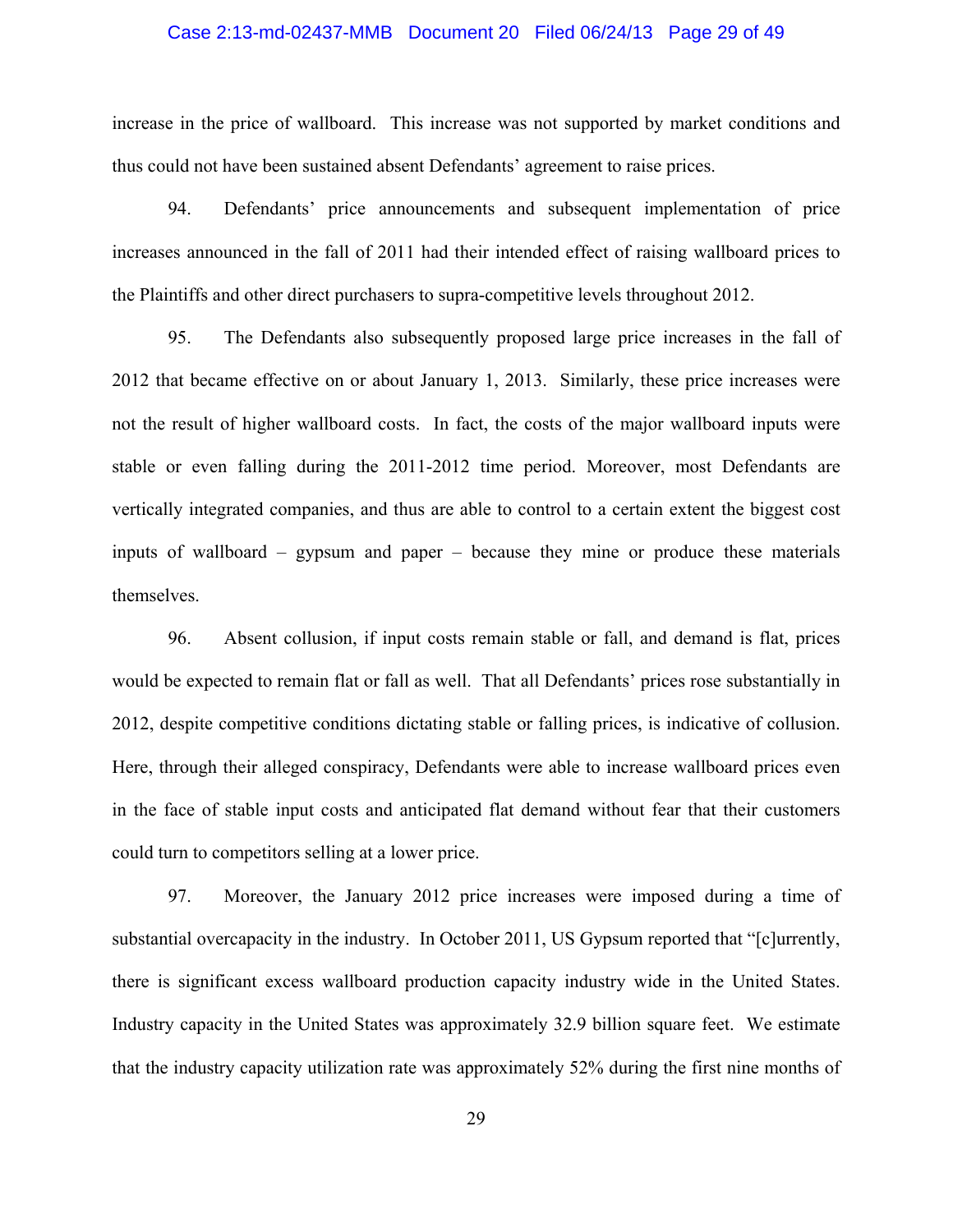## Case 2:13-md-02437-MMB Document 20 Filed 06/24/13 Page 29 of 49

increase in the price of wallboard. This increase was not supported by market conditions and thus could not have been sustained absent Defendants' agreement to raise prices.

94. Defendants' price announcements and subsequent implementation of price increases announced in the fall of 2011 had their intended effect of raising wallboard prices to the Plaintiffs and other direct purchasers to supra-competitive levels throughout 2012.

95. The Defendants also subsequently proposed large price increases in the fall of 2012 that became effective on or about January 1, 2013. Similarly, these price increases were not the result of higher wallboard costs. In fact, the costs of the major wallboard inputs were stable or even falling during the 2011-2012 time period. Moreover, most Defendants are vertically integrated companies, and thus are able to control to a certain extent the biggest cost inputs of wallboard – gypsum and paper – because they mine or produce these materials themselves.

96. Absent collusion, if input costs remain stable or fall, and demand is flat, prices would be expected to remain flat or fall as well. That all Defendants' prices rose substantially in 2012, despite competitive conditions dictating stable or falling prices, is indicative of collusion. Here, through their alleged conspiracy, Defendants were able to increase wallboard prices even in the face of stable input costs and anticipated flat demand without fear that their customers could turn to competitors selling at a lower price.

97. Moreover, the January 2012 price increases were imposed during a time of substantial overcapacity in the industry. In October 2011, US Gypsum reported that "[c]urrently, there is significant excess wallboard production capacity industry wide in the United States. Industry capacity in the United States was approximately 32.9 billion square feet. We estimate that the industry capacity utilization rate was approximately 52% during the first nine months of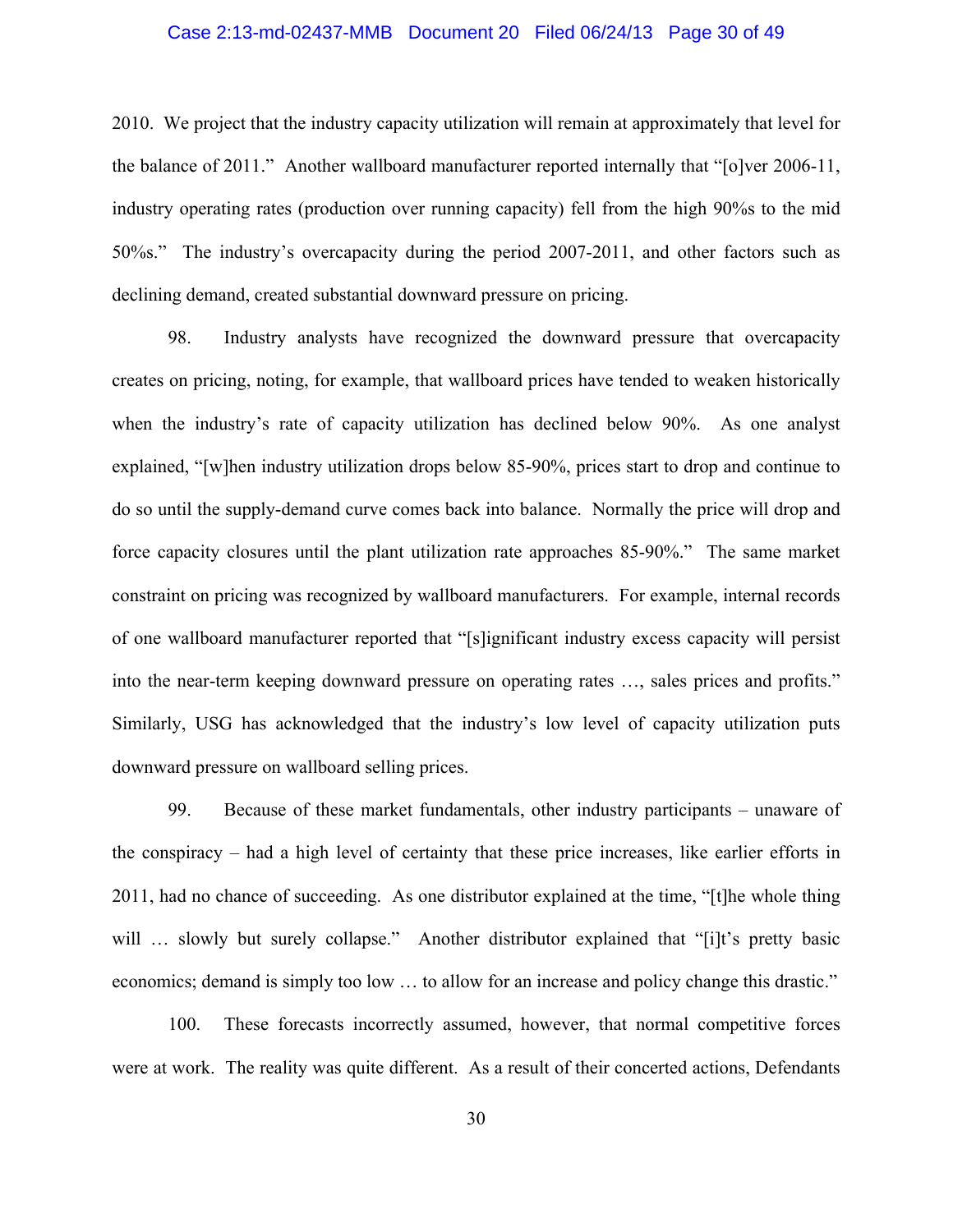#### Case 2:13-md-02437-MMB Document 20 Filed 06/24/13 Page 30 of 49

2010. We project that the industry capacity utilization will remain at approximately that level for the balance of 2011." Another wallboard manufacturer reported internally that "[o]ver 2006-11, industry operating rates (production over running capacity) fell from the high 90%s to the mid 50%s." The industry's overcapacity during the period 2007-2011, and other factors such as declining demand, created substantial downward pressure on pricing.

98. Industry analysts have recognized the downward pressure that overcapacity creates on pricing, noting, for example, that wallboard prices have tended to weaken historically when the industry's rate of capacity utilization has declined below 90%. As one analyst explained, "[w]hen industry utilization drops below 85-90%, prices start to drop and continue to do so until the supply-demand curve comes back into balance. Normally the price will drop and force capacity closures until the plant utilization rate approaches 85-90%." The same market constraint on pricing was recognized by wallboard manufacturers. For example, internal records of one wallboard manufacturer reported that "[s]ignificant industry excess capacity will persist into the near-term keeping downward pressure on operating rates …, sales prices and profits." Similarly, USG has acknowledged that the industry's low level of capacity utilization puts downward pressure on wallboard selling prices.

99. Because of these market fundamentals, other industry participants – unaware of the conspiracy – had a high level of certainty that these price increases, like earlier efforts in 2011, had no chance of succeeding. As one distributor explained at the time, "[t]he whole thing will … slowly but surely collapse." Another distributor explained that "[i]t's pretty basic economics; demand is simply too low … to allow for an increase and policy change this drastic."

100. These forecasts incorrectly assumed, however, that normal competitive forces were at work. The reality was quite different. As a result of their concerted actions, Defendants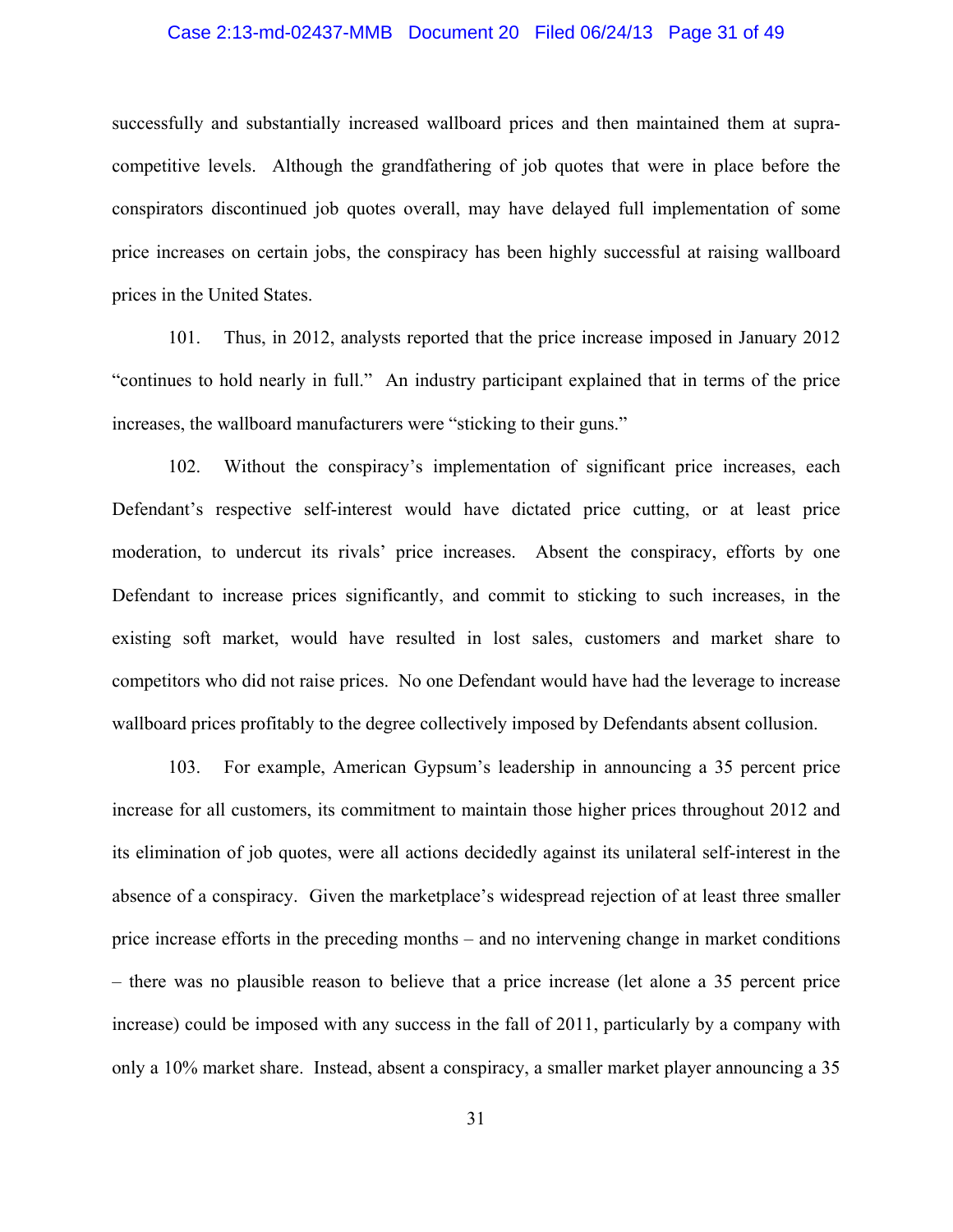#### Case 2:13-md-02437-MMB Document 20 Filed 06/24/13 Page 31 of 49

successfully and substantially increased wallboard prices and then maintained them at supracompetitive levels. Although the grandfathering of job quotes that were in place before the conspirators discontinued job quotes overall, may have delayed full implementation of some price increases on certain jobs, the conspiracy has been highly successful at raising wallboard prices in the United States.

101. Thus, in 2012, analysts reported that the price increase imposed in January 2012 "continues to hold nearly in full." An industry participant explained that in terms of the price increases, the wallboard manufacturers were "sticking to their guns."

102. Without the conspiracy's implementation of significant price increases, each Defendant's respective self-interest would have dictated price cutting, or at least price moderation, to undercut its rivals' price increases. Absent the conspiracy, efforts by one Defendant to increase prices significantly, and commit to sticking to such increases, in the existing soft market, would have resulted in lost sales, customers and market share to competitors who did not raise prices. No one Defendant would have had the leverage to increase wallboard prices profitably to the degree collectively imposed by Defendants absent collusion.

103. For example, American Gypsum's leadership in announcing a 35 percent price increase for all customers, its commitment to maintain those higher prices throughout 2012 and its elimination of job quotes, were all actions decidedly against its unilateral self-interest in the absence of a conspiracy. Given the marketplace's widespread rejection of at least three smaller price increase efforts in the preceding months – and no intervening change in market conditions – there was no plausible reason to believe that a price increase (let alone a 35 percent price increase) could be imposed with any success in the fall of 2011, particularly by a company with only a 10% market share. Instead, absent a conspiracy, a smaller market player announcing a 35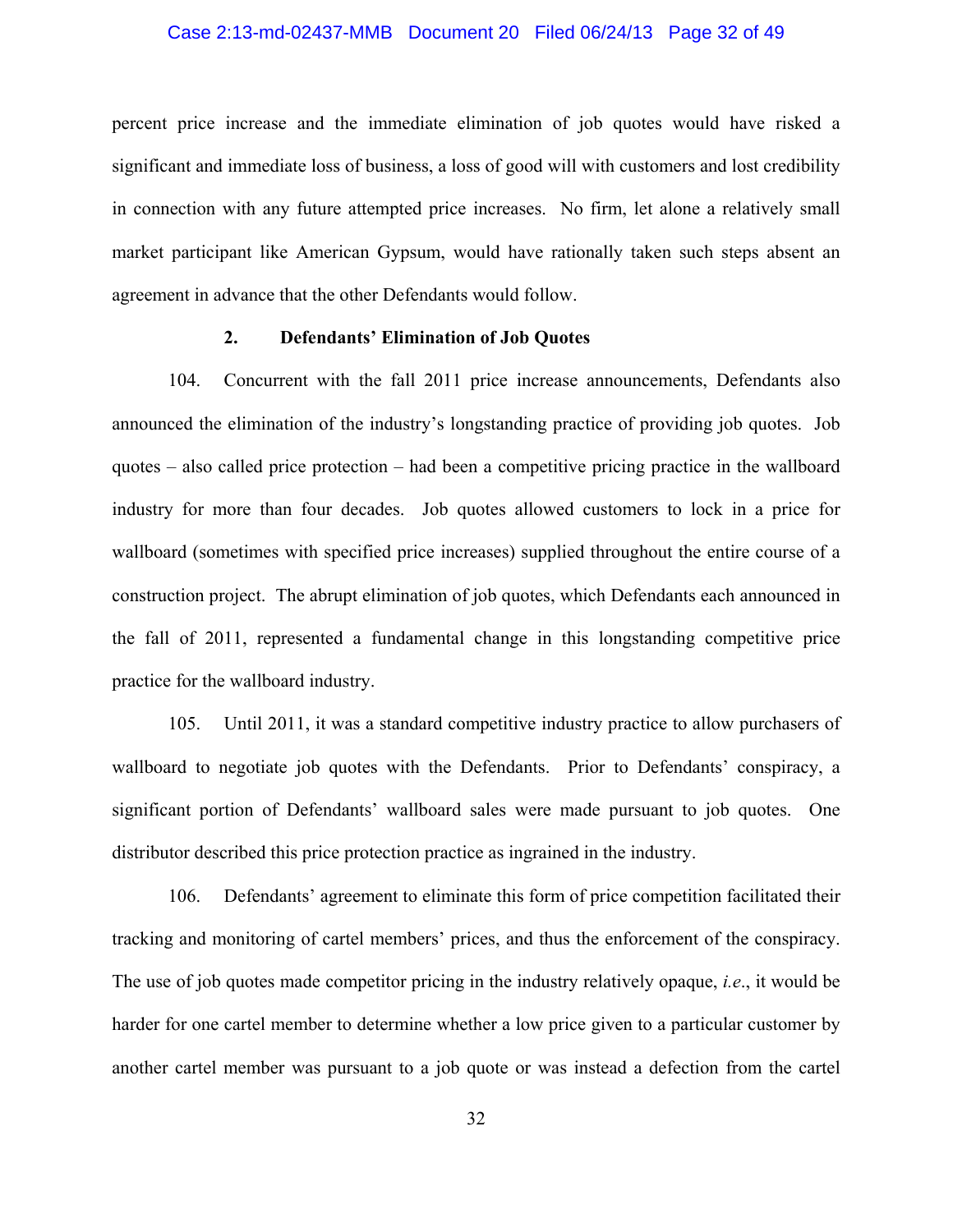## Case 2:13-md-02437-MMB Document 20 Filed 06/24/13 Page 32 of 49

percent price increase and the immediate elimination of job quotes would have risked a significant and immediate loss of business, a loss of good will with customers and lost credibility in connection with any future attempted price increases. No firm, let alone a relatively small market participant like American Gypsum, would have rationally taken such steps absent an agreement in advance that the other Defendants would follow.

#### **2. Defendants' Elimination of Job Quotes**

104. Concurrent with the fall 2011 price increase announcements, Defendants also announced the elimination of the industry's longstanding practice of providing job quotes. Job quotes – also called price protection – had been a competitive pricing practice in the wallboard industry for more than four decades. Job quotes allowed customers to lock in a price for wallboard (sometimes with specified price increases) supplied throughout the entire course of a construction project. The abrupt elimination of job quotes, which Defendants each announced in the fall of 2011, represented a fundamental change in this longstanding competitive price practice for the wallboard industry.

105. Until 2011, it was a standard competitive industry practice to allow purchasers of wallboard to negotiate job quotes with the Defendants. Prior to Defendants' conspiracy, a significant portion of Defendants' wallboard sales were made pursuant to job quotes. One distributor described this price protection practice as ingrained in the industry.

106. Defendants' agreement to eliminate this form of price competition facilitated their tracking and monitoring of cartel members' prices, and thus the enforcement of the conspiracy. The use of job quotes made competitor pricing in the industry relatively opaque, *i.e*., it would be harder for one cartel member to determine whether a low price given to a particular customer by another cartel member was pursuant to a job quote or was instead a defection from the cartel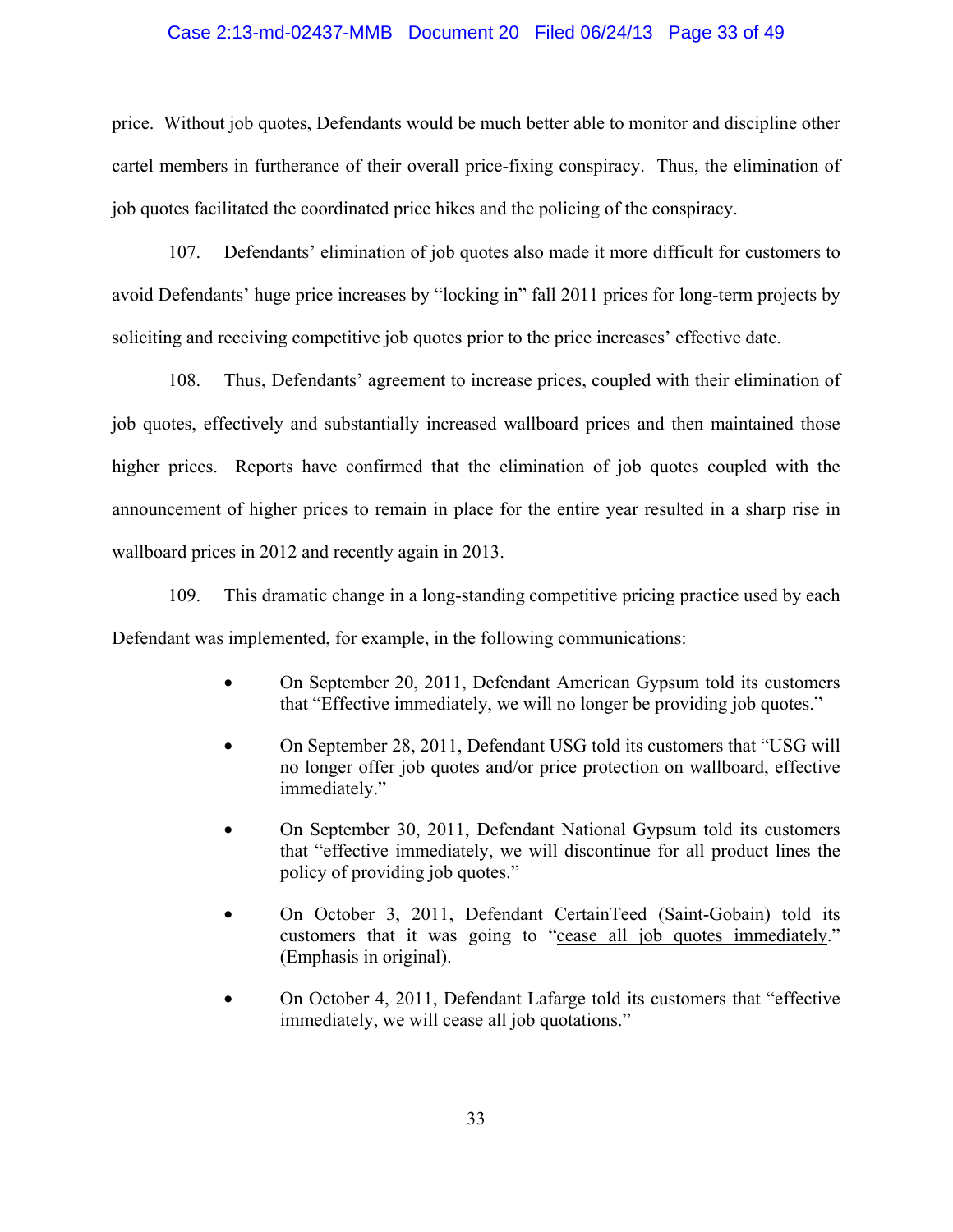#### Case 2:13-md-02437-MMB Document 20 Filed 06/24/13 Page 33 of 49

price. Without job quotes, Defendants would be much better able to monitor and discipline other cartel members in furtherance of their overall price-fixing conspiracy. Thus, the elimination of job quotes facilitated the coordinated price hikes and the policing of the conspiracy.

107. Defendants' elimination of job quotes also made it more difficult for customers to avoid Defendants' huge price increases by "locking in" fall 2011 prices for long-term projects by soliciting and receiving competitive job quotes prior to the price increases' effective date.

108. Thus, Defendants' agreement to increase prices, coupled with their elimination of job quotes, effectively and substantially increased wallboard prices and then maintained those higher prices. Reports have confirmed that the elimination of job quotes coupled with the announcement of higher prices to remain in place for the entire year resulted in a sharp rise in wallboard prices in 2012 and recently again in 2013.

109. This dramatic change in a long-standing competitive pricing practice used by each Defendant was implemented, for example, in the following communications:

- On September 20, 2011, Defendant American Gypsum told its customers that "Effective immediately, we will no longer be providing job quotes."
- On September 28, 2011, Defendant USG told its customers that "USG will no longer offer job quotes and/or price protection on wallboard, effective immediately."
- On September 30, 2011, Defendant National Gypsum told its customers that "effective immediately, we will discontinue for all product lines the policy of providing job quotes."
- On October 3, 2011, Defendant CertainTeed (Saint-Gobain) told its customers that it was going to "cease all job quotes immediately." (Emphasis in original).
- On October 4, 2011, Defendant Lafarge told its customers that "effective immediately, we will cease all job quotations."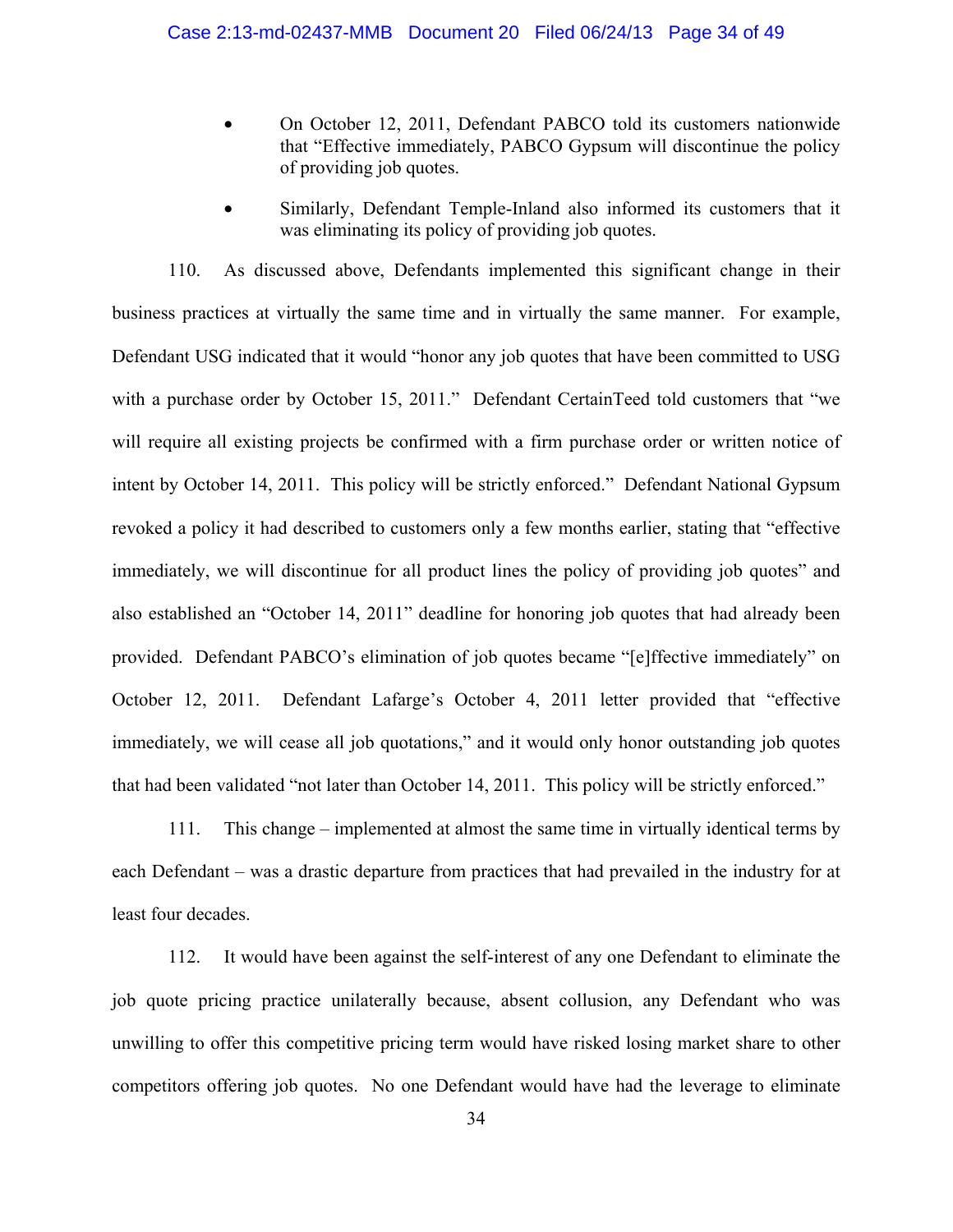- On October 12, 2011, Defendant PABCO told its customers nationwide that "Effective immediately, PABCO Gypsum will discontinue the policy of providing job quotes.
- Similarly, Defendant Temple-Inland also informed its customers that it was eliminating its policy of providing job quotes.

110. As discussed above, Defendants implemented this significant change in their business practices at virtually the same time and in virtually the same manner. For example, Defendant USG indicated that it would "honor any job quotes that have been committed to USG with a purchase order by October 15, 2011." Defendant CertainTeed told customers that "we will require all existing projects be confirmed with a firm purchase order or written notice of intent by October 14, 2011. This policy will be strictly enforced." Defendant National Gypsum revoked a policy it had described to customers only a few months earlier, stating that "effective immediately, we will discontinue for all product lines the policy of providing job quotes" and also established an "October 14, 2011" deadline for honoring job quotes that had already been provided. Defendant PABCO's elimination of job quotes became "[e]ffective immediately" on October 12, 2011. Defendant Lafarge's October 4, 2011 letter provided that "effective immediately, we will cease all job quotations," and it would only honor outstanding job quotes that had been validated "not later than October 14, 2011. This policy will be strictly enforced."

111. This change – implemented at almost the same time in virtually identical terms by each Defendant – was a drastic departure from practices that had prevailed in the industry for at least four decades.

112. It would have been against the self-interest of any one Defendant to eliminate the job quote pricing practice unilaterally because, absent collusion, any Defendant who was unwilling to offer this competitive pricing term would have risked losing market share to other competitors offering job quotes. No one Defendant would have had the leverage to eliminate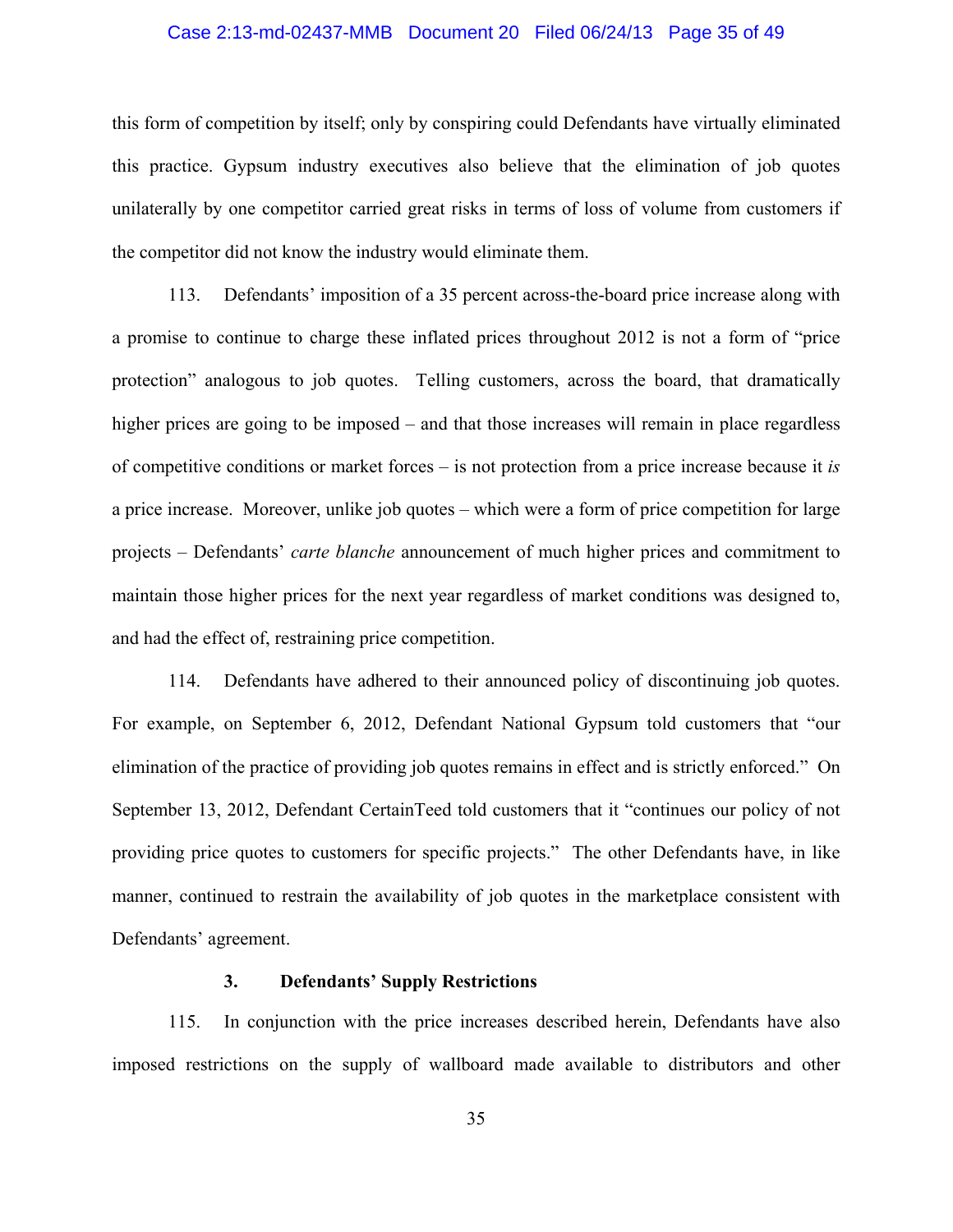## Case 2:13-md-02437-MMB Document 20 Filed 06/24/13 Page 35 of 49

this form of competition by itself; only by conspiring could Defendants have virtually eliminated this practice. Gypsum industry executives also believe that the elimination of job quotes unilaterally by one competitor carried great risks in terms of loss of volume from customers if the competitor did not know the industry would eliminate them.

113. Defendants' imposition of a 35 percent across-the-board price increase along with a promise to continue to charge these inflated prices throughout 2012 is not a form of "price protection" analogous to job quotes. Telling customers, across the board, that dramatically higher prices are going to be imposed – and that those increases will remain in place regardless of competitive conditions or market forces – is not protection from a price increase because it *is* a price increase. Moreover, unlike job quotes – which were a form of price competition for large projects – Defendants' *carte blanche* announcement of much higher prices and commitment to maintain those higher prices for the next year regardless of market conditions was designed to, and had the effect of, restraining price competition.

114. Defendants have adhered to their announced policy of discontinuing job quotes. For example, on September 6, 2012, Defendant National Gypsum told customers that "our elimination of the practice of providing job quotes remains in effect and is strictly enforced." On September 13, 2012, Defendant CertainTeed told customers that it "continues our policy of not providing price quotes to customers for specific projects." The other Defendants have, in like manner, continued to restrain the availability of job quotes in the marketplace consistent with Defendants' agreement.

### **3. Defendants' Supply Restrictions**

115. In conjunction with the price increases described herein, Defendants have also imposed restrictions on the supply of wallboard made available to distributors and other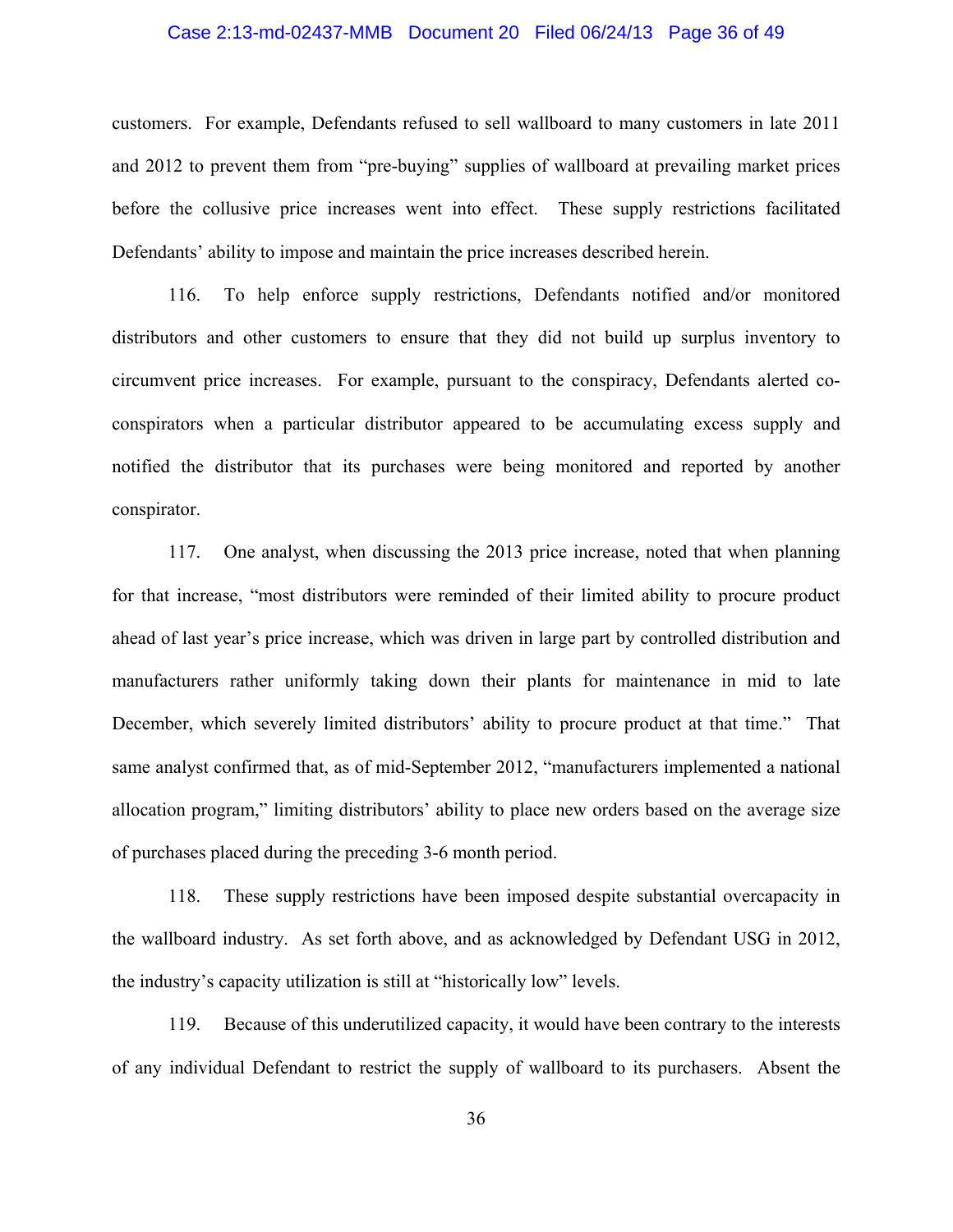#### Case 2:13-md-02437-MMB Document 20 Filed 06/24/13 Page 36 of 49

customers. For example, Defendants refused to sell wallboard to many customers in late 2011 and 2012 to prevent them from "pre-buying" supplies of wallboard at prevailing market prices before the collusive price increases went into effect. These supply restrictions facilitated Defendants' ability to impose and maintain the price increases described herein.

116. To help enforce supply restrictions, Defendants notified and/or monitored distributors and other customers to ensure that they did not build up surplus inventory to circumvent price increases. For example, pursuant to the conspiracy, Defendants alerted coconspirators when a particular distributor appeared to be accumulating excess supply and notified the distributor that its purchases were being monitored and reported by another conspirator.

117. One analyst, when discussing the 2013 price increase, noted that when planning for that increase, "most distributors were reminded of their limited ability to procure product ahead of last year's price increase, which was driven in large part by controlled distribution and manufacturers rather uniformly taking down their plants for maintenance in mid to late December, which severely limited distributors' ability to procure product at that time." That same analyst confirmed that, as of mid-September 2012, "manufacturers implemented a national allocation program," limiting distributors' ability to place new orders based on the average size of purchases placed during the preceding 3-6 month period.

118. These supply restrictions have been imposed despite substantial overcapacity in the wallboard industry. As set forth above, and as acknowledged by Defendant USG in 2012, the industry's capacity utilization is still at "historically low" levels.

119. Because of this underutilized capacity, it would have been contrary to the interests of any individual Defendant to restrict the supply of wallboard to its purchasers. Absent the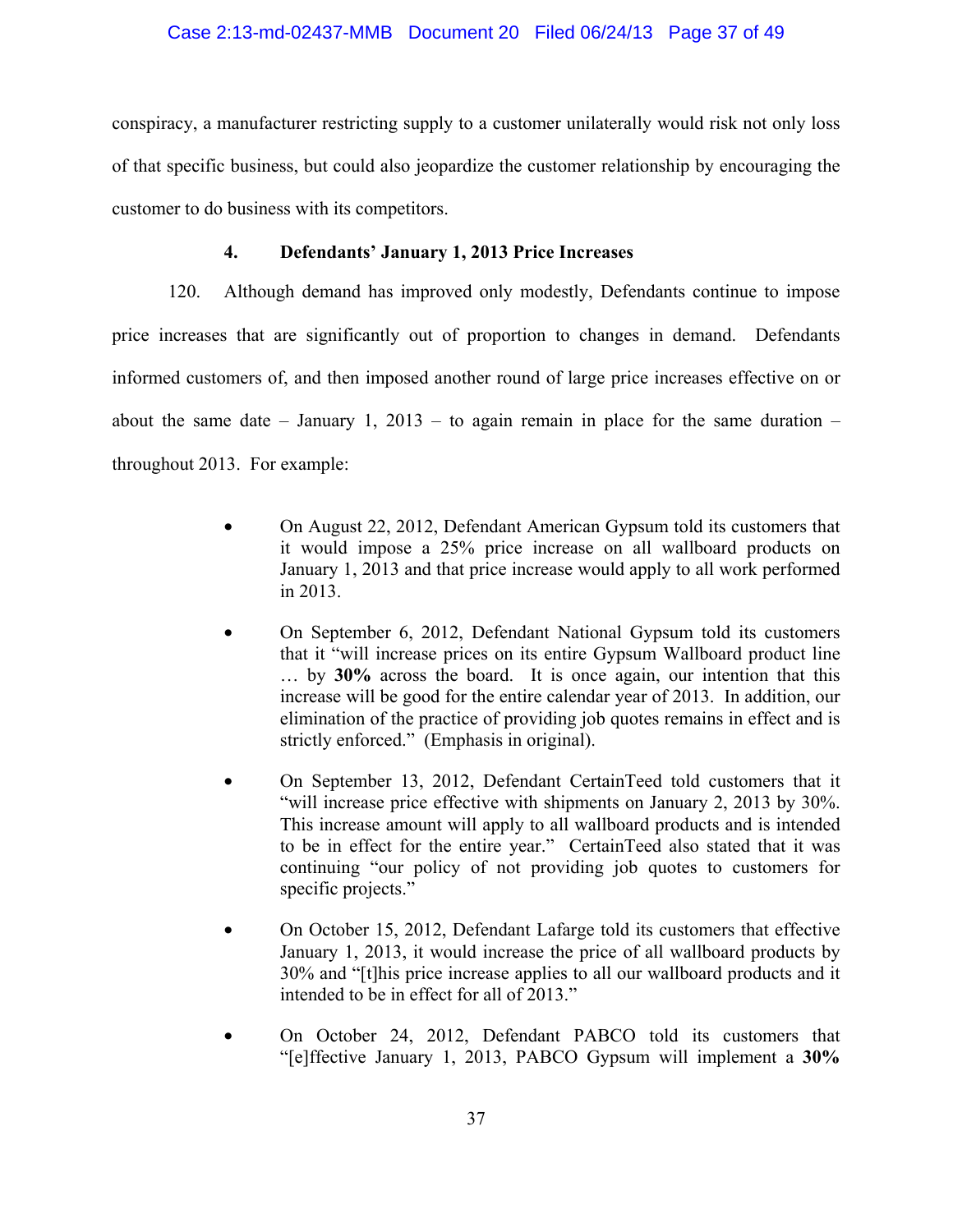## Case 2:13-md-02437-MMB Document 20 Filed 06/24/13 Page 37 of 49

conspiracy, a manufacturer restricting supply to a customer unilaterally would risk not only loss of that specific business, but could also jeopardize the customer relationship by encouraging the customer to do business with its competitors.

## **4. Defendants' January 1, 2013 Price Increases**

120. Although demand has improved only modestly, Defendants continue to impose price increases that are significantly out of proportion to changes in demand. Defendants informed customers of, and then imposed another round of large price increases effective on or about the same date – January 1, 2013 – to again remain in place for the same duration – throughout 2013. For example:

- On August 22, 2012, Defendant American Gypsum told its customers that it would impose a 25% price increase on all wallboard products on January 1, 2013 and that price increase would apply to all work performed in 2013.
- On September 6, 2012, Defendant National Gypsum told its customers that it "will increase prices on its entire Gypsum Wallboard product line … by **30%** across the board. It is once again, our intention that this increase will be good for the entire calendar year of 2013. In addition, our elimination of the practice of providing job quotes remains in effect and is strictly enforced." (Emphasis in original).
- On September 13, 2012, Defendant CertainTeed told customers that it "will increase price effective with shipments on January 2, 2013 by 30%. This increase amount will apply to all wallboard products and is intended to be in effect for the entire year." CertainTeed also stated that it was continuing "our policy of not providing job quotes to customers for specific projects."
- On October 15, 2012, Defendant Lafarge told its customers that effective January 1, 2013, it would increase the price of all wallboard products by 30% and "[t]his price increase applies to all our wallboard products and it intended to be in effect for all of 2013."
- On October 24, 2012, Defendant PABCO told its customers that "[e]ffective January 1, 2013, PABCO Gypsum will implement a **30%**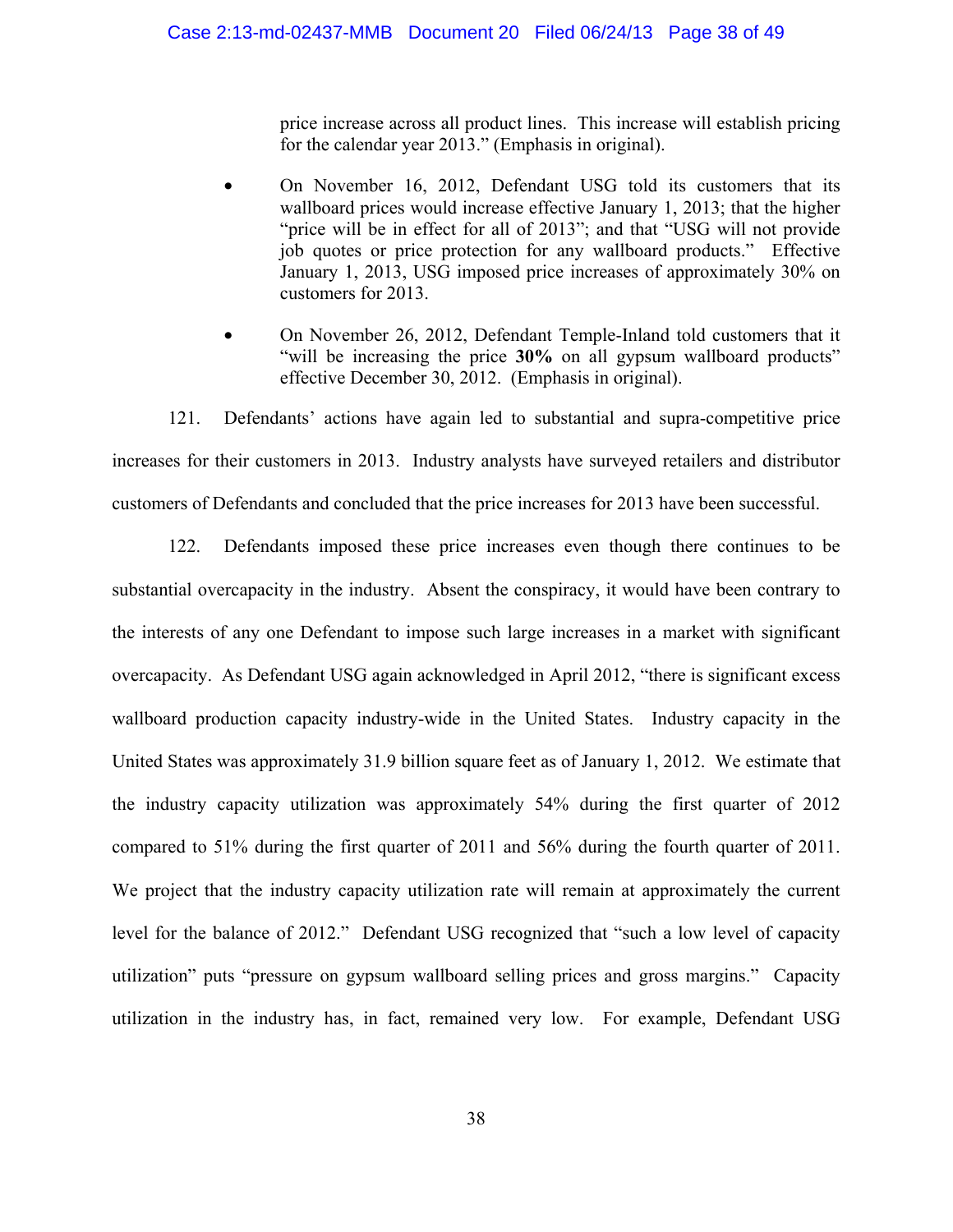price increase across all product lines. This increase will establish pricing for the calendar year 2013." (Emphasis in original).

- On November 16, 2012, Defendant USG told its customers that its wallboard prices would increase effective January 1, 2013; that the higher "price will be in effect for all of 2013"; and that "USG will not provide job quotes or price protection for any wallboard products." Effective January 1, 2013, USG imposed price increases of approximately 30% on customers for 2013.
- On November 26, 2012, Defendant Temple-Inland told customers that it "will be increasing the price **30%** on all gypsum wallboard products" effective December 30, 2012. (Emphasis in original).

121. Defendants' actions have again led to substantial and supra-competitive price increases for their customers in 2013. Industry analysts have surveyed retailers and distributor customers of Defendants and concluded that the price increases for 2013 have been successful.

122. Defendants imposed these price increases even though there continues to be substantial overcapacity in the industry. Absent the conspiracy, it would have been contrary to the interests of any one Defendant to impose such large increases in a market with significant overcapacity. As Defendant USG again acknowledged in April 2012, "there is significant excess wallboard production capacity industry-wide in the United States. Industry capacity in the United States was approximately 31.9 billion square feet as of January 1, 2012. We estimate that the industry capacity utilization was approximately 54% during the first quarter of 2012 compared to 51% during the first quarter of 2011 and 56% during the fourth quarter of 2011. We project that the industry capacity utilization rate will remain at approximately the current level for the balance of 2012." Defendant USG recognized that "such a low level of capacity utilization" puts "pressure on gypsum wallboard selling prices and gross margins." Capacity utilization in the industry has, in fact, remained very low. For example, Defendant USG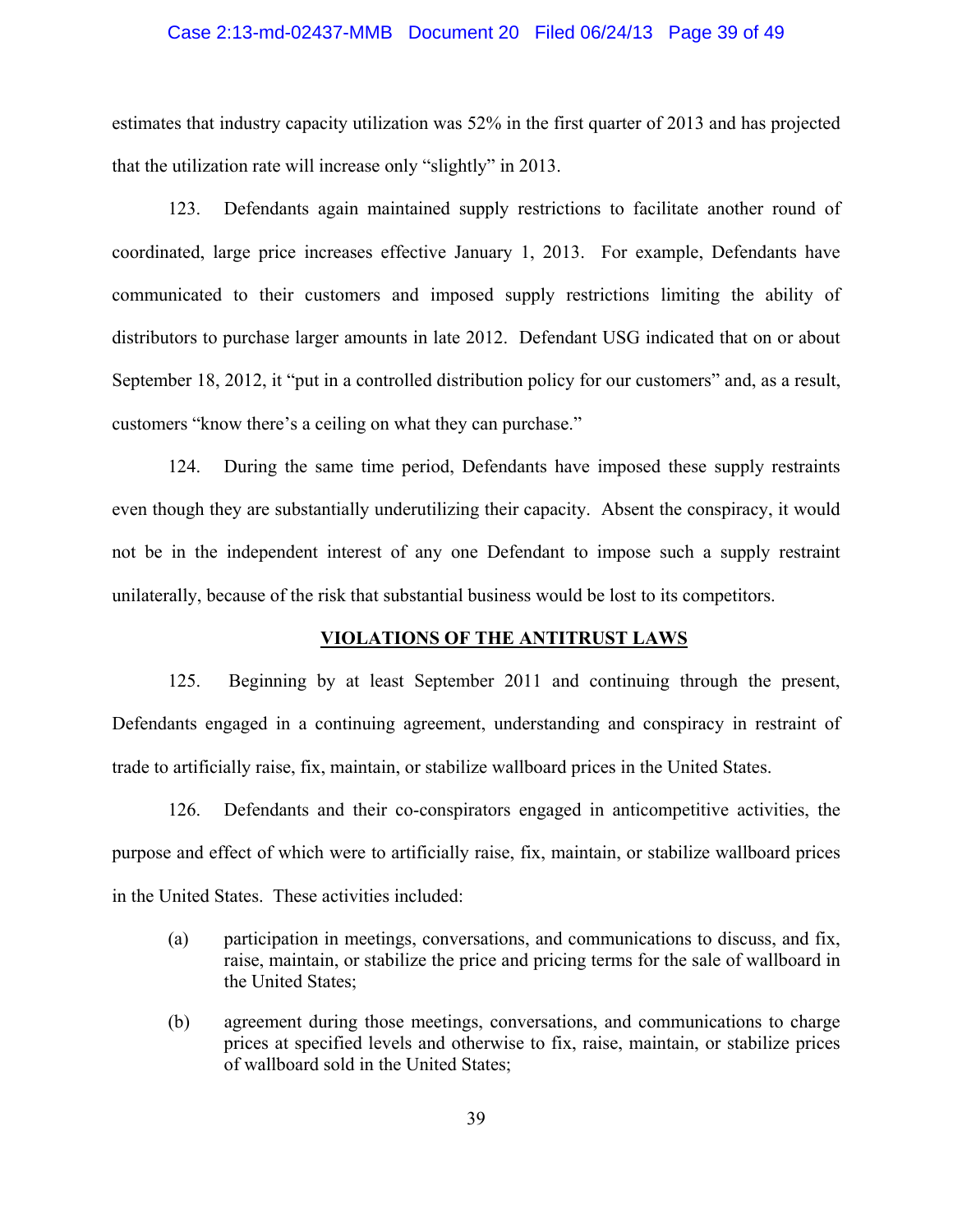#### Case 2:13-md-02437-MMB Document 20 Filed 06/24/13 Page 39 of 49

estimates that industry capacity utilization was 52% in the first quarter of 2013 and has projected that the utilization rate will increase only "slightly" in 2013.

123. Defendants again maintained supply restrictions to facilitate another round of coordinated, large price increases effective January 1, 2013. For example, Defendants have communicated to their customers and imposed supply restrictions limiting the ability of distributors to purchase larger amounts in late 2012. Defendant USG indicated that on or about September 18, 2012, it "put in a controlled distribution policy for our customers" and, as a result, customers "know there's a ceiling on what they can purchase."

124. During the same time period, Defendants have imposed these supply restraints even though they are substantially underutilizing their capacity. Absent the conspiracy, it would not be in the independent interest of any one Defendant to impose such a supply restraint unilaterally, because of the risk that substantial business would be lost to its competitors.

#### **VIOLATIONS OF THE ANTITRUST LAWS**

125. Beginning by at least September 2011 and continuing through the present, Defendants engaged in a continuing agreement, understanding and conspiracy in restraint of trade to artificially raise, fix, maintain, or stabilize wallboard prices in the United States.

126. Defendants and their co-conspirators engaged in anticompetitive activities, the purpose and effect of which were to artificially raise, fix, maintain, or stabilize wallboard prices in the United States. These activities included:

- (a) participation in meetings, conversations, and communications to discuss, and fix, raise, maintain, or stabilize the price and pricing terms for the sale of wallboard in the United States;
- (b) agreement during those meetings, conversations, and communications to charge prices at specified levels and otherwise to fix, raise, maintain, or stabilize prices of wallboard sold in the United States;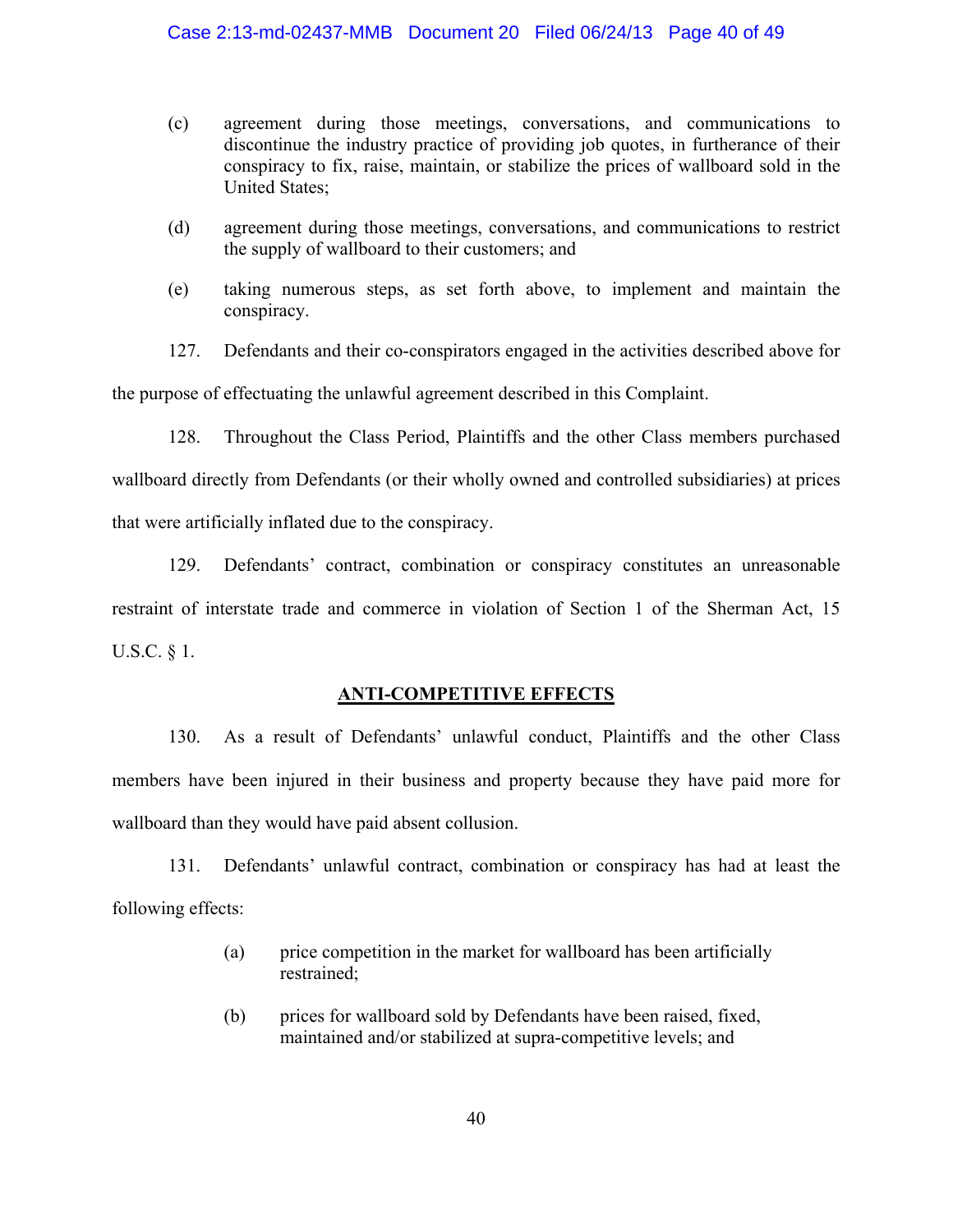#### Case 2:13-md-02437-MMB Document 20 Filed 06/24/13 Page 40 of 49

- (c) agreement during those meetings, conversations, and communications to discontinue the industry practice of providing job quotes, in furtherance of their conspiracy to fix, raise, maintain, or stabilize the prices of wallboard sold in the United States;
- (d) agreement during those meetings, conversations, and communications to restrict the supply of wallboard to their customers; and
- (e) taking numerous steps, as set forth above, to implement and maintain the conspiracy.

127. Defendants and their co-conspirators engaged in the activities described above for

the purpose of effectuating the unlawful agreement described in this Complaint.

128. Throughout the Class Period, Plaintiffs and the other Class members purchased wallboard directly from Defendants (or their wholly owned and controlled subsidiaries) at prices that were artificially inflated due to the conspiracy.

129. Defendants' contract, combination or conspiracy constitutes an unreasonable restraint of interstate trade and commerce in violation of Section 1 of the Sherman Act, 15 U.S.C. § 1.

### **ANTI-COMPETITIVE EFFECTS**

130. As a result of Defendants' unlawful conduct, Plaintiffs and the other Class members have been injured in their business and property because they have paid more for wallboard than they would have paid absent collusion.

131. Defendants' unlawful contract, combination or conspiracy has had at least the following effects:

- (a) price competition in the market for wallboard has been artificially restrained;
- (b) prices for wallboard sold by Defendants have been raised, fixed, maintained and/or stabilized at supra-competitive levels; and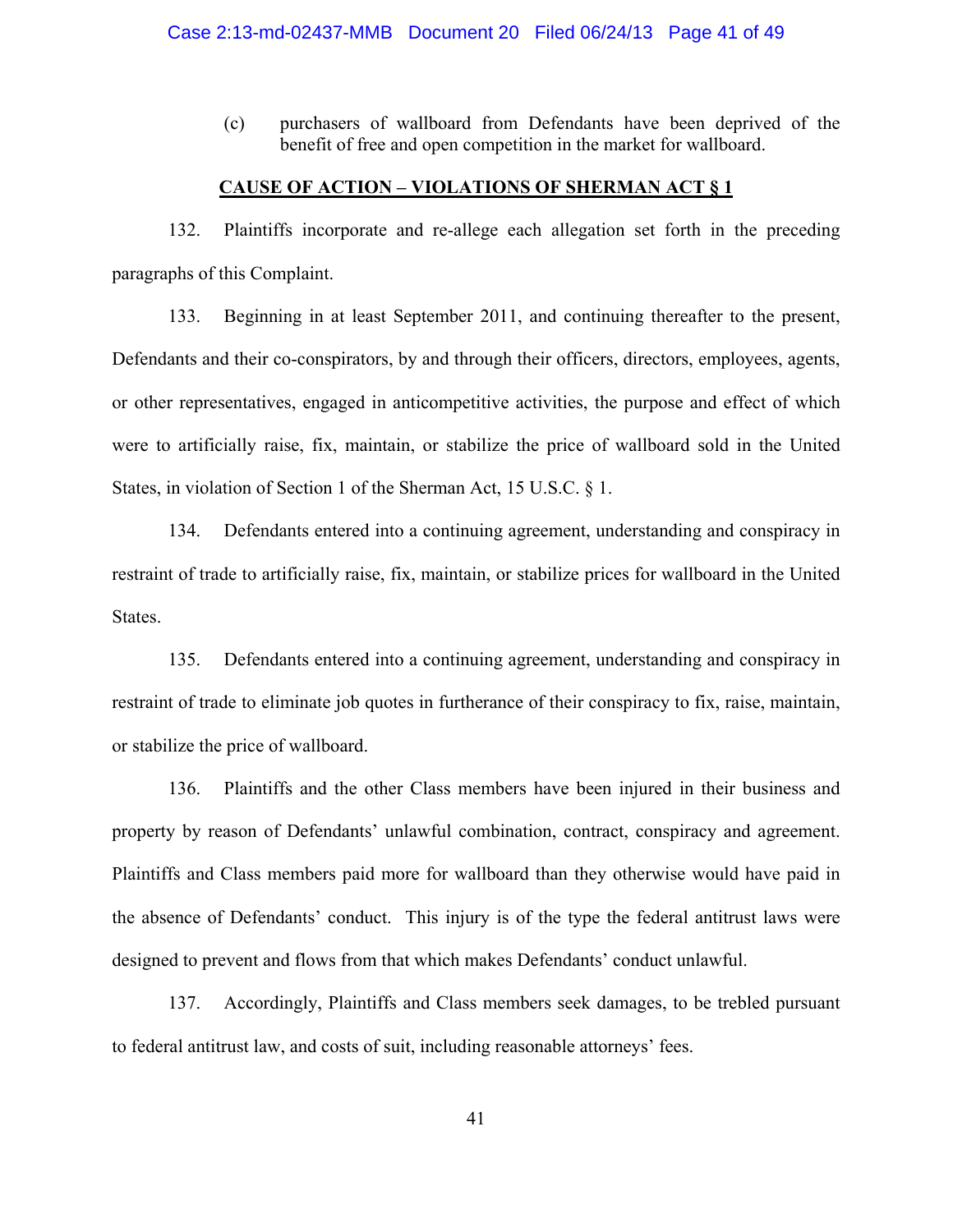(c) purchasers of wallboard from Defendants have been deprived of the benefit of free and open competition in the market for wallboard.

#### **CAUSE OF ACTION – VIOLATIONS OF SHERMAN ACT § 1**

132. Plaintiffs incorporate and re-allege each allegation set forth in the preceding paragraphs of this Complaint.

133. Beginning in at least September 2011, and continuing thereafter to the present, Defendants and their co-conspirators, by and through their officers, directors, employees, agents, or other representatives, engaged in anticompetitive activities, the purpose and effect of which were to artificially raise, fix, maintain, or stabilize the price of wallboard sold in the United States, in violation of Section 1 of the Sherman Act, 15 U.S.C. § 1.

134. Defendants entered into a continuing agreement, understanding and conspiracy in restraint of trade to artificially raise, fix, maintain, or stabilize prices for wallboard in the United States.

135. Defendants entered into a continuing agreement, understanding and conspiracy in restraint of trade to eliminate job quotes in furtherance of their conspiracy to fix, raise, maintain, or stabilize the price of wallboard.

136. Plaintiffs and the other Class members have been injured in their business and property by reason of Defendants' unlawful combination, contract, conspiracy and agreement. Plaintiffs and Class members paid more for wallboard than they otherwise would have paid in the absence of Defendants' conduct. This injury is of the type the federal antitrust laws were designed to prevent and flows from that which makes Defendants' conduct unlawful.

137. Accordingly, Plaintiffs and Class members seek damages, to be trebled pursuant to federal antitrust law, and costs of suit, including reasonable attorneys' fees.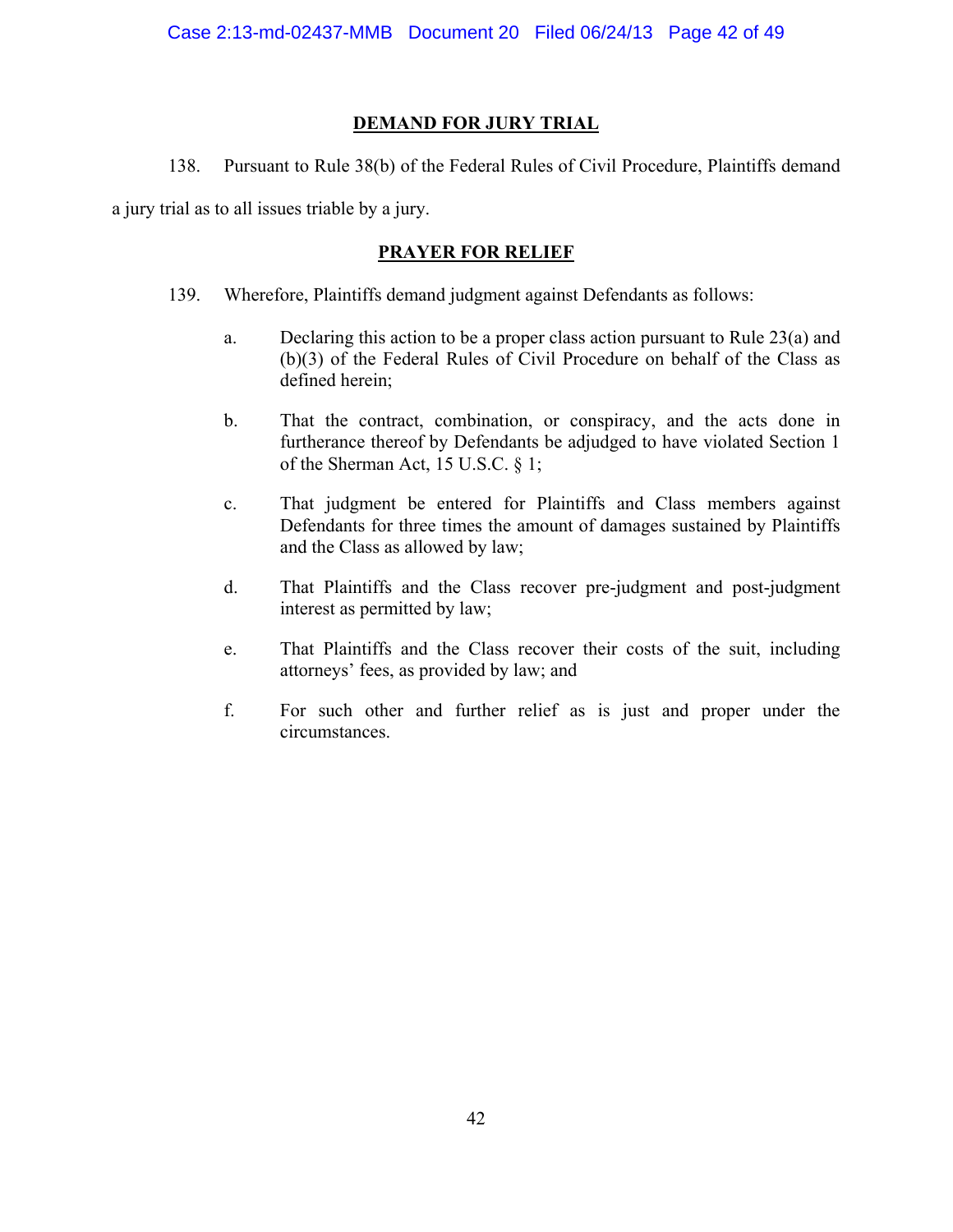## **DEMAND FOR JURY TRIAL**

138. Pursuant to Rule 38(b) of the Federal Rules of Civil Procedure, Plaintiffs demand

a jury trial as to all issues triable by a jury.

## **PRAYER FOR RELIEF**

- 139. Wherefore, Plaintiffs demand judgment against Defendants as follows:
	- a. Declaring this action to be a proper class action pursuant to Rule 23(a) and (b)(3) of the Federal Rules of Civil Procedure on behalf of the Class as defined herein;
	- b. That the contract, combination, or conspiracy, and the acts done in furtherance thereof by Defendants be adjudged to have violated Section 1 of the Sherman Act, 15 U.S.C. § 1;
	- c. That judgment be entered for Plaintiffs and Class members against Defendants for three times the amount of damages sustained by Plaintiffs and the Class as allowed by law;
	- d. That Plaintiffs and the Class recover pre-judgment and post-judgment interest as permitted by law;
	- e. That Plaintiffs and the Class recover their costs of the suit, including attorneys' fees, as provided by law; and
	- f. For such other and further relief as is just and proper under the circumstances.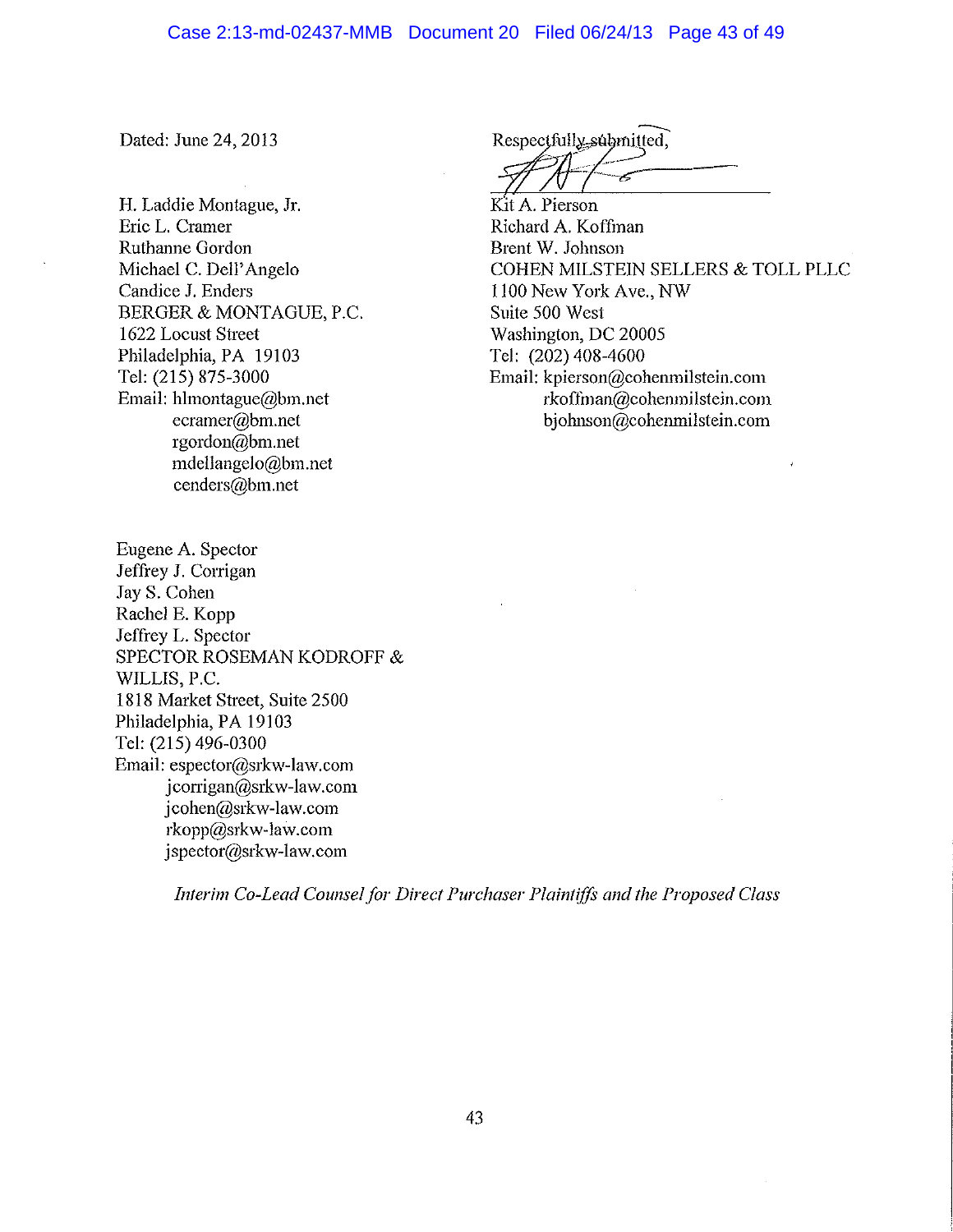Dated: June 24, 2013

H. Laddie Montague, Jr. Eric L. Cramer Ruthanne Gordon Michael C. Dell'Angelo Candice J. Enders BERGER & MONTAGUE, P.C. 1622 Locust Street Philadelphia, PA 19103 Tel: (215) 875-3000 Email: hlmontague@bm.net  $ecramer@bm.net$ rgordon@bm.net mdellangelo@bm.net cenders@bm.net

Respectfully submitted,

Kit A. Pierson Richard A. Koffman Brent W. Johnson COHEN MILSTEIN SELLERS & TOLL PLLC 1100 New York Ave., NW Suite 500 West Washington, DC 20005 Tel: (202) 408-4600 Email: kpierson@cohenmilstein.com rkoffman@cohenmilstein.com bjohnson@cohenmilstein.com

Eugene A. Spector Jeffrey J. Corrigan Jay S. Cohen Rachel E. Kopp Jeffrey L. Spector SPECTOR ROSEMAN KODROFF & WILLIS, P.C. 1818 Market Street, Suite 2500 Philadelphia, PA 19103 Tel: (215) 496-0300 Email: espector@srkw-law.com jcorrigan@srkw-law.com jcohen@srkw-law.com rkopp@srkw-law.com jspector@srkw-law.com

Interim Co-Lead Counsel for Direct Purchaser Plaintiffs and the Proposed Class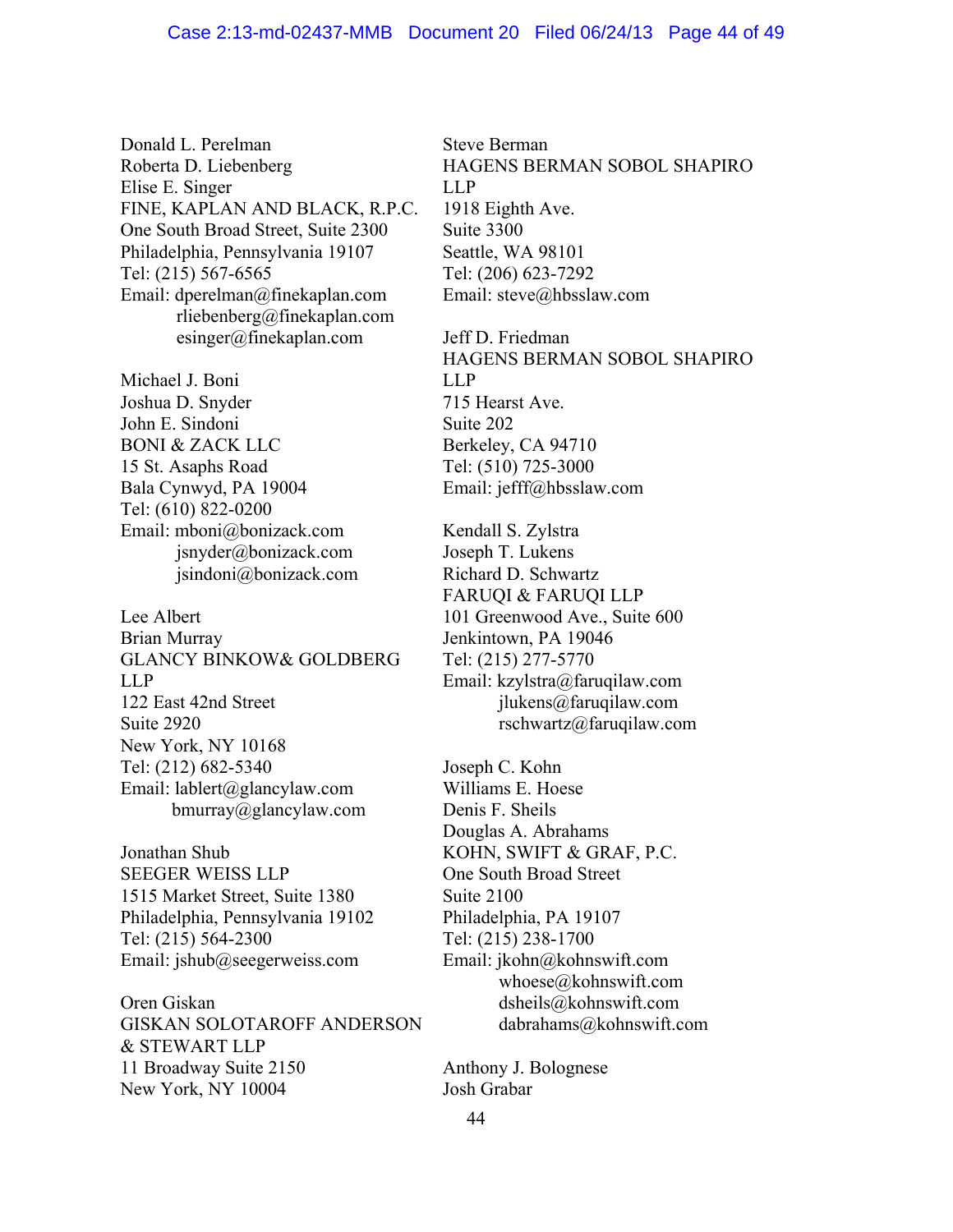Donald L. Perelman Roberta D. Liebenberg Elise E. Singer FINE, KAPLAN AND BLACK, R.P.C. One South Broad Street, Suite 2300 Philadelphia, Pennsylvania 19107 Tel: (215) 567-6565 Email: dperelman@finekaplan.com rliebenberg@finekaplan.com esinger@finekaplan.com

Michael J. Boni Joshua D. Snyder John E. Sindoni BONI & ZACK LLC 15 St. Asaphs Road Bala Cynwyd, PA 19004 Tel: (610) 822-0200 Email: mboni@bonizack.com jsnyder@bonizack.com jsindoni@bonizack.com

Lee Albert Brian Murray GLANCY BINKOW& GOLDBERG LLP 122 East 42nd Street Suite 2920 New York, NY 10168 Tel: (212) 682-5340 Email: lablert@glancylaw.com bmurray@glancylaw.com

Jonathan Shub SEEGER WEISS LLP 1515 Market Street, Suite 1380 Philadelphia, Pennsylvania 19102 Tel: (215) 564-2300 Email: jshub@seegerweiss.com

Oren Giskan GISKAN SOLOTAROFF ANDERSON & STEWART LLP 11 Broadway Suite 2150 New York, NY 10004

Steve Berman HAGENS BERMAN SOBOL SHAPIRO LLP 1918 Eighth Ave. Suite 3300 Seattle, WA 98101 Tel: (206) 623-7292 Email: steve@hbsslaw.com

Jeff D. Friedman HAGENS BERMAN SOBOL SHAPIRO LLP 715 Hearst Ave. Suite 202 Berkeley, CA 94710 Tel: (510) 725-3000 Email: jefff@hbsslaw.com

Kendall S. Zylstra Joseph T. Lukens Richard D. Schwartz FARUQI & FARUQI LLP 101 Greenwood Ave., Suite 600 Jenkintown, PA 19046 Tel: (215) 277-5770 Email: kzylstra@faruqilaw.com jlukens@faruqilaw.com rschwartz@faruqilaw.com

Joseph C. Kohn Williams E. Hoese Denis F. Sheils Douglas A. Abrahams KOHN, SWIFT & GRAF, P.C. One South Broad Street Suite 2100 Philadelphia, PA 19107 Tel: (215) 238-1700 Email: jkohn@kohnswift.com whoese@kohnswift.com dsheils@kohnswift.com dabrahams@kohnswift.com

Anthony J. Bolognese Josh Grabar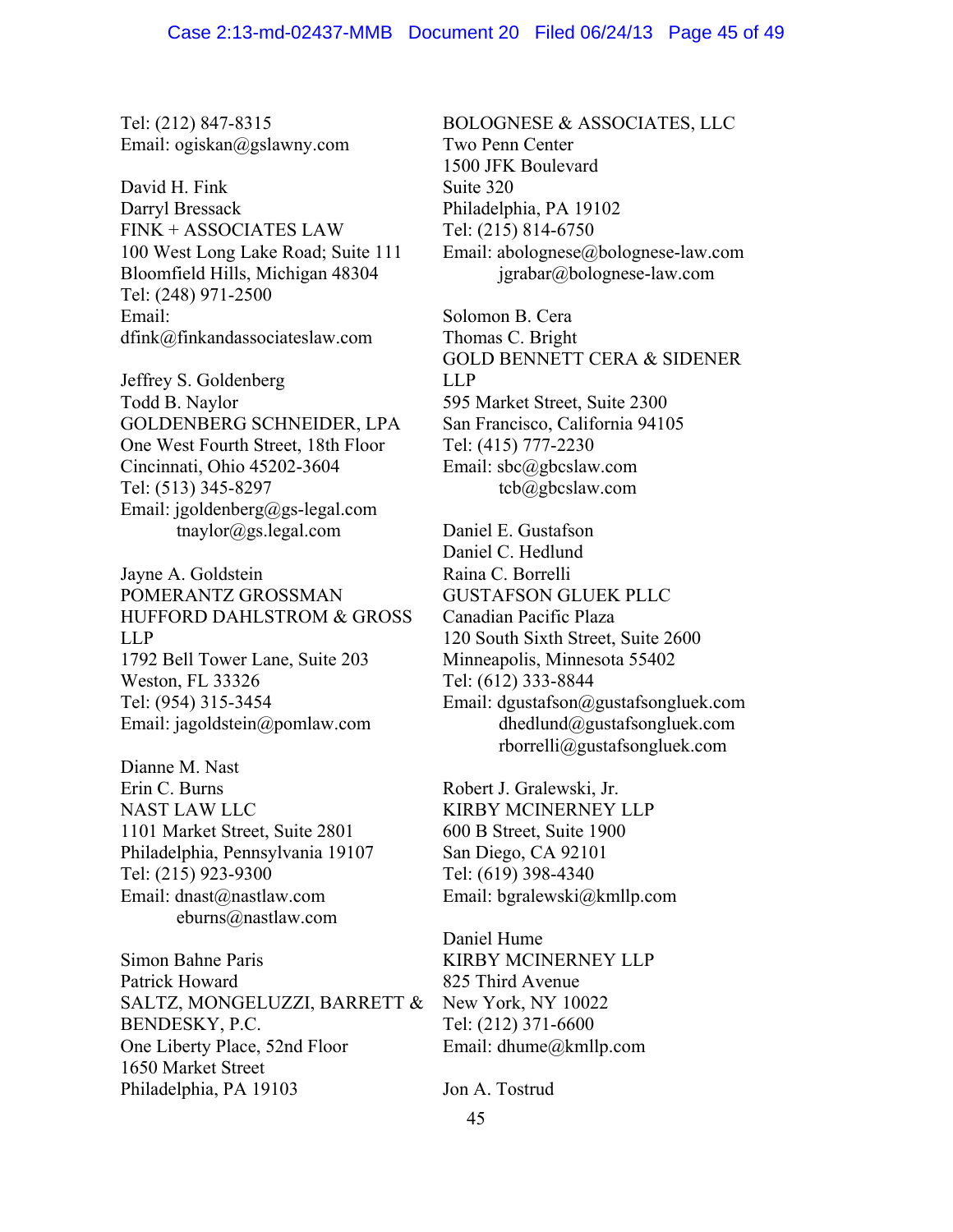Tel: (212) 847-8315 Email: ogiskan@gslawny.com

David H. Fink Darryl Bressack FINK + ASSOCIATES LAW 100 West Long Lake Road; Suite 111 Bloomfield Hills, Michigan 48304 Tel: (248) 971-2500 Email: dfink@finkandassociateslaw.com

Jeffrey S. Goldenberg Todd B. Naylor GOLDENBERG SCHNEIDER, LPA One West Fourth Street, 18th Floor Cincinnati, Ohio 45202-3604 Tel: (513) 345-8297 Email: jgoldenberg@gs-legal.com tnaylor@gs.legal.com

Jayne A. Goldstein POMERANTZ GROSSMAN HUFFORD DAHLSTROM & GROSS LLP 1792 Bell Tower Lane, Suite 203 Weston, FL 33326 Tel: (954) 315-3454 Email: jagoldstein@pomlaw.com

Dianne M. Nast Erin C. Burns NAST LAW LLC 1101 Market Street, Suite 2801 Philadelphia, Pennsylvania 19107 Tel: (215) 923-9300 Email: dnast@nastlaw.com eburns@nastlaw.com

Simon Bahne Paris Patrick Howard SALTZ, MONGELUZZI, BARRETT & BENDESKY, P.C. One Liberty Place, 52nd Floor 1650 Market Street Philadelphia, PA 19103

BOLOGNESE & ASSOCIATES, LLC Two Penn Center 1500 JFK Boulevard Suite 320 Philadelphia, PA 19102 Tel: (215) 814-6750 Email: abolognese@bolognese-law.com jgrabar@bolognese-law.com

Solomon B. Cera Thomas C. Bright GOLD BENNETT CERA & SIDENER LLP 595 Market Street, Suite 2300 San Francisco, California 94105 Tel: (415) 777-2230 Email: sbc@gbcslaw.com tcb@gbcslaw.com

Daniel E. Gustafson Daniel C. Hedlund Raina C. Borrelli GUSTAFSON GLUEK PLLC Canadian Pacific Plaza 120 South Sixth Street, Suite 2600 Minneapolis, Minnesota 55402 Tel: (612) 333-8844 Email: dgustafson@gustafsongluek.com dhedlund@gustafsongluek.com rborrelli@gustafsongluek.com

Robert J. Gralewski, Jr. KIRBY MCINERNEY LLP 600 B Street, Suite 1900 San Diego, CA 92101 Tel: (619) 398-4340 Email: bgralewski@kmllp.com

Daniel Hume KIRBY MCINERNEY LLP 825 Third Avenue New York, NY 10022 Tel: (212) 371-6600 Email: dhume@kmllp.com

Jon A. Tostrud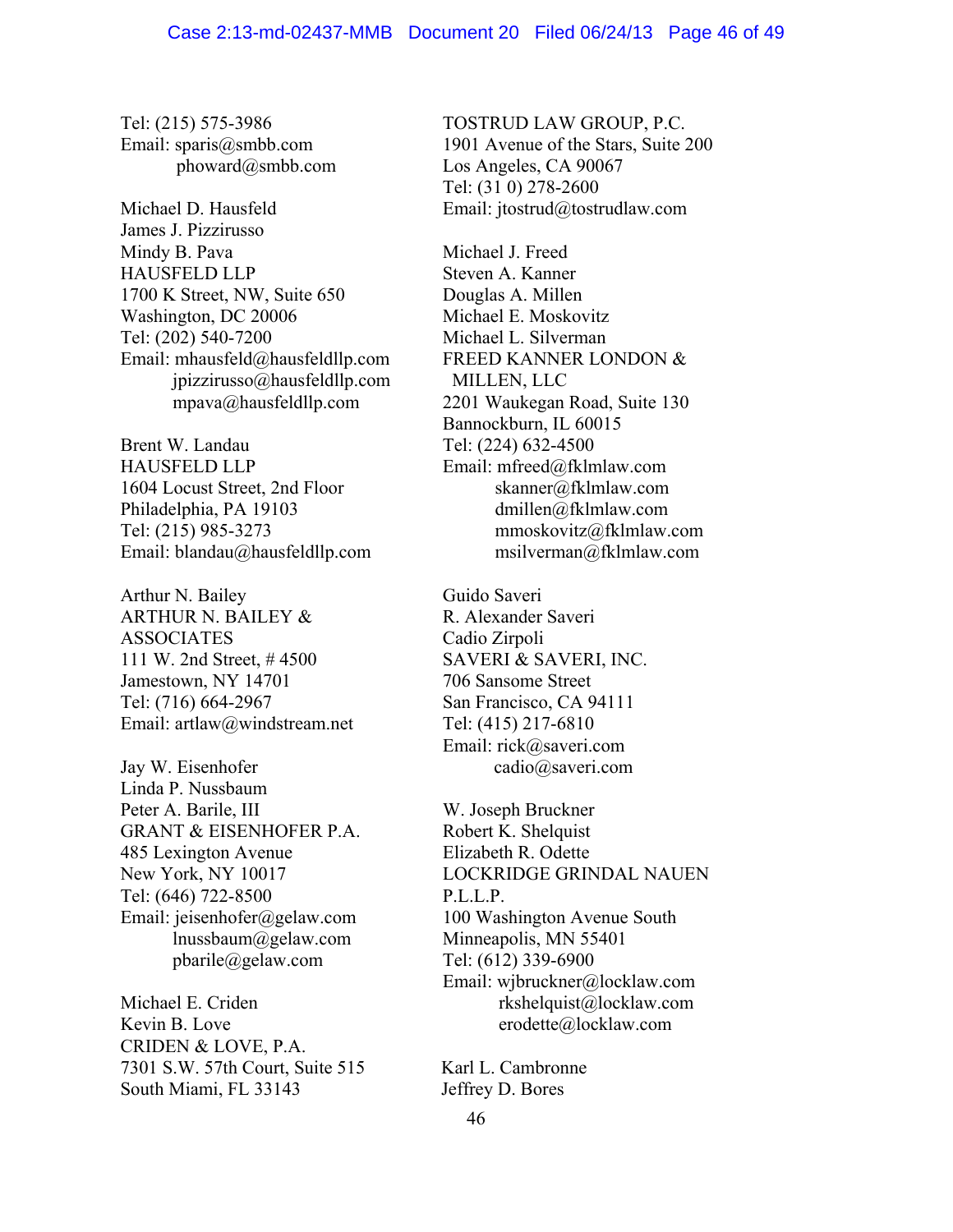Tel: (215) 575-3986 Email: sparis@smbb.com phoward@smbb.com

Michael D. Hausfeld James J. Pizzirusso Mindy B. Pava HAUSFELD LLP 1700 K Street, NW, Suite 650 Washington, DC 20006 Tel: (202) 540-7200 Email: mhausfeld@hausfeldllp.com jpizzirusso@hausfeldllp.com mpava@hausfeldllp.com

Brent W. Landau HAUSFELD LLP 1604 Locust Street, 2nd Floor Philadelphia, PA 19103 Tel: (215) 985-3273 Email: blandau@hausfeldllp.com

Arthur N. Bailey ARTHUR N. BAILEY & **ASSOCIATES** 111 W. 2nd Street, # 4500 Jamestown, NY 14701 Tel: (716) 664-2967 Email: artlaw@windstream.net

Jay W. Eisenhofer Linda P. Nussbaum Peter A. Barile, III GRANT & EISENHOFER P.A. 485 Lexington Avenue New York, NY 10017 Tel: (646) 722-8500 Email: jeisenhofer@gelaw.com lnussbaum@gelaw.com pbarile@gelaw.com

Michael E. Criden Kevin B. Love CRIDEN & LOVE, P.A. 7301 S.W. 57th Court, Suite 515 South Miami, FL 33143

TOSTRUD LAW GROUP, P.C. 1901 Avenue of the Stars, Suite 200 Los Angeles, CA 90067 Tel: (31 0) 278-2600 Email: jtostrud@tostrudlaw.com

Michael J. Freed Steven A. Kanner Douglas A. Millen Michael E. Moskovitz Michael L. Silverman FREED KANNER LONDON & MILLEN, LLC 2201 Waukegan Road, Suite 130 Bannockburn, IL 60015 Tel: (224) 632-4500 Email: mfreed@fklmlaw.com skanner@fklmlaw.com dmillen@fklmlaw.com mmoskovitz@fklmlaw.com msilverman@fklmlaw.com

Guido Saveri R. Alexander Saveri Cadio Zirpoli SAVERI & SAVERI, INC. 706 Sansome Street San Francisco, CA 94111 Tel: (415) 217-6810 Email: rick@saveri.com cadio@saveri.com

W. Joseph Bruckner Robert K. Shelquist Elizabeth R. Odette LOCKRIDGE GRINDAL NAUEN P.L.L.P. 100 Washington Avenue South Minneapolis, MN 55401 Tel: (612) 339-6900 Email: wjbruckner@locklaw.com rkshelquist@locklaw.com erodette@locklaw.com

Karl L. Cambronne Jeffrey D. Bores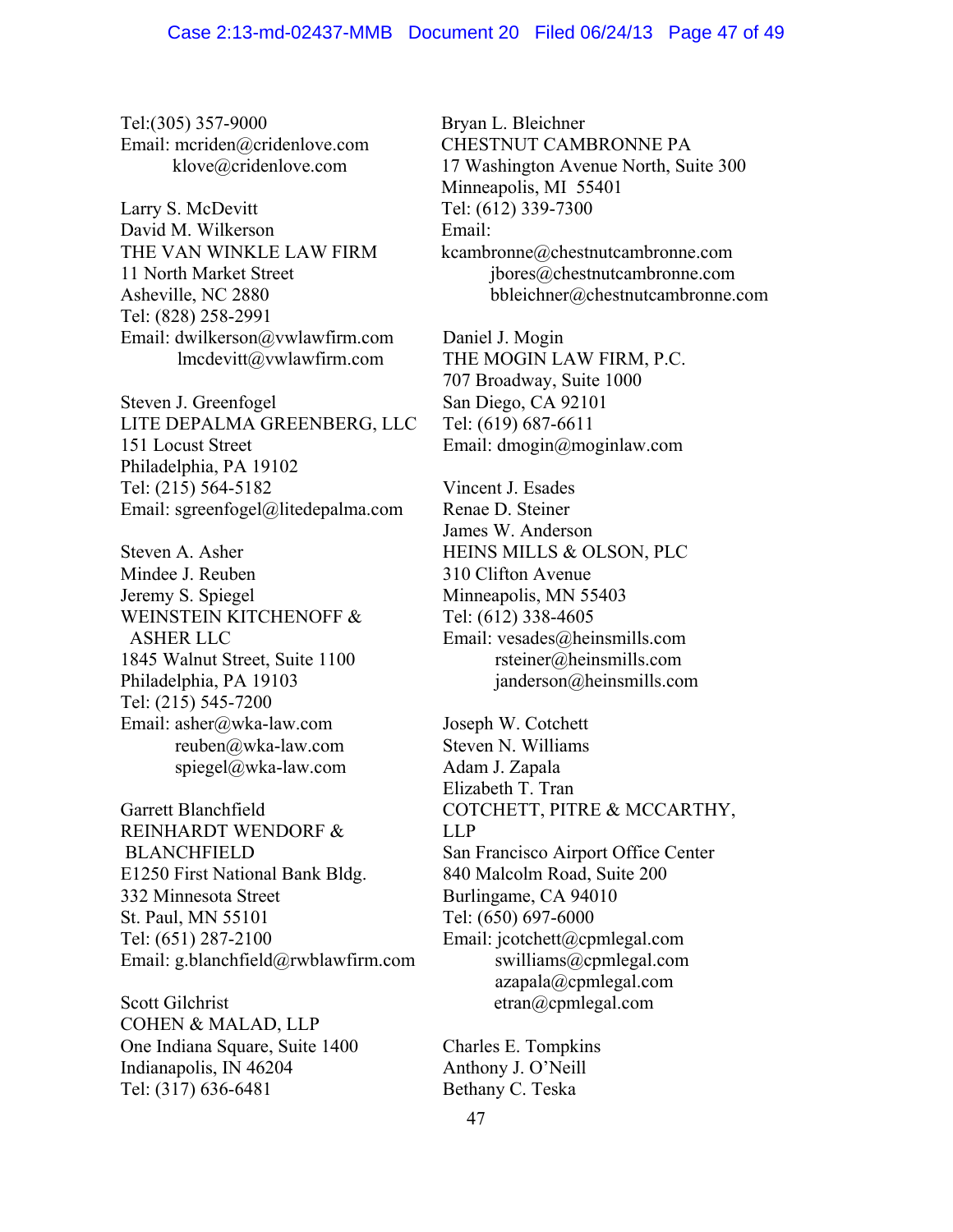Tel:(305) 357-9000 Email: mcriden@cridenlove.com klove@cridenlove.com

Larry S. McDevitt David M. Wilkerson THE VAN WINKLE LAW FIRM 11 North Market Street Asheville, NC 2880 Tel: (828) 258-2991 Email: dwilkerson@vwlawfirm.com lmcdevitt@vwlawfirm.com

Steven J. Greenfogel LITE DEPALMA GREENBERG, LLC 151 Locust Street Philadelphia, PA 19102 Tel: (215) 564-5182 Email: sgreenfogel@litedepalma.com

Steven A. Asher Mindee J. Reuben Jeremy S. Spiegel WEINSTEIN KITCHENOFF & ASHER LLC 1845 Walnut Street, Suite 1100 Philadelphia, PA 19103 Tel: (215) 545-7200 Email: asher@wka-law.com reuben@wka-law.com spiegel@wka-law.com

Garrett Blanchfield REINHARDT WENDORF & BLANCHFIELD E1250 First National Bank Bldg. 332 Minnesota Street St. Paul, MN 55101 Tel: (651) 287-2100 Email: g.blanchfield@rwblawfirm.com

Scott Gilchrist COHEN & MALAD, LLP One Indiana Square, Suite 1400 Indianapolis, IN 46204 Tel: (317) 636-6481

Bryan L. Bleichner CHESTNUT CAMBRONNE PA 17 Washington Avenue North, Suite 300 Minneapolis, MI 55401 Tel: (612) 339-7300 Email: kcambronne@chestnutcambronne.com jbores@chestnutcambronne.com bbleichner@chestnutcambronne.com

Daniel J. Mogin THE MOGIN LAW FIRM, P.C. 707 Broadway, Suite 1000 San Diego, CA 92101 Tel: (619) 687-6611 Email: dmogin@moginlaw.com

Vincent J. Esades Renae D. Steiner James W. Anderson HEINS MILLS & OLSON, PLC 310 Clifton Avenue Minneapolis, MN 55403 Tel: (612) 338-4605 Email: vesades@heinsmills.com rsteiner@heinsmills.com janderson@heinsmills.com

Joseph W. Cotchett Steven N. Williams Adam J. Zapala Elizabeth T. Tran COTCHETT, PITRE & MCCARTHY, LLP San Francisco Airport Office Center 840 Malcolm Road, Suite 200 Burlingame, CA 94010 Tel: (650) 697-6000 Email: jcotchett@cpmlegal.com swilliams@cpmlegal.com azapala@cpmlegal.com etran@cpmlegal.com

Charles E. Tompkins Anthony J. O'Neill Bethany C. Teska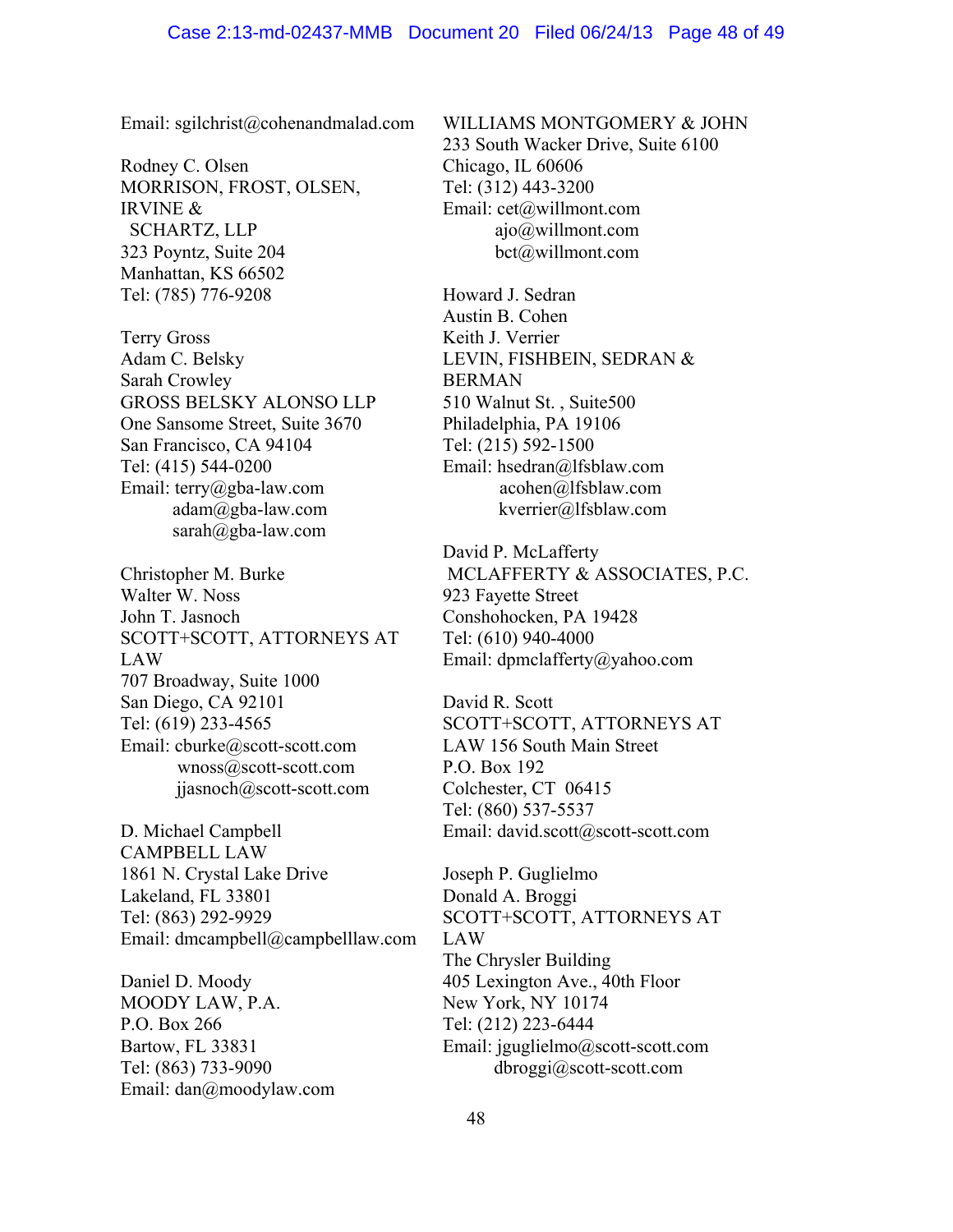Email: sgilchrist@cohenandmalad.com

Rodney C. Olsen MORRISON, FROST, OLSEN, IRVINE & SCHARTZ, LLP 323 Poyntz, Suite 204 Manhattan, KS 66502 Tel: (785) 776-9208

Terry Gross Adam C. Belsky Sarah Crowley GROSS BELSKY ALONSO LLP One Sansome Street, Suite 3670 San Francisco, CA 94104 Tel: (415) 544-0200 Email: terry@gba-law.com adam@gba-law.com sarah@gba-law.com

Christopher M. Burke Walter W. Noss John T. Jasnoch SCOTT+SCOTT, ATTORNEYS AT LAW 707 Broadway, Suite 1000 San Diego, CA 92101 Tel: (619) 233-4565 Email: cburke@scott-scott.com wnoss@scott-scott.com jjasnoch@scott-scott.com

D. Michael Campbell CAMPBELL LAW 1861 N. Crystal Lake Drive Lakeland, FL 33801 Tel: (863) 292-9929 Email: dmcampbell@campbelllaw.com

Daniel D. Moody MOODY LAW, P.A. P.O. Box 266 Bartow, FL 33831 Tel: (863) 733-9090 Email: dan@moodylaw.com WILLIAMS MONTGOMERY & JOHN 233 South Wacker Drive, Suite 6100 Chicago, IL 60606 Tel: (312) 443-3200 Email: cet@willmont.com ajo@willmont.com bct@willmont.com

Howard J. Sedran Austin B. Cohen Keith J. Verrier LEVIN, FISHBEIN, SEDRAN & BERMAN 510 Walnut St. , Suite500 Philadelphia, PA 19106 Tel: (215) 592-1500 Email: hsedran@lfsblaw.com acohen@lfsblaw.com kverrier@lfsblaw.com

David P. McLafferty MCLAFFERTY & ASSOCIATES, P.C. 923 Fayette Street Conshohocken, PA 19428 Tel: (610) 940-4000 Email: dpmclafferty@yahoo.com

David R. Scott SCOTT+SCOTT, ATTORNEYS AT LAW 156 South Main Street P.O. Box 192 Colchester, CT 06415 Tel: (860) 537-5537 Email: david.scott@scott-scott.com

Joseph P. Guglielmo Donald A. Broggi SCOTT+SCOTT, ATTORNEYS AT LAW The Chrysler Building 405 Lexington Ave., 40th Floor New York, NY 10174 Tel: (212) 223-6444 Email: jguglielmo@scott-scott.com dbroggi@scott-scott.com